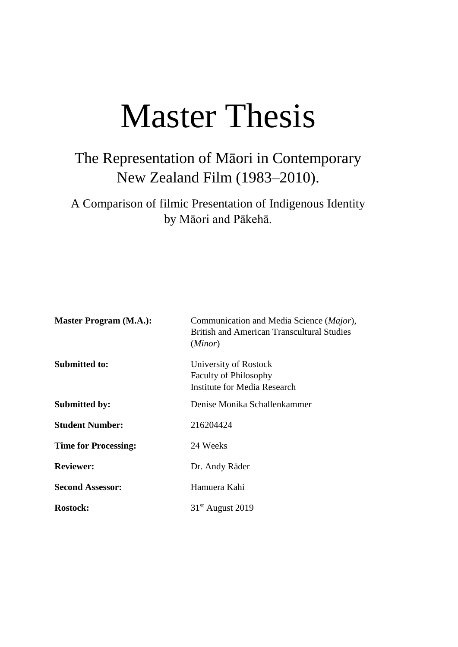# Master Thesis

## The Representation of Māori in Contemporary New Zealand Film (1983–2010).

A Comparison of filmic Presentation of Indigenous Identity by Māori and Pākehā.

| <b>Master Program (M.A.):</b> | Communication and Media Science (Major),<br><b>British and American Transcultural Studies</b><br>(Minor) |
|-------------------------------|----------------------------------------------------------------------------------------------------------|
| <b>Submitted to:</b>          | University of Rostock<br><b>Faculty of Philosophy</b><br><b>Institute for Media Research</b>             |
| <b>Submitted by:</b>          | Denise Monika Schallenkammer                                                                             |
| <b>Student Number:</b>        | 216204424                                                                                                |
| <b>Time for Processing:</b>   | 24 Weeks                                                                                                 |
| <b>Reviewer:</b>              | Dr. Andy Räder                                                                                           |
| <b>Second Assessor:</b>       | Hamuera Kahi                                                                                             |
| <b>Rostock:</b>               | $31st$ August 2019                                                                                       |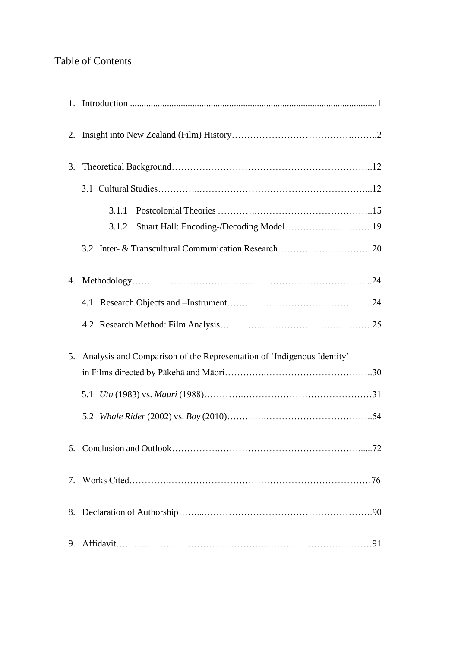### Table of Contents

| 3. |                                                                        |
|----|------------------------------------------------------------------------|
|    |                                                                        |
|    | 3.1.1<br>Stuart Hall: Encoding-/Decoding Model19<br>3.1.2              |
|    |                                                                        |
|    |                                                                        |
|    |                                                                        |
|    |                                                                        |
| 5. | Analysis and Comparison of the Representation of 'Indigenous Identity' |
|    |                                                                        |
|    |                                                                        |
|    |                                                                        |
|    |                                                                        |
|    |                                                                        |
|    |                                                                        |
|    |                                                                        |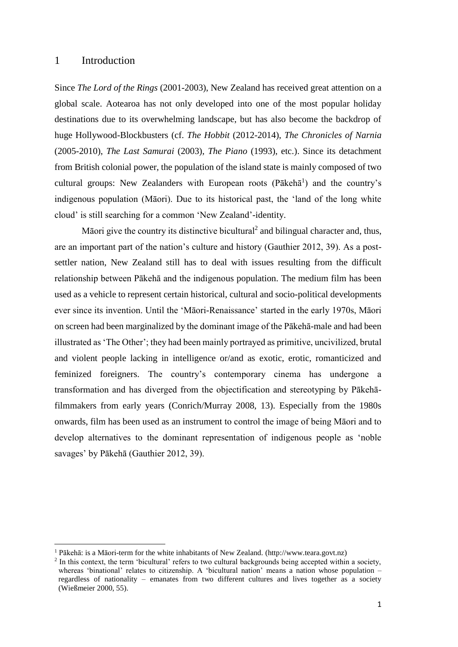#### 1 Introduction

 $\overline{\phantom{a}}$ 

Since *The Lord of the Rings* (2001-2003), New Zealand has received great attention on a global scale. Aotearoa has not only developed into one of the most popular holiday destinations due to its overwhelming landscape, but has also become the backdrop of huge Hollywood-Blockbusters (cf. *The Hobbit* (2012-2014), *The Chronicles of Narnia* (2005-2010), *The Last Samurai* (2003), *The Piano* (1993), etc.). Since its detachment from British colonial power, the population of the island state is mainly composed of two cultural groups: New Zealanders with European roots (Pākehā<sup>1</sup>) and the country's indigenous population (Māori). Due to its historical past, the 'land of the long white cloud' is still searching for a common 'New Zealand'-identity.

Māori give the country its distinctive bicultural<sup>2</sup> and bilingual character and, thus, are an important part of the nation's culture and history (Gauthier 2012, 39). As a postsettler nation, New Zealand still has to deal with issues resulting from the difficult relationship between Pākehā and the indigenous population. The medium film has been used as a vehicle to represent certain historical, cultural and socio-political developments ever since its invention. Until the 'Māori-Renaissance' started in the early 1970s, Māori on screen had been marginalized by the dominant image of the Pākehā-male and had been illustrated as 'The Other'; they had been mainly portrayed as primitive, uncivilized, brutal and violent people lacking in intelligence or/and as exotic, erotic, romanticized and feminized foreigners. The country's contemporary cinema has undergone a transformation and has diverged from the objectification and stereotyping by Pākehāfilmmakers from early years (Conrich/Murray 2008, 13). Especially from the 1980s onwards, film has been used as an instrument to control the image of being Māori and to develop alternatives to the dominant representation of indigenous people as 'noble savages' by Pākehā (Gauthier 2012, 39).

<sup>&</sup>lt;sup>1</sup> Pākehā: is a Māori-term for the white inhabitants of New Zealand. (http://www.teara.govt.nz)

<sup>&</sup>lt;sup>2</sup> In this context, the term 'bicultural' refers to two cultural backgrounds being accepted within a society, whereas 'binational' relates to citizenship. A 'bicultural nation' means a nation whose population – regardless of nationality – emanates from two different cultures and lives together as a society (Wießmeier 2000, 55).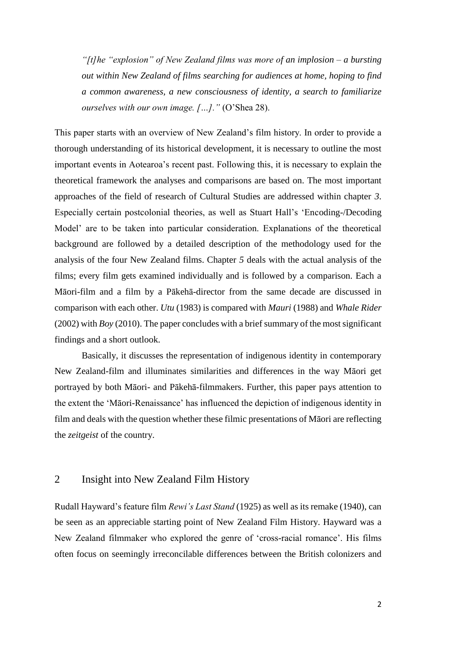*"[t]he "explosion" of New Zealand films was more of an implosion – a bursting out within New Zealand of films searching for audiences at home, hoping to find a common awareness, a new consciousness of identity, a search to familiarize ourselves with our own image. […]."* (O'Shea 28).

This paper starts with an overview of New Zealand's film history. In order to provide a thorough understanding of its historical development, it is necessary to outline the most important events in Aotearoa's recent past. Following this, it is necessary to explain the theoretical framework the analyses and comparisons are based on. The most important approaches of the field of research of Cultural Studies are addressed within chapter *3*. Especially certain postcolonial theories, as well as Stuart Hall's 'Encoding-/Decoding Model' are to be taken into particular consideration. Explanations of the theoretical background are followed by a detailed description of the methodology used for the analysis of the four New Zealand films. Chapter *5* deals with the actual analysis of the films; every film gets examined individually and is followed by a comparison. Each a Māori-film and a film by a Pākehā-director from the same decade are discussed in comparison with each other. *Utu* (1983) is compared with *Mauri* (1988) and *Whale Rider* (2002) with *Boy* (2010). The paper concludes with a brief summary of the most significant findings and a short outlook.

Basically, it discusses the representation of indigenous identity in contemporary New Zealand-film and illuminates similarities and differences in the way Māori get portrayed by both Māori- and Pākehā-filmmakers. Further, this paper pays attention to the extent the 'Māori-Renaissance' has influenced the depiction of indigenous identity in film and deals with the question whether these filmic presentations of Māori are reflecting the *zeitgeist* of the country.

#### 2 Insight into New Zealand Film History

Rudall Hayward's feature film *Rewi's Last Stand* (1925) as well as its remake (1940), can be seen as an appreciable starting point of New Zealand Film History. Hayward was a New Zealand filmmaker who explored the genre of 'cross-racial romance'. His films often focus on seemingly irreconcilable differences between the British colonizers and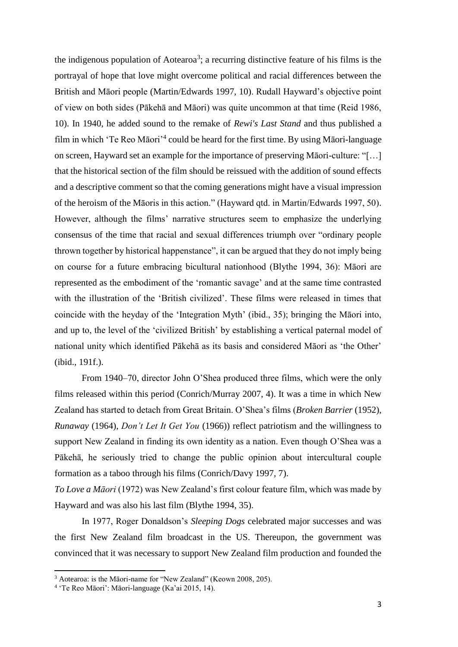the indigenous population of Aotearoa<sup>3</sup>; a recurring distinctive feature of his films is the portrayal of hope that love might overcome political and racial differences between the British and Māori people (Martin/Edwards 1997, 10). Rudall Hayward's objective point of view on both sides (Pākehā and Māori) was quite uncommon at that time (Reid 1986, 10). In 1940, he added sound to the remake of *Rewi's Last Stand* and thus published a film in which 'Te Reo Māori'<sup>4</sup> could be heard for the first time. By using Māori-language on screen, Hayward set an example for the importance of preserving Māori-culture: "[…] that the historical section of the film should be reissued with the addition of sound effects and a descriptive comment so that the coming generations might have a visual impression of the heroism of the Māoris in this action." (Hayward qtd. in Martin/Edwards 1997, 50). However, although the films' narrative structures seem to emphasize the underlying consensus of the time that racial and sexual differences triumph over "ordinary people thrown together by historical happenstance", it can be argued that they do not imply being on course for a future embracing bicultural nationhood (Blythe 1994, 36): Māori are represented as the embodiment of the 'romantic savage' and at the same time contrasted with the illustration of the 'British civilized'. These films were released in times that coincide with the heyday of the 'Integration Myth' (ibid., 35); bringing the Māori into, and up to, the level of the 'civilized British' by establishing a vertical paternal model of national unity which identified Pākehā as its basis and considered Māori as 'the Other' (ibid., 191f.).

From 1940–70, director John O'Shea produced three films, which were the only films released within this period (Conrich/Murray 2007, 4). It was a time in which New Zealand has started to detach from Great Britain. O'Shea's films (*Broken Barrier* (1952), *Runaway* (1964), *Don't Let It Get You* (1966)) reflect patriotism and the willingness to support New Zealand in finding its own identity as a nation. Even though O'Shea was a Pākehā, he seriously tried to change the public opinion about intercultural couple formation as a taboo through his films (Conrich/Davy 1997, 7).

*To Love a Māori* (1972) was New Zealand's first colour feature film, which was made by Hayward and was also his last film (Blythe 1994, 35).

In 1977, Roger Donaldson's *Sleeping Dogs* celebrated major successes and was the first New Zealand film broadcast in the US. Thereupon, the government was convinced that it was necessary to support New Zealand film production and founded the

<sup>&</sup>lt;sup>3</sup> Aotearoa: is the Māori-name for "New Zealand" (Keown 2008, 205).

<sup>4</sup> 'Te Reo Māori': Māori-language (Ka'ai 2015, 14).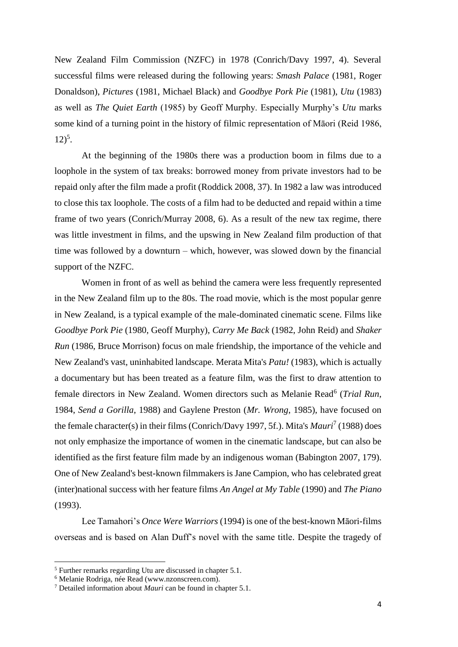New Zealand Film Commission (NZFC) in 1978 (Conrich/Davy 1997, 4). Several successful films were released during the following years: *Smash Palace* (1981, Roger Donaldson), *Pictures* (1981, Michael Black) and *Goodbye Pork Pie* (1981), *Utu* (1983) as well as *The Quiet Earth* (1985) by Geoff Murphy. Especially Murphy's *Utu* marks some kind of a turning point in the history of filmic representation of Māori (Reid 1986,  $12)^5$ .

At the beginning of the 1980s there was a production boom in films due to a loophole in the system of tax breaks: borrowed money from private investors had to be repaid only after the film made a profit (Roddick 2008, 37). In 1982 a law was introduced to close this tax loophole. The costs of a film had to be deducted and repaid within a time frame of two years (Conrich/Murray 2008, 6). As a result of the new tax regime, there was little investment in films, and the upswing in New Zealand film production of that time was followed by a downturn – which, however, was slowed down by the financial support of the NZFC.

Women in front of as well as behind the camera were less frequently represented in the New Zealand film up to the 80s. The road movie, which is the most popular genre in New Zealand, is a typical example of the male-dominated cinematic scene. Films like *Goodbye Pork Pie* (1980, Geoff Murphy), *Carry Me Back* (1982, John Reid) and *Shaker Run* (1986, Bruce Morrison) focus on male friendship, the importance of the vehicle and New Zealand's vast, uninhabited landscape. Merata Mita's *Patu!* (1983), which is actually a documentary but has been treated as a feature film, was the first to draw attention to female directors in New Zealand. Women directors such as Melanie Read<sup>6</sup> (*Trial Run*, 1984, *Send a Gorilla*, 1988) and Gaylene Preston (*Mr. Wrong*, 1985), have focused on the female character(s) in their films (Conrich/Davy 1997, 5f.). Mita's *Mauri*<sup>7</sup> (1988) does not only emphasize the importance of women in the cinematic landscape, but can also be identified as the first feature film made by an indigenous woman (Babington 2007, 179). One of New Zealand's best-known filmmakers is Jane Campion, who has celebrated great (inter)national success with her feature films *An Angel at My Table* (1990) and *The Piano* (1993).

Lee Tamahori's *Once Were Warriors* (1994) is one of the best-known Māori-films overseas and is based on Alan Duff's novel with the same title. Despite the tragedy of

l

<sup>5</sup> Further remarks regarding Utu are discussed in chapter 5.1.

<sup>6</sup> Melanie Rodriga, née Read (www.nzonscreen.com).

<sup>7</sup> Detailed information about *Mauri* can be found in chapter 5.1.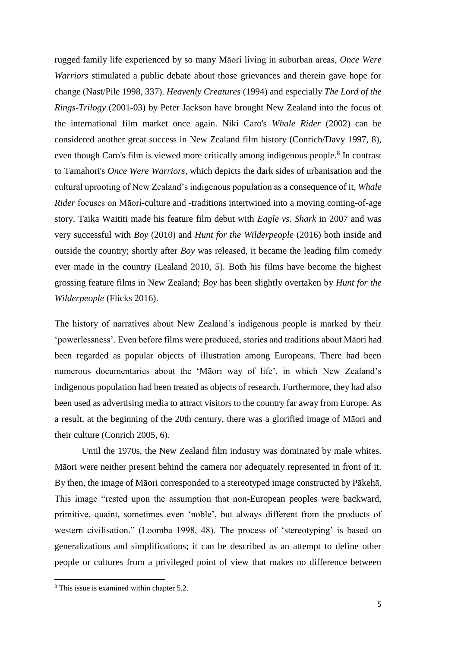rugged family life experienced by so many Māori living in suburban areas, *Once Were Warriors* stimulated a public debate about those grievances and therein gave hope for change (Nast/Pile 1998, 337). *Heavenly Creatures* (1994) and especially *The Lord of the Rings-Trilogy* (2001-03) by Peter Jackson have brought New Zealand into the focus of the international film market once again. Niki Caro's *Whale Rider* (2002) can be considered another great success in New Zealand film history (Conrich/Davy 1997, 8), even though Caro's film is viewed more critically among indigenous people.<sup>8</sup> In contrast to Tamahori's *Once Were Warriors*, which depicts the dark sides of urbanisation and the cultural uprooting of New Zealand's indigenous population as a consequence of it, *Whale Rider* focuses on Māori-culture and -traditions intertwined into a moving coming-of-age story. Taika Waititi made his feature film debut with *Eagle vs. Shark* in 2007 and was very successful with *Boy* (2010) and *Hunt for the Wilderpeople* (2016) both inside and outside the country; shortly after *Boy* was released, it became the leading film comedy ever made in the country (Lealand 2010, 5). Both his films have become the highest grossing feature films in New Zealand; *Boy* has been slightly overtaken by *Hunt for the Wilderpeople* (Flicks 2016).

The history of narratives about New Zealand's indigenous people is marked by their 'powerlessness'. Even before films were produced, stories and traditions about Māori had been regarded as popular objects of illustration among Europeans. There had been numerous documentaries about the 'Māori way of life', in which New Zealand's indigenous population had been treated as objects of research. Furthermore, they had also been used as advertising media to attract visitors to the country far away from Europe. As a result, at the beginning of the 20th century, there was a glorified image of Māori and their culture (Conrich 2005, 6).

Until the 1970s, the New Zealand film industry was dominated by male whites. Māori were neither present behind the camera nor adequately represented in front of it. By then, the image of Māori corresponded to a stereotyped image constructed by Pākehā. This image "rested upon the assumption that non-European peoples were backward, primitive, quaint, sometimes even 'noble', but always different from the products of western civilisation." (Loomba 1998, 48). The process of 'stereotyping' is based on generalizations and simplifications; it can be described as an attempt to define other people or cultures from a privileged point of view that makes no difference between

<sup>8</sup> This issue is examined within chapter 5.2.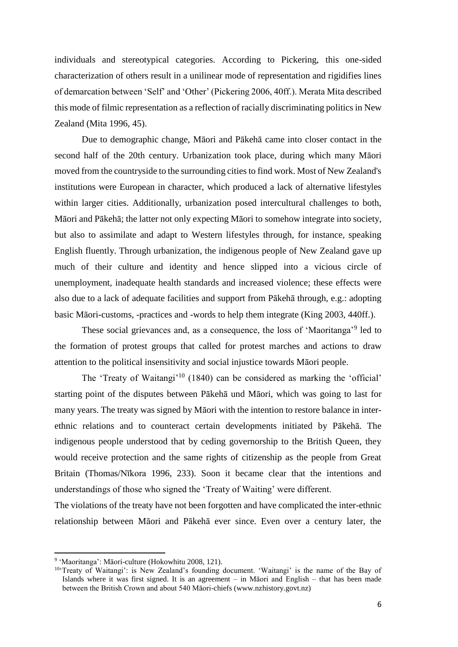individuals and stereotypical categories. According to Pickering, this one-sided characterization of others result in a unilinear mode of representation and rigidifies lines of demarcation between 'Self' and 'Other' (Pickering 2006, 40ff.). Merata Mita described this mode of filmic representation as a reflection of racially discriminating politics in New Zealand (Mita 1996, 45).

Due to demographic change, Māori and Pākehā came into closer contact in the second half of the 20th century. Urbanization took place, during which many Māori moved from the countryside to the surrounding cities to find work. Most of New Zealand's institutions were European in character, which produced a lack of alternative lifestyles within larger cities. Additionally, urbanization posed intercultural challenges to both, Māori and Pākehā; the latter not only expecting Māori to somehow integrate into society, but also to assimilate and adapt to Western lifestyles through, for instance, speaking English fluently. Through urbanization, the indigenous people of New Zealand gave up much of their culture and identity and hence slipped into a vicious circle of unemployment, inadequate health standards and increased violence; these effects were also due to a lack of adequate facilities and support from Pākehā through, e.g.: adopting basic Māori-customs, -practices and -words to help them integrate (King 2003, 440ff.).

These social grievances and, as a consequence, the loss of 'Maoritanga'<sup>9</sup> led to the formation of protest groups that called for protest marches and actions to draw attention to the political insensitivity and social injustice towards Māori people.

The 'Treaty of Waitangi'<sup>10</sup> (1840) can be considered as marking the 'official' starting point of the disputes between Pākehā und Māori, which was going to last for many years. The treaty was signed by Māori with the intention to restore balance in interethnic relations and to counteract certain developments initiated by Pākehā. The indigenous people understood that by ceding governorship to the British Queen, they would receive protection and the same rights of citizenship as the people from Great Britain (Thomas/Nīkora 1996, 233). Soon it became clear that the intentions and understandings of those who signed the 'Treaty of Waiting' were different.

The violations of the treaty have not been forgotten and have complicated the inter-ethnic relationship between Māori and Pākehā ever since. Even over a century later, the

<sup>&</sup>lt;sup>9</sup> 'Maoritanga': Māori-culture (Hokowhitu 2008, 121).

<sup>10</sup>'Treaty of Waitangi': is New Zealand's founding document. 'Waitangi' is the name of the Bay of Islands where it was first signed. It is an agreement – in Māori and English – that has been made between the British Crown and about 540 Māori-chiefs (www.nzhistory.govt.nz)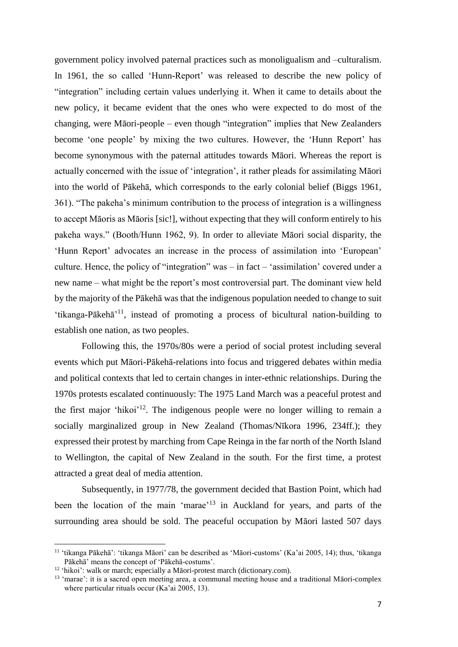government policy involved paternal practices such as monoligualism and –culturalism. In 1961, the so called 'Hunn-Report' was released to describe the new policy of "integration" including certain values underlying it. When it came to details about the new policy, it became evident that the ones who were expected to do most of the changing, were Māori-people – even though "integration" implies that New Zealanders become 'one people' by mixing the two cultures. However, the 'Hunn Report' has become synonymous with the paternal attitudes towards Māori. Whereas the report is actually concerned with the issue of 'integration', it rather pleads for assimilating Māori into the world of Pākehā, which corresponds to the early colonial belief (Biggs 1961, 361). "The pakeha's minimum contribution to the process of integration is a willingness to accept Māoris as Māoris [sic!], without expecting that they will conform entirely to his pakeha ways." (Booth/Hunn 1962, 9). In order to alleviate Māori social disparity, the 'Hunn Report' advocates an increase in the process of assimilation into 'European' culture. Hence, the policy of "integration" was – in fact – 'assimilation' covered under a new name – what might be the report's most controversial part. The dominant view held by the majority of the Pākehā was that the indigenous population needed to change to suit 'tikanga-Pākehā'<sup>11</sup>, instead of promoting a process of bicultural nation-building to establish one nation, as two peoples.

Following this, the 1970s/80s were a period of social protest including several events which put Māori-Pākehā-relations into focus and triggered debates within media and political contexts that led to certain changes in inter-ethnic relationships. During the 1970s protests escalated continuously: The 1975 Land March was a peaceful protest and the first major 'hikoi'<sup>12</sup>. The indigenous people were no longer willing to remain a socially marginalized group in New Zealand (Thomas/Nīkora 1996, 234ff.); they expressed their protest by marching from Cape Reinga in the far north of the North Island to Wellington, the capital of New Zealand in the south. For the first time, a protest attracted a great deal of media attention.

Subsequently, in 1977/78, the government decided that Bastion Point, which had been the location of the main 'marae'<sup>13</sup> in Auckland for years, and parts of the surrounding area should be sold. The peaceful occupation by Māori lasted 507 days

<sup>&</sup>lt;sup>11</sup> 'tikanga Pākehā': 'tikanga Māori' can be described as 'Māori-customs' (Ka'ai 2005, 14); thus, 'tikanga Pākehā' means the concept of 'Pākehā-costums'.

<sup>&</sup>lt;sup>12</sup> 'hikoi': walk or march; especially a Māori-protest march (dictionary.com).

<sup>&</sup>lt;sup>13</sup> 'marae': it is a sacred open meeting area, a communal meeting house and a traditional Māori-complex where particular rituals occur (Ka'ai 2005, 13).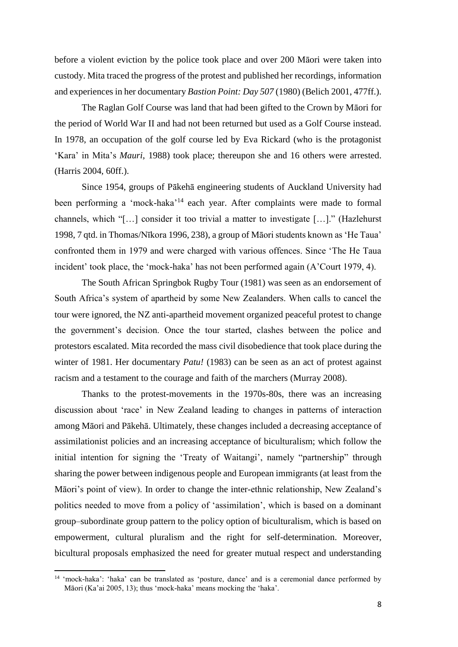before a violent eviction by the police took place and over 200 Māori were taken into custody. Mita traced the progress of the protest and published her recordings, information and experiences in her documentary *Bastion Point: Day 507* (1980) (Belich 2001, 477ff.).

The Raglan Golf Course was land that had been gifted to the Crown by Māori for the period of World War II and had not been returned but used as a Golf Course instead. In 1978, an occupation of the golf course led by Eva Rickard (who is the protagonist 'Kara' in Mita's *Mauri*, 1988) took place; thereupon she and 16 others were arrested. (Harris 2004, 60ff.).

Since 1954, groups of Pākehā engineering students of Auckland University had been performing a 'mock-haka'<sup>14</sup> each year. After complaints were made to formal channels, which "[…] consider it too trivial a matter to investigate […]." (Hazlehurst 1998, 7 qtd. in Thomas/Nīkora 1996, 238), a group of Māori students known as 'He Taua' confronted them in 1979 and were charged with various offences. Since 'The He Taua incident' took place, the 'mock-haka' has not been performed again (A'Court 1979, 4).

The South African Springbok Rugby Tour (1981) was seen as an endorsement of South Africa's system of apartheid by some New Zealanders. When calls to cancel the tour were ignored, the NZ anti-apartheid movement organized peaceful protest to change the government's decision. Once the tour started, clashes between the police and protestors escalated. Mita recorded the mass civil disobedience that took place during the winter of 1981. Her documentary *Patu!* (1983) can be seen as an act of protest against racism and a testament to the courage and faith of the marchers (Murray 2008).

Thanks to the protest-movements in the 1970s-80s, there was an increasing discussion about 'race' in New Zealand leading to changes in patterns of interaction among Māori and Pākehā. Ultimately, these changes included a decreasing acceptance of assimilationist policies and an increasing acceptance of biculturalism; which follow the initial intention for signing the 'Treaty of Waitangi', namely "partnership" through sharing the power between indigenous people and European immigrants (at least from the Māori's point of view). In order to change the inter-ethnic relationship, New Zealand's politics needed to move from a policy of 'assimilation', which is based on a dominant group–subordinate group pattern to the policy option of biculturalism, which is based on empowerment, cultural pluralism and the right for self-determination. Moreover, bicultural proposals emphasized the need for greater mutual respect and understanding

<sup>&</sup>lt;sup>14</sup> 'mock-haka': 'haka' can be translated as 'posture, dance' and is a ceremonial dance performed by Māori (Ka'ai 2005, 13); thus 'mock-haka' means mocking the 'haka'.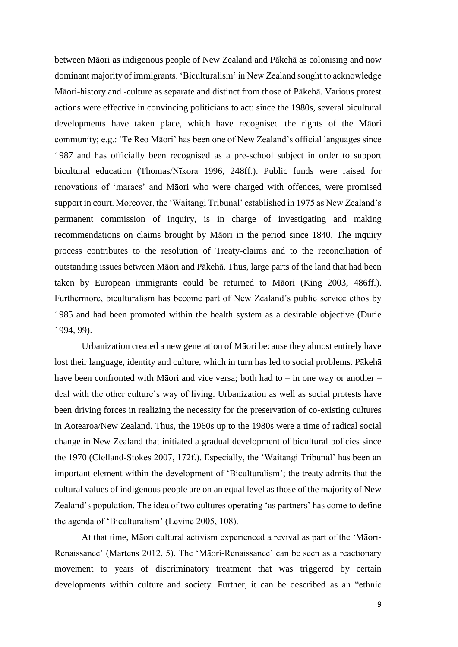between Māori as indigenous people of New Zealand and Pākehā as colonising and now dominant majority of immigrants. 'Biculturalism' in New Zealand sought to acknowledge Māori-history and -culture as separate and distinct from those of Pākehā. Various protest actions were effective in convincing politicians to act: since the 1980s, several bicultural developments have taken place, which have recognised the rights of the Māori community; e.g.: 'Te Reo Māori' has been one of New Zealand's official languages since 1987 and has officially been recognised as a pre-school subject in order to support bicultural education (Thomas/Nīkora 1996, 248ff.). Public funds were raised for renovations of 'maraes' and Māori who were charged with offences, were promised support in court. Moreover, the 'Waitangi Tribunal' established in 1975 as New Zealand's permanent commission of inquiry, is in charge of investigating and making recommendations on claims brought by Māori in the period since 1840. The inquiry process contributes to the resolution of Treaty-claims and to the reconciliation of outstanding issues between Māori and Pākehā. Thus, large parts of the land that had been taken by European immigrants could be returned to Māori (King 2003, 486ff.). Furthermore, biculturalism has become part of New Zealand's public service ethos by 1985 and had been promoted within the health system as a desirable objective (Durie 1994, 99).

Urbanization created a new generation of Māori because they almost entirely have lost their language, identity and culture, which in turn has led to social problems. Pākehā have been confronted with Māori and vice versa; both had to – in one way or another – deal with the other culture's way of living. Urbanization as well as social protests have been driving forces in realizing the necessity for the preservation of co-existing cultures in Aotearoa/New Zealand. Thus, the 1960s up to the 1980s were a time of radical social change in New Zealand that initiated a gradual development of bicultural policies since the 1970 (Clelland-Stokes 2007, 172f.). Especially, the 'Waitangi Tribunal' has been an important element within the development of 'Biculturalism'; the treaty admits that the cultural values of indigenous people are on an equal level as those of the majority of New Zealand's population. The idea of two cultures operating 'as partners' has come to define the agenda of 'Biculturalism' (Levine 2005, 108).

At that time, Māori cultural activism experienced a revival as part of the 'Māori-Renaissance' (Martens 2012, 5). The 'Māori-Renaissance' can be seen as a reactionary movement to years of discriminatory treatment that was triggered by certain developments within culture and society. Further, it can be described as an "ethnic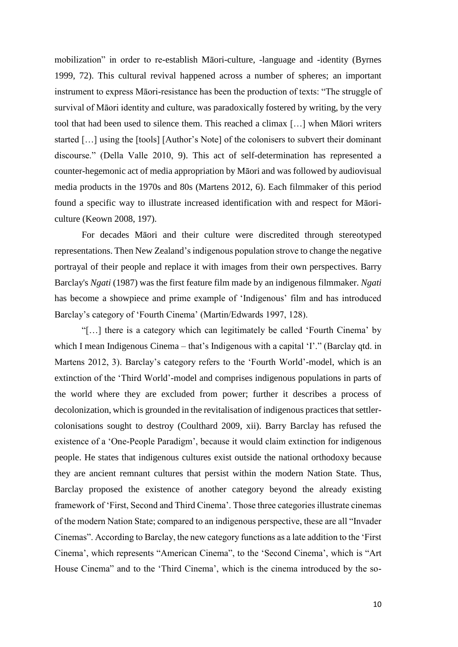mobilization" in order to re-establish Māori-culture, -language and -identity (Byrnes 1999, 72). This cultural revival happened across a number of spheres; an important instrument to express Māori-resistance has been the production of texts: "The struggle of survival of Māori identity and culture, was paradoxically fostered by writing, by the very tool that had been used to silence them. This reached a climax […] when Māori writers started […] using the [tools] [Author's Note] of the colonisers to subvert their dominant discourse." (Della Valle 2010, 9). This act of self-determination has represented a counter-hegemonic act of media appropriation by Māori and was followed by audiovisual media products in the 1970s and 80s (Martens 2012, 6). Each filmmaker of this period found a specific way to illustrate increased identification with and respect for Māoriculture (Keown 2008, 197).

For decades Māori and their culture were discredited through stereotyped representations. Then New Zealand's indigenous population strove to change the negative portrayal of their people and replace it with images from their own perspectives. Barry Barclay's *Ngati* (1987) was the first feature film made by an indigenous filmmaker. *Ngati* has become a showpiece and prime example of 'Indigenous' film and has introduced Barclay's category of 'Fourth Cinema' (Martin/Edwards 1997, 128).

"[…] there is a category which can legitimately be called 'Fourth Cinema' by which I mean Indigenous Cinema – that's Indigenous with a capital 'I'." (Barclay qtd. in Martens 2012, 3). Barclay's category refers to the 'Fourth World'-model, which is an extinction of the 'Third World'-model and comprises indigenous populations in parts of the world where they are excluded from power; further it describes a process of decolonization, which is grounded in the revitalisation of indigenous practices that settlercolonisations sought to destroy (Coulthard 2009, xii). Barry Barclay has refused the existence of a 'One-People Paradigm', because it would claim extinction for indigenous people. He states that indigenous cultures exist outside the national orthodoxy because they are ancient remnant cultures that persist within the modern Nation State. Thus, Barclay proposed the existence of another category beyond the already existing framework of 'First, Second and Third Cinema'. Those three categories illustrate cinemas of the modern Nation State; compared to an indigenous perspective, these are all "Invader Cinemas". According to Barclay, the new category functions as a late addition to the 'First Cinema', which represents "American Cinema", to the 'Second Cinema', which is "Art House Cinema" and to the 'Third Cinema', which is the cinema introduced by the so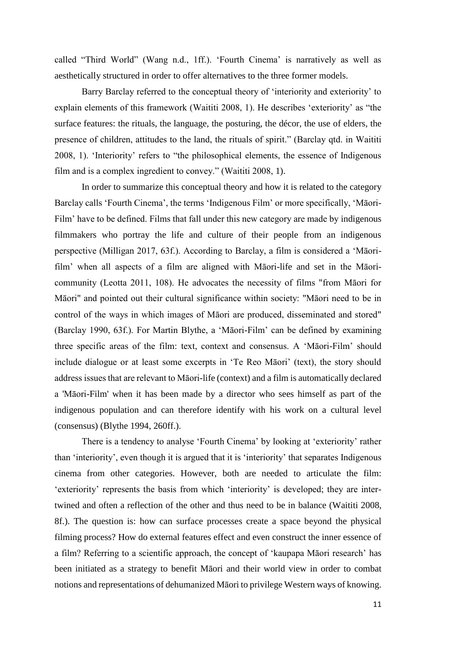called "Third World" (Wang n.d., 1ff.). 'Fourth Cinema' is narratively as well as aesthetically structured in order to offer alternatives to the three former models.

Barry Barclay referred to the conceptual theory of 'interiority and exteriority' to explain elements of this framework (Waititi 2008, 1). He describes 'exteriority' as "the surface features: the rituals, the language, the posturing, the décor, the use of elders, the presence of children, attitudes to the land, the rituals of spirit." (Barclay qtd. in Waititi 2008, 1). 'Interiority' refers to "the philosophical elements, the essence of Indigenous film and is a complex ingredient to convey." (Waititi 2008, 1).

In order to summarize this conceptual theory and how it is related to the category Barclay calls 'Fourth Cinema', the terms 'Indigenous Film' or more specifically, 'Māori-Film' have to be defined. Films that fall under this new category are made by indigenous filmmakers who portray the life and culture of their people from an indigenous perspective (Milligan 2017, 63f.). According to Barclay, a film is considered a 'Māorifilm' when all aspects of a film are aligned with Māori-life and set in the Māoricommunity (Leotta 2011, 108). He advocates the necessity of films "from Māori for Māori" and pointed out their cultural significance within society: "Māori need to be in control of the ways in which images of Māori are produced, disseminated and stored" (Barclay 1990, 63f.). For Martin Blythe, a 'Māori-Film' can be defined by examining three specific areas of the film: text, context and consensus. A 'Māori-Film' should include dialogue or at least some excerpts in 'Te Reo Māori' (text), the story should address issues that are relevant to Māori-life (context) and a film is automatically declared a 'Māori-Film' when it has been made by a director who sees himself as part of the indigenous population and can therefore identify with his work on a cultural level (consensus) (Blythe 1994, 260ff.).

There is a tendency to analyse 'Fourth Cinema' by looking at 'exteriority' rather than 'interiority', even though it is argued that it is 'interiority' that separates Indigenous cinema from other categories. However, both are needed to articulate the film: 'exteriority' represents the basis from which 'interiority' is developed; they are intertwined and often a reflection of the other and thus need to be in balance (Waititi 2008, 8f.). The question is: how can surface processes create a space beyond the physical filming process? How do external features effect and even construct the inner essence of a film? Referring to a scientific approach, the concept of 'kaupapa Māori research' has been initiated as a strategy to benefit Māori and their world view in order to combat notions and representations of dehumanized Māori to privilege Western ways of knowing.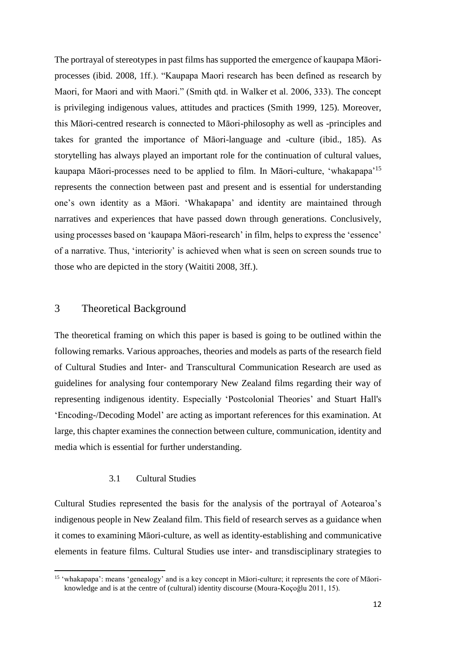The portrayal of stereotypes in past films has supported the emergence of kaupapa Māoriprocesses (ibid. 2008, 1ff.). "Kaupapa Maori research has been defined as research by Maori, for Maori and with Maori." (Smith qtd. in Walker et al. 2006, 333). The concept is privileging indigenous values, attitudes and practices (Smith 1999, 125). Moreover, this Māori-centred research is connected to Māori-philosophy as well as -principles and takes for granted the importance of Māori-language and -culture (ibid., 185). As storytelling has always played an important role for the continuation of cultural values, kaupapa Māori-processes need to be applied to film. In Māori-culture, 'whakapapa'<sup>15</sup> represents the connection between past and present and is essential for understanding one's own identity as a Māori. 'Whakapapa' and identity are maintained through narratives and experiences that have passed down through generations. Conclusively, using processes based on 'kaupapa Māori-research' in film, helps to express the 'essence' of a narrative. Thus, 'interiority' is achieved when what is seen on screen sounds true to those who are depicted in the story (Waititi 2008, 3ff.).

#### 3 Theoretical Background

The theoretical framing on which this paper is based is going to be outlined within the following remarks. Various approaches, theories and models as parts of the research field of Cultural Studies and Inter- and Transcultural Communication Research are used as guidelines for analysing four contemporary New Zealand films regarding their way of representing indigenous identity. Especially 'Postcolonial Theories' and Stuart Hall's 'Encoding-/Decoding Model' are acting as important references for this examination. At large, this chapter examines the connection between culture, communication, identity and media which is essential for further understanding.

#### 3.1 Cultural Studies

 $\overline{\phantom{a}}$ 

Cultural Studies represented the basis for the analysis of the portrayal of Aotearoa's indigenous people in New Zealand film. This field of research serves as a guidance when it comes to examining Māori-culture, as well as identity-establishing and communicative elements in feature films. Cultural Studies use inter- and transdisciplinary strategies to

<sup>15</sup> 'whakapapa': means 'genealogy' and is a key concept in Māori-culture; it represents the core of Māori knowledge and is at the centre of (cultural) identity discourse (Moura-Koçoğlu 2011, 15).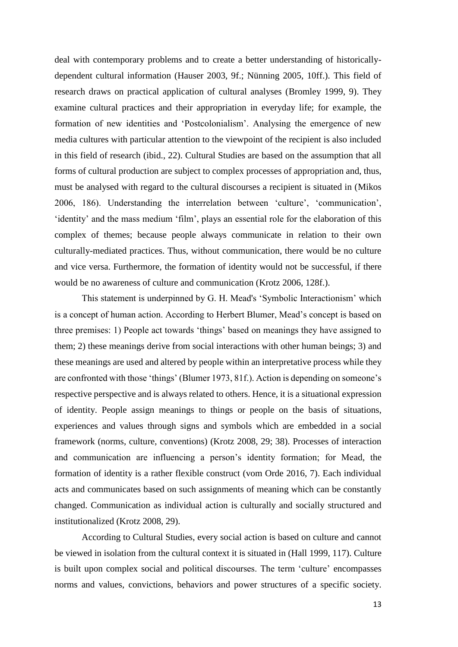deal with contemporary problems and to create a better understanding of historicallydependent cultural information (Hauser 2003, 9f.; Nünning 2005, 10ff.). This field of research draws on practical application of cultural analyses (Bromley 1999, 9). They examine cultural practices and their appropriation in everyday life; for example, the formation of new identities and 'Postcolonialism'. Analysing the emergence of new media cultures with particular attention to the viewpoint of the recipient is also included in this field of research (ibid., 22). Cultural Studies are based on the assumption that all forms of cultural production are subject to complex processes of appropriation and, thus, must be analysed with regard to the cultural discourses a recipient is situated in (Mikos 2006, 186). Understanding the interrelation between 'culture', 'communication', 'identity' and the mass medium 'film', plays an essential role for the elaboration of this complex of themes; because people always communicate in relation to their own culturally-mediated practices. Thus, without communication, there would be no culture and vice versa. Furthermore, the formation of identity would not be successful, if there would be no awareness of culture and communication (Krotz 2006, 128f.).

This statement is underpinned by G. H. Mead's 'Symbolic Interactionism' which is a concept of human action. According to Herbert Blumer, Mead's concept is based on three premises: 1) People act towards 'things' based on meanings they have assigned to them; 2) these meanings derive from social interactions with other human beings; 3) and these meanings are used and altered by people within an interpretative process while they are confronted with those 'things' (Blumer 1973, 81f.). Action is depending on someone's respective perspective and is always related to others. Hence, it is a situational expression of identity. People assign meanings to things or people on the basis of situations, experiences and values through signs and symbols which are embedded in a social framework (norms, culture, conventions) (Krotz 2008, 29; 38). Processes of interaction and communication are influencing a person's identity formation; for Mead, the formation of identity is a rather flexible construct (vom Orde 2016, 7). Each individual acts and communicates based on such assignments of meaning which can be constantly changed. Communication as individual action is culturally and socially structured and institutionalized (Krotz 2008, 29).

According to Cultural Studies, every social action is based on culture and cannot be viewed in isolation from the cultural context it is situated in (Hall 1999, 117). Culture is built upon complex social and political discourses. The term 'culture' encompasses norms and values, convictions, behaviors and power structures of a specific society.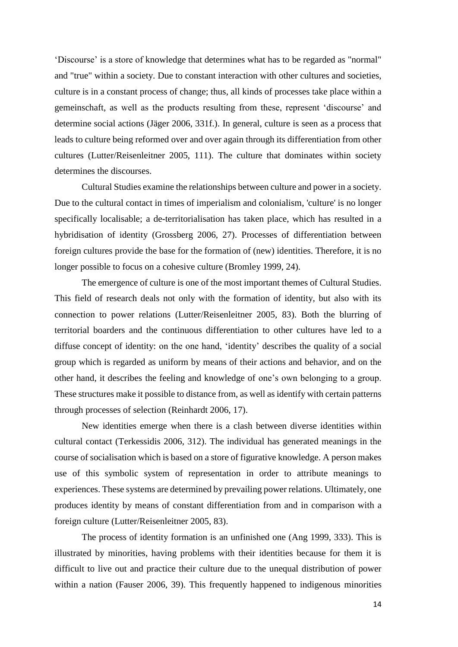'Discourse' is a store of knowledge that determines what has to be regarded as "normal" and "true" within a society. Due to constant interaction with other cultures and societies, culture is in a constant process of change; thus, all kinds of processes take place within a gemeinschaft, as well as the products resulting from these, represent 'discourse' and determine social actions (Jäger 2006, 331f.). In general, culture is seen as a process that leads to culture being reformed over and over again through its differentiation from other cultures (Lutter/Reisenleitner 2005, 111). The culture that dominates within society determines the discourses.

Cultural Studies examine the relationships between culture and power in a society. Due to the cultural contact in times of imperialism and colonialism, 'culture' is no longer specifically localisable; a de-territorialisation has taken place, which has resulted in a hybridisation of identity (Grossberg 2006, 27). Processes of differentiation between foreign cultures provide the base for the formation of (new) identities. Therefore, it is no longer possible to focus on a cohesive culture (Bromley 1999, 24).

The emergence of culture is one of the most important themes of Cultural Studies. This field of research deals not only with the formation of identity, but also with its connection to power relations (Lutter/Reisenleitner 2005, 83). Both the blurring of territorial boarders and the continuous differentiation to other cultures have led to a diffuse concept of identity: on the one hand, 'identity' describes the quality of a social group which is regarded as uniform by means of their actions and behavior, and on the other hand, it describes the feeling and knowledge of one's own belonging to a group. These structures make it possible to distance from, as well as identify with certain patterns through processes of selection (Reinhardt 2006, 17).

New identities emerge when there is a clash between diverse identities within cultural contact (Terkessidis 2006, 312). The individual has generated meanings in the course of socialisation which is based on a store of figurative knowledge. A person makes use of this symbolic system of representation in order to attribute meanings to experiences. These systems are determined by prevailing power relations. Ultimately, one produces identity by means of constant differentiation from and in comparison with a foreign culture (Lutter/Reisenleitner 2005, 83).

The process of identity formation is an unfinished one (Ang 1999, 333). This is illustrated by minorities, having problems with their identities because for them it is difficult to live out and practice their culture due to the unequal distribution of power within a nation (Fauser 2006, 39). This frequently happened to indigenous minorities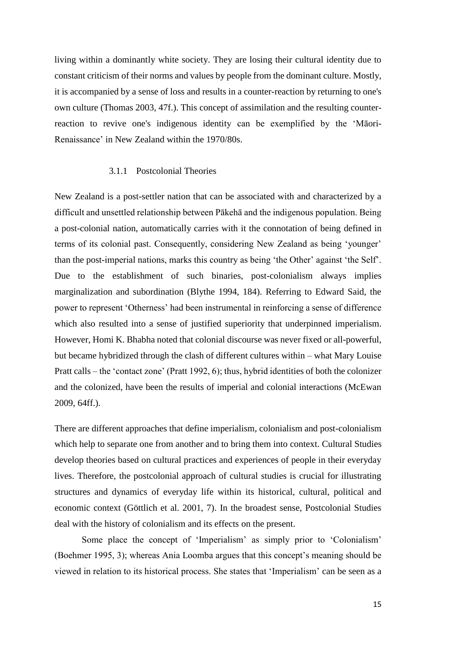living within a dominantly white society. They are losing their cultural identity due to constant criticism of their norms and values by people from the dominant culture. Mostly, it is accompanied by a sense of loss and results in a counter-reaction by returning to one's own culture (Thomas 2003, 47f.). This concept of assimilation and the resulting counterreaction to revive one's indigenous identity can be exemplified by the 'Māori-Renaissance' in New Zealand within the 1970/80s.

#### 3.1.1 Postcolonial Theories

New Zealand is a post-settler nation that can be associated with and characterized by a difficult and unsettled relationship between Pākehā and the indigenous population. Being a post-colonial nation, automatically carries with it the connotation of being defined in terms of its colonial past. Consequently, considering New Zealand as being 'younger' than the post-imperial nations, marks this country as being 'the Other' against 'the Self'. Due to the establishment of such binaries, post-colonialism always implies marginalization and subordination (Blythe 1994, 184). Referring to Edward Said, the power to represent 'Otherness' had been instrumental in reinforcing a sense of difference which also resulted into a sense of justified superiority that underpinned imperialism. However, Homi K. Bhabha noted that colonial discourse was never fixed or all-powerful, but became hybridized through the clash of different cultures within – what Mary Louise Pratt calls – the 'contact zone' (Pratt 1992, 6); thus, hybrid identities of both the colonizer and the colonized, have been the results of imperial and colonial interactions (McEwan 2009, 64ff.).

There are different approaches that define imperialism, colonialism and post-colonialism which help to separate one from another and to bring them into context. Cultural Studies develop theories based on cultural practices and experiences of people in their everyday lives. Therefore, the postcolonial approach of cultural studies is crucial for illustrating structures and dynamics of everyday life within its historical, cultural, political and economic context (Göttlich et al. 2001, 7). In the broadest sense, Postcolonial Studies deal with the history of colonialism and its effects on the present.

Some place the concept of 'Imperialism' as simply prior to 'Colonialism' (Boehmer 1995, 3); whereas Ania Loomba argues that this concept's meaning should be viewed in relation to its historical process. She states that 'Imperialism' can be seen as a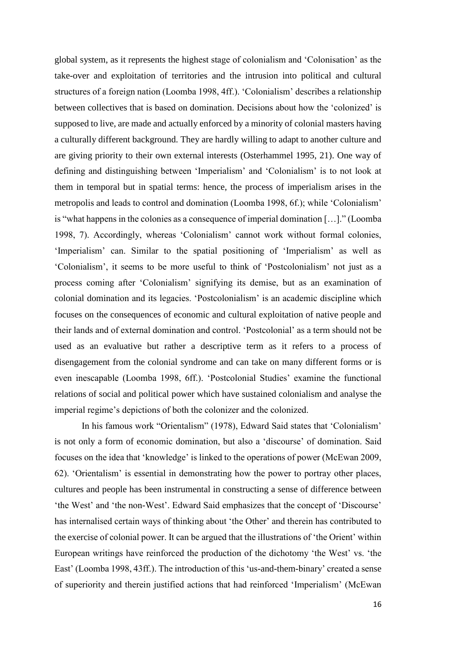global system, as it represents the highest stage of colonialism and 'Colonisation' as the take-over and exploitation of territories and the intrusion into political and cultural structures of a foreign nation (Loomba 1998, 4ff.). 'Colonialism' describes a relationship between collectives that is based on domination. Decisions about how the 'colonized' is supposed to live, are made and actually enforced by a minority of colonial masters having a culturally different background. They are hardly willing to adapt to another culture and are giving priority to their own external interests (Osterhammel 1995, 21). One way of defining and distinguishing between 'Imperialism' and 'Colonialism' is to not look at them in temporal but in spatial terms: hence, the process of imperialism arises in the metropolis and leads to control and domination (Loomba 1998, 6f.); while 'Colonialism' is "what happens in the colonies as a consequence of imperial domination […]." (Loomba 1998, 7). Accordingly, whereas 'Colonialism' cannot work without formal colonies, 'Imperialism' can. Similar to the spatial positioning of 'Imperialism' as well as 'Colonialism', it seems to be more useful to think of 'Postcolonialism' not just as a process coming after 'Colonialism' signifying its demise, but as an examination of colonial domination and its legacies. 'Postcolonialism' is an academic discipline which focuses on the consequences of economic and cultural exploitation of native people and their lands and of external domination and control. 'Postcolonial' as a term should not be used as an evaluative but rather a descriptive term as it refers to a process of disengagement from the colonial syndrome and can take on many different forms or is even inescapable (Loomba 1998, 6ff.). 'Postcolonial Studies' examine the functional relations of social and political power which have sustained colonialism and analyse the imperial regime's depictions of both the colonizer and the colonized.

In his famous work "Orientalism" (1978), Edward Said states that 'Colonialism' is not only a form of economic domination, but also a 'discourse' of domination. Said focuses on the idea that 'knowledge' is linked to the operations of power (McEwan 2009, 62). 'Orientalism' is essential in demonstrating how the power to portray other places, cultures and people has been instrumental in constructing a sense of difference between 'the West' and 'the non-West'. Edward Said emphasizes that the concept of 'Discourse' has internalised certain ways of thinking about 'the Other' and therein has contributed to the exercise of colonial power. It can be argued that the illustrations of 'the Orient' within European writings have reinforced the production of the dichotomy 'the West' vs. 'the East' (Loomba 1998, 43ff.). The introduction of this 'us-and-them-binary' created a sense of superiority and therein justified actions that had reinforced 'Imperialism' (McEwan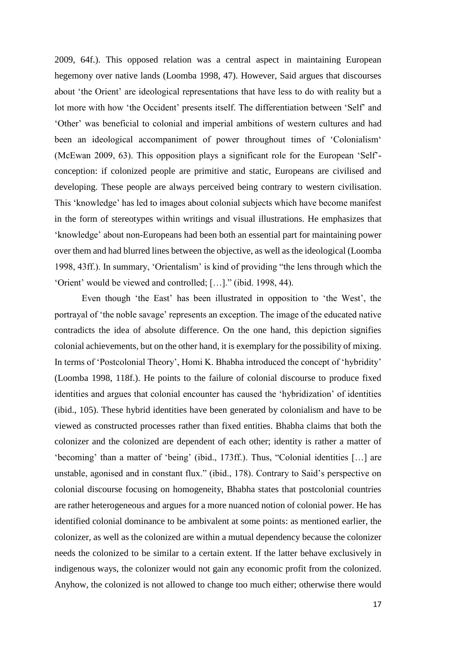2009, 64f.). This opposed relation was a central aspect in maintaining European hegemony over native lands (Loomba 1998, 47). However, Said argues that discourses about 'the Orient' are ideological representations that have less to do with reality but a lot more with how 'the Occident' presents itself. The differentiation between 'Self' and 'Other' was beneficial to colonial and imperial ambitions of western cultures and had been an ideological accompaniment of power throughout times of 'Colonialism' (McEwan 2009, 63). This opposition plays a significant role for the European 'Self' conception: if colonized people are primitive and static, Europeans are civilised and developing. These people are always perceived being contrary to western civilisation. This 'knowledge' has led to images about colonial subjects which have become manifest in the form of stereotypes within writings and visual illustrations. He emphasizes that 'knowledge' about non-Europeans had been both an essential part for maintaining power over them and had blurred lines between the objective, as well as the ideological (Loomba 1998, 43ff.). In summary, 'Orientalism' is kind of providing "the lens through which the 'Orient' would be viewed and controlled; […]." (ibid. 1998, 44).

Even though 'the East' has been illustrated in opposition to 'the West', the portrayal of 'the noble savage' represents an exception. The image of the educated native contradicts the idea of absolute difference. On the one hand, this depiction signifies colonial achievements, but on the other hand, it is exemplary for the possibility of mixing. In terms of 'Postcolonial Theory', Homi K. Bhabha introduced the concept of 'hybridity' (Loomba 1998, 118f.). He points to the failure of colonial discourse to produce fixed identities and argues that colonial encounter has caused the 'hybridization' of identities (ibid., 105). These hybrid identities have been generated by colonialism and have to be viewed as constructed processes rather than fixed entities. Bhabha claims that both the colonizer and the colonized are dependent of each other; identity is rather a matter of 'becoming' than a matter of 'being' (ibid., 173ff.). Thus, "Colonial identities […] are unstable, agonised and in constant flux." (ibid., 178). Contrary to Said's perspective on colonial discourse focusing on homogeneity, Bhabha states that postcolonial countries are rather heterogeneous and argues for a more nuanced notion of colonial power. He has identified colonial dominance to be ambivalent at some points: as mentioned earlier, the colonizer, as well as the colonized are within a mutual dependency because the colonizer needs the colonized to be similar to a certain extent. If the latter behave exclusively in indigenous ways, the colonizer would not gain any economic profit from the colonized. Anyhow, the colonized is not allowed to change too much either; otherwise there would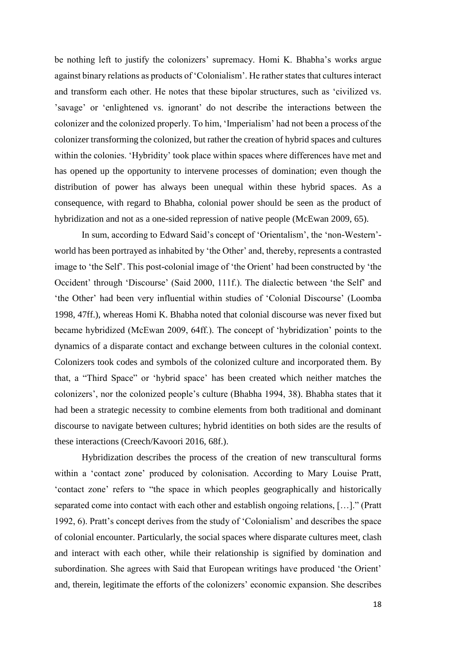be nothing left to justify the colonizers' supremacy. Homi K. Bhabha's works argue against binary relations as products of 'Colonialism'. He rather states that cultures interact and transform each other. He notes that these bipolar structures, such as 'civilized vs. 'savage' or 'enlightened vs. ignorant' do not describe the interactions between the colonizer and the colonized properly. To him, 'Imperialism' had not been a process of the colonizer transforming the colonized, but rather the creation of hybrid spaces and cultures within the colonies. 'Hybridity' took place within spaces where differences have met and has opened up the opportunity to intervene processes of domination; even though the distribution of power has always been unequal within these hybrid spaces. As a consequence, with regard to Bhabha, colonial power should be seen as the product of hybridization and not as a one-sided repression of native people (McEwan 2009, 65).

In sum, according to Edward Said's concept of 'Orientalism', the 'non-Western' world has been portrayed as inhabited by 'the Other' and, thereby, represents a contrasted image to 'the Self'. This post-colonial image of 'the Orient' had been constructed by 'the Occident' through 'Discourse' (Said 2000, 111f.). The dialectic between 'the Self' and 'the Other' had been very influential within studies of 'Colonial Discourse' (Loomba 1998, 47ff.), whereas Homi K. Bhabha noted that colonial discourse was never fixed but became hybridized (McEwan 2009, 64ff.). The concept of 'hybridization' points to the dynamics of a disparate contact and exchange between cultures in the colonial context. Colonizers took codes and symbols of the colonized culture and incorporated them. By that, a "Third Space" or 'hybrid space' has been created which neither matches the colonizers', nor the colonized people's culture (Bhabha 1994, 38). Bhabha states that it had been a strategic necessity to combine elements from both traditional and dominant discourse to navigate between cultures; hybrid identities on both sides are the results of these interactions (Creech/Kavoori 2016, 68f.).

Hybridization describes the process of the creation of new transcultural forms within a 'contact zone' produced by colonisation. According to Mary Louise Pratt, 'contact zone' refers to "the space in which peoples geographically and historically separated come into contact with each other and establish ongoing relations, […]." (Pratt 1992, 6). Pratt's concept derives from the study of 'Colonialism' and describes the space of colonial encounter. Particularly, the social spaces where disparate cultures meet, clash and interact with each other, while their relationship is signified by domination and subordination. She agrees with Said that European writings have produced 'the Orient' and, therein, legitimate the efforts of the colonizers' economic expansion. She describes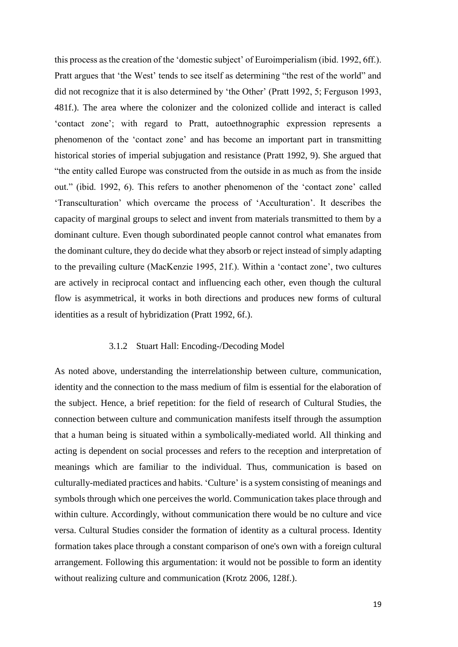this process as the creation of the 'domestic subject' of Euroimperialism (ibid. 1992, 6ff.). Pratt argues that 'the West' tends to see itself as determining "the rest of the world" and did not recognize that it is also determined by 'the Other' (Pratt 1992, 5; Ferguson 1993, 481f.). The area where the colonizer and the colonized collide and interact is called 'contact zone'; with regard to Pratt, autoethnographic expression represents a phenomenon of the 'contact zone' and has become an important part in transmitting historical stories of imperial subjugation and resistance (Pratt 1992, 9). She argued that "the entity called Europe was constructed from the outside in as much as from the inside out." (ibid. 1992, 6). This refers to another phenomenon of the 'contact zone' called 'Transculturation' which overcame the process of 'Acculturation'. It describes the capacity of marginal groups to select and invent from materials transmitted to them by a dominant culture. Even though subordinated people cannot control what emanates from the dominant culture, they do decide what they absorb or reject instead of simply adapting to the prevailing culture (MacKenzie 1995, 21f.). Within a 'contact zone', two cultures are actively in reciprocal contact and influencing each other, even though the cultural flow is asymmetrical, it works in both directions and produces new forms of cultural identities as a result of hybridization (Pratt 1992, 6f.).

#### 3.1.2 Stuart Hall: Encoding-/Decoding Model

As noted above, understanding the interrelationship between culture, communication, identity and the connection to the mass medium of film is essential for the elaboration of the subject. Hence, a brief repetition: for the field of research of Cultural Studies, the connection between culture and communication manifests itself through the assumption that a human being is situated within a symbolically-mediated world. All thinking and acting is dependent on social processes and refers to the reception and interpretation of meanings which are familiar to the individual. Thus, communication is based on culturally-mediated practices and habits. 'Culture' is a system consisting of meanings and symbols through which one perceives the world. Communication takes place through and within culture. Accordingly, without communication there would be no culture and vice versa. Cultural Studies consider the formation of identity as a cultural process. Identity formation takes place through a constant comparison of one's own with a foreign cultural arrangement. Following this argumentation: it would not be possible to form an identity without realizing culture and communication (Krotz 2006, 128f.).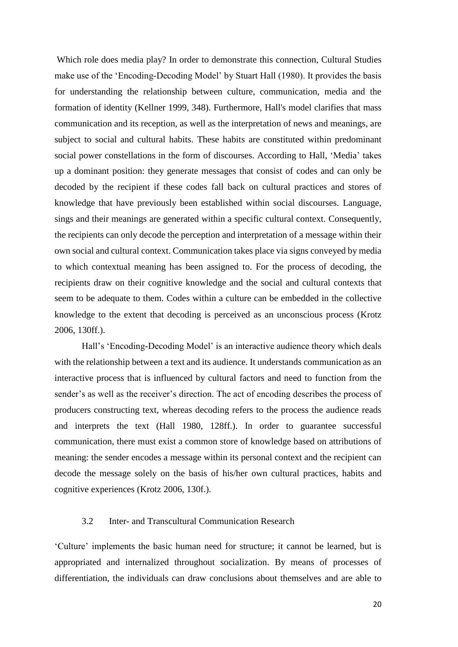Which role does media play? In order to demonstrate this connection, Cultural Studies make use of the 'Encoding-Decoding Model' by Stuart Hall (1980). It provides the basis for understanding the relationship between culture, communication, media and the formation of identity (Kellner 1999, 348). Furthermore, Hall's model clarifies that mass communication and its reception, as well as the interpretation of news and meanings, are subject to social and cultural habits. These habits are constituted within predominant social power constellations in the form of discourses. According to Hall, 'Media' takes up a dominant position: they generate messages that consist of codes and can only be decoded by the recipient if these codes fall back on cultural practices and stores of knowledge that have previously been established within social discourses. Language, sings and their meanings are generated within a specific cultural context. Consequently, the recipients can only decode the perception and interpretation of a message within their own social and cultural context. Communication takes place via signs conveyed by media to which contextual meaning has been assigned to. For the process of decoding, the recipients draw on their cognitive knowledge and the social and cultural contexts that seem to be adequate to them. Codes within a culture can be embedded in the collective knowledge to the extent that decoding is perceived as an unconscious process (Krotz 2006, 130ff.).

Hall's 'Encoding-Decoding Model' is an interactive audience theory which deals with the relationship between a text and its audience. It understands communication as an interactive process that is influenced by cultural factors and need to function from the sender's as well as the receiver's direction. The act of encoding describes the process of producers constructing text, whereas decoding refers to the process the audience reads and interprets the text (Hall 1980, 128ff.). In order to guarantee successful communication, there must exist a common store of knowledge based on attributions of meaning: the sender encodes a message within its personal context and the recipient can decode the message solely on the basis of his/her own cultural practices, habits and cognitive experiences (Krotz 2006, 130f.).

#### 3.2 Inter- and Transcultural Communication Research

'Culture' implements the basic human need for structure; it cannot be learned, but is appropriated and internalized throughout socialization. By means of processes of differentiation, the individuals can draw conclusions about themselves and are able to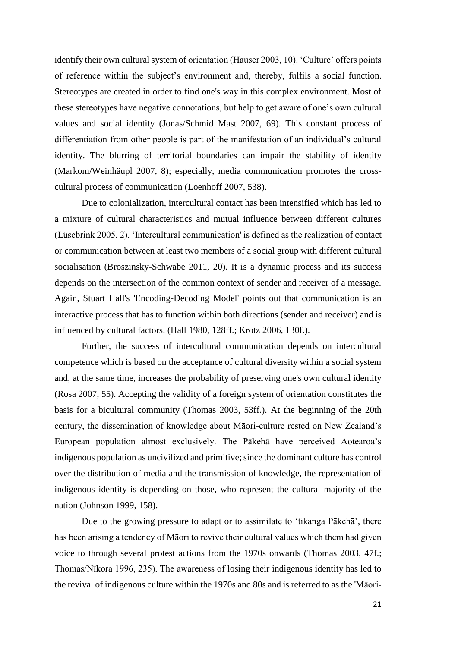identify their own cultural system of orientation (Hauser 2003, 10). 'Culture' offers points of reference within the subject's environment and, thereby, fulfils a social function. Stereotypes are created in order to find one's way in this complex environment. Most of these stereotypes have negative connotations, but help to get aware of one's own cultural values and social identity (Jonas/Schmid Mast 2007, 69). This constant process of differentiation from other people is part of the manifestation of an individual's cultural identity. The blurring of territorial boundaries can impair the stability of identity (Markom/Weinhäupl 2007, 8); especially, media communication promotes the crosscultural process of communication (Loenhoff 2007, 538).

Due to colonialization, intercultural contact has been intensified which has led to a mixture of cultural characteristics and mutual influence between different cultures (Lüsebrink 2005, 2). 'Intercultural communication' is defined as the realization of contact or communication between at least two members of a social group with different cultural socialisation (Broszinsky-Schwabe 2011, 20). It is a dynamic process and its success depends on the intersection of the common context of sender and receiver of a message. Again, Stuart Hall's 'Encoding-Decoding Model' points out that communication is an interactive process that has to function within both directions (sender and receiver) and is influenced by cultural factors. (Hall 1980, 128ff.; Krotz 2006, 130f.).

Further, the success of intercultural communication depends on intercultural competence which is based on the acceptance of cultural diversity within a social system and, at the same time, increases the probability of preserving one's own cultural identity (Rosa 2007, 55). Accepting the validity of a foreign system of orientation constitutes the basis for a bicultural community (Thomas 2003, 53ff.). At the beginning of the 20th century, the dissemination of knowledge about Māori-culture rested on New Zealand's European population almost exclusively. The Pākehā have perceived Aotearoa's indigenous population as uncivilized and primitive; since the dominant culture has control over the distribution of media and the transmission of knowledge, the representation of indigenous identity is depending on those, who represent the cultural majority of the nation (Johnson 1999, 158).

Due to the growing pressure to adapt or to assimilate to 'tikanga Pākehā', there has been arising a tendency of Māori to revive their cultural values which them had given voice to through several protest actions from the 1970s onwards (Thomas 2003, 47f.; Thomas/Nīkora 1996, 235). The awareness of losing their indigenous identity has led to the revival of indigenous culture within the 1970s and 80s and is referred to as the 'Māori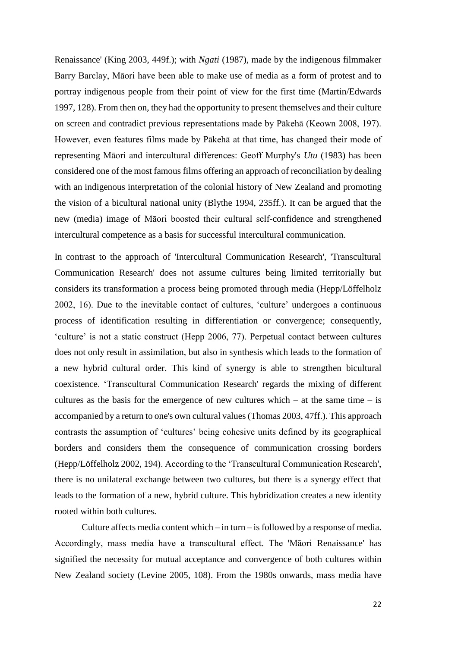Renaissance' (King 2003, 449f.); with *Ngati* (1987), made by the indigenous filmmaker Barry Barclay, Māori have been able to make use of media as a form of protest and to portray indigenous people from their point of view for the first time (Martin/Edwards 1997, 128). From then on, they had the opportunity to present themselves and their culture on screen and contradict previous representations made by Pākehā (Keown 2008, 197). However, even features films made by Pākehā at that time, has changed their mode of representing Māori and intercultural differences: Geoff Murphy's *Utu* (1983) has been considered one of the most famous films offering an approach of reconciliation by dealing with an indigenous interpretation of the colonial history of New Zealand and promoting the vision of a bicultural national unity (Blythe 1994, 235ff.). It can be argued that the new (media) image of Māori boosted their cultural self-confidence and strengthened intercultural competence as a basis for successful intercultural communication.

In contrast to the approach of 'Intercultural Communication Research', 'Transcultural Communication Research' does not assume cultures being limited territorially but considers its transformation a process being promoted through media (Hepp/Löffelholz 2002, 16). Due to the inevitable contact of cultures, 'culture' undergoes a continuous process of identification resulting in differentiation or convergence; consequently, 'culture' is not a static construct (Hepp 2006, 77). Perpetual contact between cultures does not only result in assimilation, but also in synthesis which leads to the formation of a new hybrid cultural order. This kind of synergy is able to strengthen bicultural coexistence. 'Transcultural Communication Research' regards the mixing of different cultures as the basis for the emergence of new cultures which – at the same time – is accompanied by a return to one's own cultural values (Thomas 2003, 47ff.). This approach contrasts the assumption of 'cultures' being cohesive units defined by its geographical borders and considers them the consequence of communication crossing borders (Hepp/Löffelholz 2002, 194). According to the 'Transcultural Communication Research', there is no unilateral exchange between two cultures, but there is a synergy effect that leads to the formation of a new, hybrid culture. This hybridization creates a new identity rooted within both cultures.

Culture affects media content which – in turn – is followed by a response of media. Accordingly, mass media have a transcultural effect. The 'Māori Renaissance' has signified the necessity for mutual acceptance and convergence of both cultures within New Zealand society (Levine 2005, 108). From the 1980s onwards, mass media have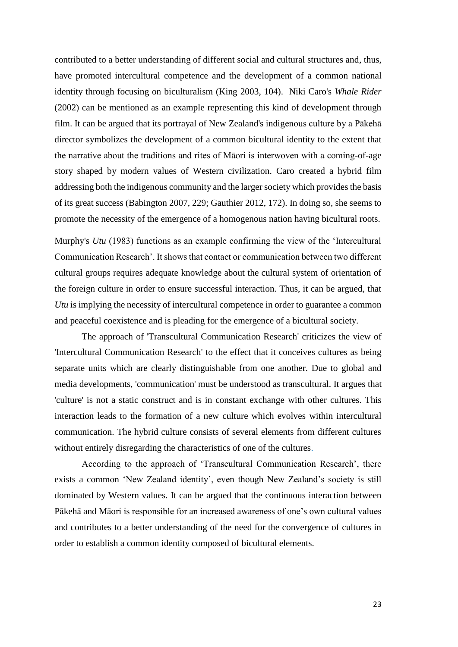contributed to a better understanding of different social and cultural structures and, thus, have promoted intercultural competence and the development of a common national identity through focusing on biculturalism (King 2003, 104). Niki Caro's *Whale Rider* (2002) can be mentioned as an example representing this kind of development through film. It can be argued that its portrayal of New Zealand's indigenous culture by a Pākehā director symbolizes the development of a common bicultural identity to the extent that the narrative about the traditions and rites of Māori is interwoven with a coming-of-age story shaped by modern values of Western civilization. Caro created a hybrid film addressing both the indigenous community and the larger society which provides the basis of its great success (Babington 2007, 229; Gauthier 2012, 172). In doing so, she seems to promote the necessity of the emergence of a homogenous nation having bicultural roots.

Murphy's *Utu* (1983) functions as an example confirming the view of the 'Intercultural Communication Research'. It shows that contact or communication between two different cultural groups requires adequate knowledge about the cultural system of orientation of the foreign culture in order to ensure successful interaction. Thus, it can be argued, that *Utu* is implying the necessity of intercultural competence in order to guarantee a common and peaceful coexistence and is pleading for the emergence of a bicultural society.

The approach of 'Transcultural Communication Research' criticizes the view of 'Intercultural Communication Research' to the effect that it conceives cultures as being separate units which are clearly distinguishable from one another. Due to global and media developments, 'communication' must be understood as transcultural. It argues that 'culture' is not a static construct and is in constant exchange with other cultures. This interaction leads to the formation of a new culture which evolves within intercultural communication. The hybrid culture consists of several elements from different cultures without entirely disregarding the characteristics of one of the cultures.

According to the approach of 'Transcultural Communication Research', there exists a common 'New Zealand identity', even though New Zealand's society is still dominated by Western values. It can be argued that the continuous interaction between Pākehā and Māori is responsible for an increased awareness of one's own cultural values and contributes to a better understanding of the need for the convergence of cultures in order to establish a common identity composed of bicultural elements.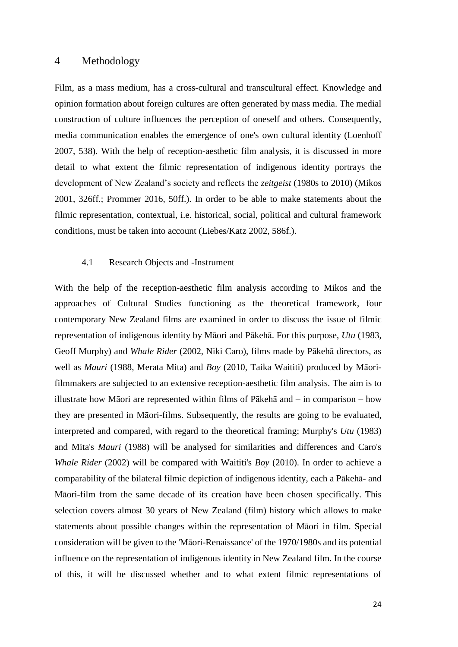#### 4 Methodology

Film, as a mass medium, has a cross-cultural and transcultural effect. Knowledge and opinion formation about foreign cultures are often generated by mass media. The medial construction of culture influences the perception of oneself and others. Consequently, media communication enables the emergence of one's own cultural identity (Loenhoff 2007, 538). With the help of reception-aesthetic film analysis, it is discussed in more detail to what extent the filmic representation of indigenous identity portrays the development of New Zealand's society and reflects the *zeitgeist* (1980s to 2010) (Mikos 2001, 326ff.; Prommer 2016, 50ff.). In order to be able to make statements about the filmic representation, contextual, i.e. historical, social, political and cultural framework conditions, must be taken into account (Liebes/Katz 2002, 586f.).

#### 4.1 Research Objects and -Instrument

With the help of the reception-aesthetic film analysis according to Mikos and the approaches of Cultural Studies functioning as the theoretical framework, four contemporary New Zealand films are examined in order to discuss the issue of filmic representation of indigenous identity by Māori and Pākehā. For this purpose, *Utu* (1983, Geoff Murphy) and *Whale Rider* (2002, Niki Caro), films made by Pākehā directors, as well as *Mauri* (1988, Merata Mita) and *Boy* (2010, Taika Waititi) produced by Māorifilmmakers are subjected to an extensive reception-aesthetic film analysis. The aim is to illustrate how Māori are represented within films of Pākehā and – in comparison – how they are presented in Māori-films. Subsequently, the results are going to be evaluated, interpreted and compared, with regard to the theoretical framing; Murphy's *Utu* (1983) and Mita's *Mauri* (1988) will be analysed for similarities and differences and Caro's *Whale Rider* (2002) will be compared with Waititi's *Boy* (2010). In order to achieve a comparability of the bilateral filmic depiction of indigenous identity, each a Pākehā- and Māori-film from the same decade of its creation have been chosen specifically. This selection covers almost 30 years of New Zealand (film) history which allows to make statements about possible changes within the representation of Māori in film. Special consideration will be given to the 'Māori-Renaissance' of the 1970/1980s and its potential influence on the representation of indigenous identity in New Zealand film. In the course of this, it will be discussed whether and to what extent filmic representations of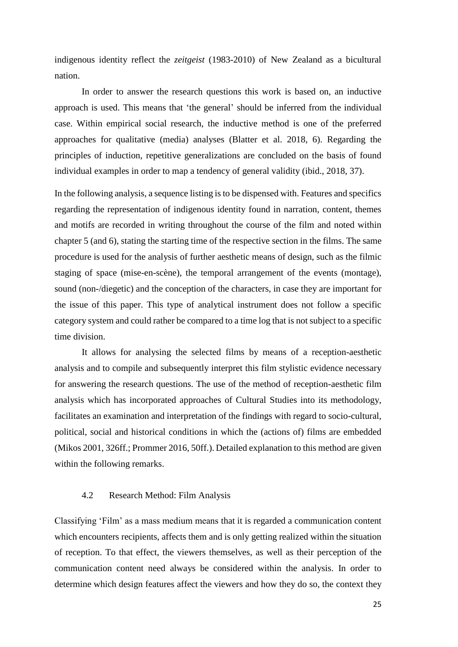indigenous identity reflect the *zeitgeist* (1983-2010) of New Zealand as a bicultural nation.

In order to answer the research questions this work is based on, an inductive approach is used. This means that 'the general' should be inferred from the individual case. Within empirical social research, the inductive method is one of the preferred approaches for qualitative (media) analyses (Blatter et al. 2018, 6). Regarding the principles of induction, repetitive generalizations are concluded on the basis of found individual examples in order to map a tendency of general validity (ibid., 2018, 37).

In the following analysis, a sequence listing is to be dispensed with. Features and specifics regarding the representation of indigenous identity found in narration, content, themes and motifs are recorded in writing throughout the course of the film and noted within chapter 5 (and 6), stating the starting time of the respective section in the films. The same procedure is used for the analysis of further aesthetic means of design, such as the filmic staging of space (mise-en-scène), the temporal arrangement of the events (montage), sound (non-/diegetic) and the conception of the characters, in case they are important for the issue of this paper. This type of analytical instrument does not follow a specific category system and could rather be compared to a time log that is not subject to a specific time division.

It allows for analysing the selected films by means of a reception-aesthetic analysis and to compile and subsequently interpret this film stylistic evidence necessary for answering the research questions. The use of the method of reception-aesthetic film analysis which has incorporated approaches of Cultural Studies into its methodology, facilitates an examination and interpretation of the findings with regard to socio-cultural, political, social and historical conditions in which the (actions of) films are embedded (Mikos 2001, 326ff.; Prommer 2016, 50ff.). Detailed explanation to this method are given within the following remarks.

#### 4.2 Research Method: Film Analysis

Classifying 'Film' as a mass medium means that it is regarded a communication content which encounters recipients, affects them and is only getting realized within the situation of reception. To that effect, the viewers themselves, as well as their perception of the communication content need always be considered within the analysis. In order to determine which design features affect the viewers and how they do so, the context they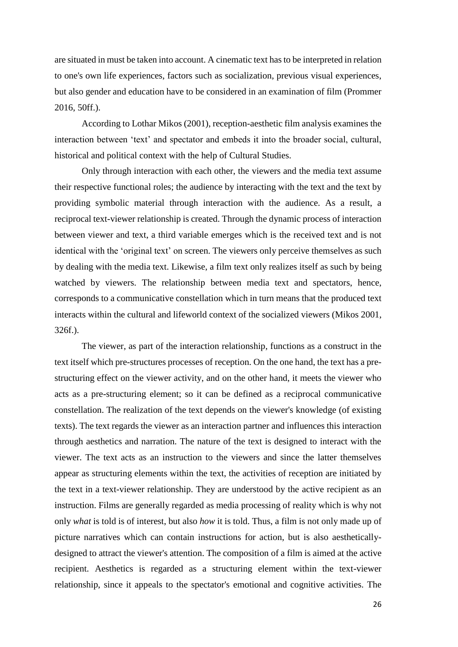are situated in must be taken into account. A cinematic text has to be interpreted in relation to one's own life experiences, factors such as socialization, previous visual experiences, but also gender and education have to be considered in an examination of film (Prommer 2016, 50ff.).

According to Lothar Mikos (2001), reception-aesthetic film analysis examines the interaction between 'text' and spectator and embeds it into the broader social, cultural, historical and political context with the help of Cultural Studies.

Only through interaction with each other, the viewers and the media text assume their respective functional roles; the audience by interacting with the text and the text by providing symbolic material through interaction with the audience. As a result, a reciprocal text-viewer relationship is created. Through the dynamic process of interaction between viewer and text, a third variable emerges which is the received text and is not identical with the 'original text' on screen. The viewers only perceive themselves as such by dealing with the media text. Likewise, a film text only realizes itself as such by being watched by viewers. The relationship between media text and spectators, hence, corresponds to a communicative constellation which in turn means that the produced text interacts within the cultural and lifeworld context of the socialized viewers (Mikos 2001, 326f.).

The viewer, as part of the interaction relationship, functions as a construct in the text itself which pre-structures processes of reception. On the one hand, the text has a prestructuring effect on the viewer activity, and on the other hand, it meets the viewer who acts as a pre-structuring element; so it can be defined as a reciprocal communicative constellation. The realization of the text depends on the viewer's knowledge (of existing texts). The text regards the viewer as an interaction partner and influences this interaction through aesthetics and narration. The nature of the text is designed to interact with the viewer. The text acts as an instruction to the viewers and since the latter themselves appear as structuring elements within the text, the activities of reception are initiated by the text in a text-viewer relationship. They are understood by the active recipient as an instruction. Films are generally regarded as media processing of reality which is why not only *what* is told is of interest, but also *how* it is told. Thus, a film is not only made up of picture narratives which can contain instructions for action, but is also aestheticallydesigned to attract the viewer's attention. The composition of a film is aimed at the active recipient. Aesthetics is regarded as a structuring element within the text-viewer relationship, since it appeals to the spectator's emotional and cognitive activities. The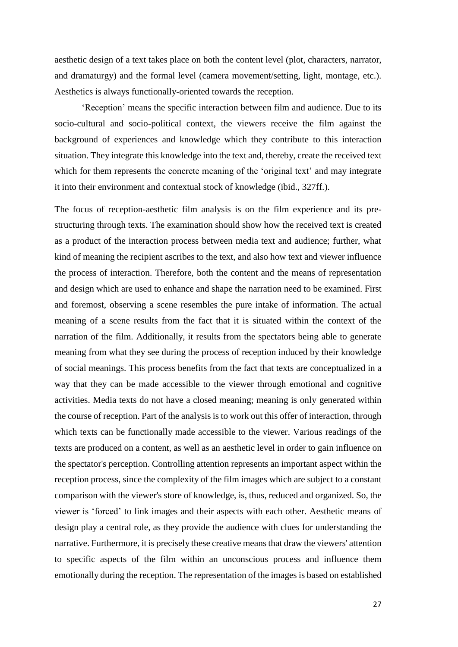aesthetic design of a text takes place on both the content level (plot, characters, narrator, and dramaturgy) and the formal level (camera movement/setting, light, montage, etc.). Aesthetics is always functionally-oriented towards the reception.

'Reception' means the specific interaction between film and audience. Due to its socio-cultural and socio-political context, the viewers receive the film against the background of experiences and knowledge which they contribute to this interaction situation. They integrate this knowledge into the text and, thereby, create the received text which for them represents the concrete meaning of the 'original text' and may integrate it into their environment and contextual stock of knowledge (ibid., 327ff.).

The focus of reception-aesthetic film analysis is on the film experience and its prestructuring through texts. The examination should show how the received text is created as a product of the interaction process between media text and audience; further, what kind of meaning the recipient ascribes to the text, and also how text and viewer influence the process of interaction. Therefore, both the content and the means of representation and design which are used to enhance and shape the narration need to be examined. First and foremost, observing a scene resembles the pure intake of information. The actual meaning of a scene results from the fact that it is situated within the context of the narration of the film. Additionally, it results from the spectators being able to generate meaning from what they see during the process of reception induced by their knowledge of social meanings. This process benefits from the fact that texts are conceptualized in a way that they can be made accessible to the viewer through emotional and cognitive activities. Media texts do not have a closed meaning; meaning is only generated within the course of reception. Part of the analysis is to work out this offer of interaction, through which texts can be functionally made accessible to the viewer. Various readings of the texts are produced on a content, as well as an aesthetic level in order to gain influence on the spectator's perception. Controlling attention represents an important aspect within the reception process, since the complexity of the film images which are subject to a constant comparison with the viewer's store of knowledge, is, thus, reduced and organized. So, the viewer is 'forced' to link images and their aspects with each other. Aesthetic means of design play a central role, as they provide the audience with clues for understanding the narrative. Furthermore, it is precisely these creative means that draw the viewers' attention to specific aspects of the film within an unconscious process and influence them emotionally during the reception. The representation of the images is based on established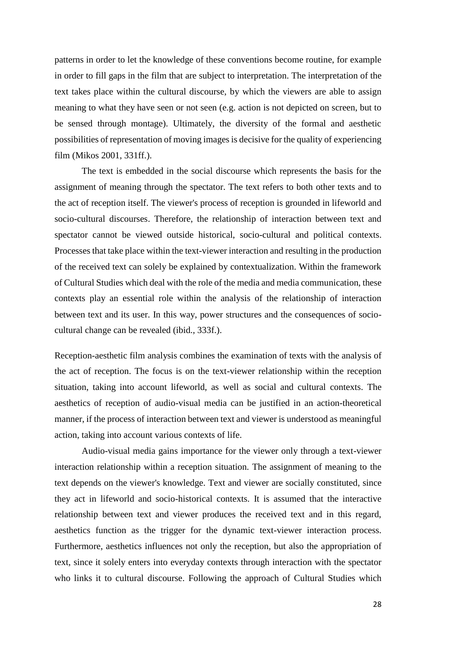patterns in order to let the knowledge of these conventions become routine, for example in order to fill gaps in the film that are subject to interpretation. The interpretation of the text takes place within the cultural discourse, by which the viewers are able to assign meaning to what they have seen or not seen (e.g. action is not depicted on screen, but to be sensed through montage). Ultimately, the diversity of the formal and aesthetic possibilities of representation of moving images is decisive for the quality of experiencing film (Mikos 2001, 331ff.).

The text is embedded in the social discourse which represents the basis for the assignment of meaning through the spectator. The text refers to both other texts and to the act of reception itself. The viewer's process of reception is grounded in lifeworld and socio-cultural discourses. Therefore, the relationship of interaction between text and spectator cannot be viewed outside historical, socio-cultural and political contexts. Processes that take place within the text-viewer interaction and resulting in the production of the received text can solely be explained by contextualization. Within the framework of Cultural Studies which deal with the role of the media and media communication, these contexts play an essential role within the analysis of the relationship of interaction between text and its user. In this way, power structures and the consequences of sociocultural change can be revealed (ibid., 333f.).

Reception-aesthetic film analysis combines the examination of texts with the analysis of the act of reception. The focus is on the text-viewer relationship within the reception situation, taking into account lifeworld, as well as social and cultural contexts. The aesthetics of reception of audio-visual media can be justified in an action-theoretical manner, if the process of interaction between text and viewer is understood as meaningful action, taking into account various contexts of life.

Audio-visual media gains importance for the viewer only through a text-viewer interaction relationship within a reception situation. The assignment of meaning to the text depends on the viewer's knowledge. Text and viewer are socially constituted, since they act in lifeworld and socio-historical contexts. It is assumed that the interactive relationship between text and viewer produces the received text and in this regard, aesthetics function as the trigger for the dynamic text-viewer interaction process. Furthermore, aesthetics influences not only the reception, but also the appropriation of text, since it solely enters into everyday contexts through interaction with the spectator who links it to cultural discourse. Following the approach of Cultural Studies which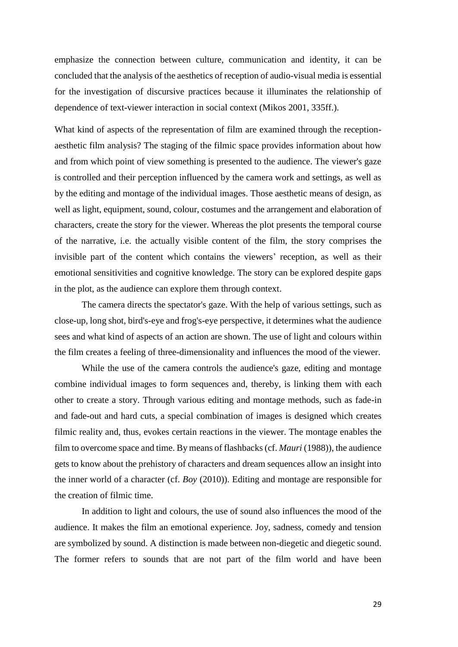emphasize the connection between culture, communication and identity, it can be concluded that the analysis of the aesthetics of reception of audio-visual media is essential for the investigation of discursive practices because it illuminates the relationship of dependence of text-viewer interaction in social context (Mikos 2001, 335ff.).

What kind of aspects of the representation of film are examined through the receptionaesthetic film analysis? The staging of the filmic space provides information about how and from which point of view something is presented to the audience. The viewer's gaze is controlled and their perception influenced by the camera work and settings, as well as by the editing and montage of the individual images. Those aesthetic means of design, as well as light, equipment, sound, colour, costumes and the arrangement and elaboration of characters, create the story for the viewer. Whereas the plot presents the temporal course of the narrative, i.e. the actually visible content of the film, the story comprises the invisible part of the content which contains the viewers' reception, as well as their emotional sensitivities and cognitive knowledge. The story can be explored despite gaps in the plot, as the audience can explore them through context.

The camera directs the spectator's gaze. With the help of various settings, such as close-up, long shot, bird's-eye and frog's-eye perspective, it determines what the audience sees and what kind of aspects of an action are shown. The use of light and colours within the film creates a feeling of three-dimensionality and influences the mood of the viewer.

While the use of the camera controls the audience's gaze, editing and montage combine individual images to form sequences and, thereby, is linking them with each other to create a story. Through various editing and montage methods, such as fade-in and fade-out and hard cuts, a special combination of images is designed which creates filmic reality and, thus, evokes certain reactions in the viewer. The montage enables the film to overcome space and time. By means of flashbacks (cf. *Mauri* (1988)), the audience gets to know about the prehistory of characters and dream sequences allow an insight into the inner world of a character (cf. *Boy* (2010)). Editing and montage are responsible for the creation of filmic time.

In addition to light and colours, the use of sound also influences the mood of the audience. It makes the film an emotional experience. Joy, sadness, comedy and tension are symbolized by sound. A distinction is made between non-diegetic and diegetic sound. The former refers to sounds that are not part of the film world and have been

29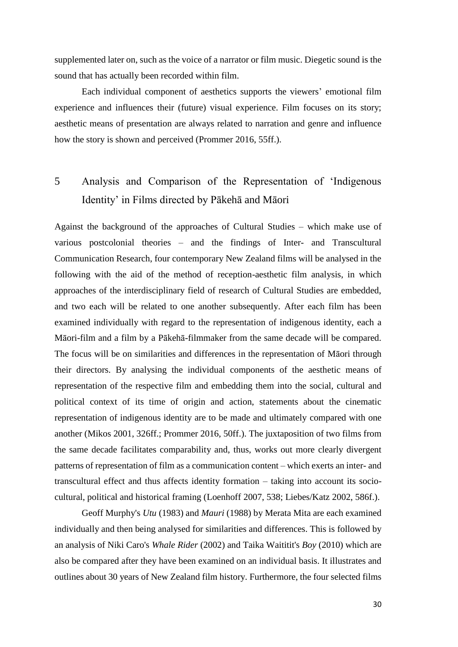supplemented later on, such as the voice of a narrator or film music. Diegetic sound is the sound that has actually been recorded within film.

Each individual component of aesthetics supports the viewers' emotional film experience and influences their (future) visual experience. Film focuses on its story; aesthetic means of presentation are always related to narration and genre and influence how the story is shown and perceived (Prommer 2016, 55ff.).

## 5 Analysis and Comparison of the Representation of 'Indigenous Identity' in Films directed by Pākehā and Māori

Against the background of the approaches of Cultural Studies – which make use of various postcolonial theories – and the findings of Inter- and Transcultural Communication Research, four contemporary New Zealand films will be analysed in the following with the aid of the method of reception-aesthetic film analysis, in which approaches of the interdisciplinary field of research of Cultural Studies are embedded, and two each will be related to one another subsequently. After each film has been examined individually with regard to the representation of indigenous identity, each a Māori-film and a film by a Pākehā-filmmaker from the same decade will be compared. The focus will be on similarities and differences in the representation of Māori through their directors. By analysing the individual components of the aesthetic means of representation of the respective film and embedding them into the social, cultural and political context of its time of origin and action, statements about the cinematic representation of indigenous identity are to be made and ultimately compared with one another (Mikos 2001, 326ff.; Prommer 2016, 50ff.). The juxtaposition of two films from the same decade facilitates comparability and, thus, works out more clearly divergent patterns of representation of film as a communication content – which exerts an inter- and transcultural effect and thus affects identity formation – taking into account its sociocultural, political and historical framing (Loenhoff 2007, 538; Liebes/Katz 2002, 586f.).

Geoff Murphy's *Utu* (1983) and *Mauri* (1988) by Merata Mita are each examined individually and then being analysed for similarities and differences. This is followed by an analysis of Niki Caro's *Whale Rider* (2002) and Taika Waititit's *Boy* (2010) which are also be compared after they have been examined on an individual basis. It illustrates and outlines about 30 years of New Zealand film history. Furthermore, the four selected films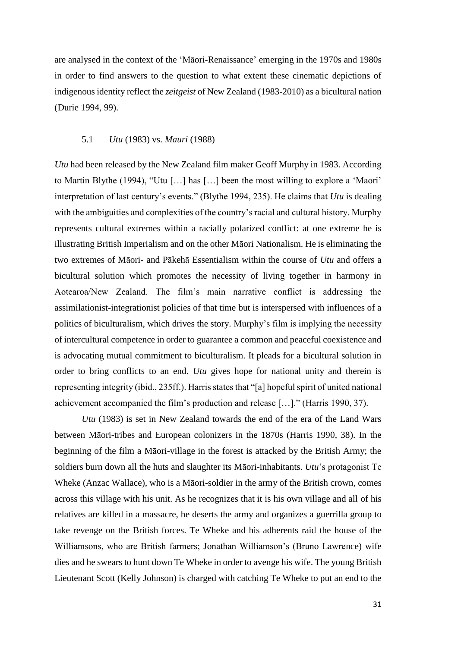are analysed in the context of the 'Māori-Renaissance' emerging in the 1970s and 1980s in order to find answers to the question to what extent these cinematic depictions of indigenous identity reflect the *zeitgeist* of New Zealand (1983-2010) as a bicultural nation (Durie 1994, 99).

#### 5.1 *Utu* (1983) vs. *Mauri* (1988)

*Utu* had been released by the New Zealand film maker Geoff Murphy in 1983. According to Martin Blythe (1994), "Utu […] has […] been the most willing to explore a 'Maori' interpretation of last century's events." (Blythe 1994, 235). He claims that *Utu* is dealing with the ambiguities and complexities of the country's racial and cultural history. Murphy represents cultural extremes within a racially polarized conflict: at one extreme he is illustrating British Imperialism and on the other Māori Nationalism. He is eliminating the two extremes of Māori- and Pākehā Essentialism within the course of *Utu* and offers a bicultural solution which promotes the necessity of living together in harmony in Aotearoa/New Zealand. The film's main narrative conflict is addressing the assimilationist-integrationist policies of that time but is interspersed with influences of a politics of biculturalism, which drives the story. Murphy's film is implying the necessity of intercultural competence in order to guarantee a common and peaceful coexistence and is advocating mutual commitment to biculturalism. It pleads for a bicultural solution in order to bring conflicts to an end. *Utu* gives hope for national unity and therein is representing integrity (ibid., 235ff.). Harris states that "[a] hopeful spirit of united national achievement accompanied the film's production and release […]." (Harris 1990, 37).

*Utu* (1983) is set in New Zealand towards the end of the era of the Land Wars between Māori-tribes and European colonizers in the 1870s (Harris 1990, 38). In the beginning of the film a Māori-village in the forest is attacked by the British Army; the soldiers burn down all the huts and slaughter its Māori-inhabitants. *Utu*'s protagonist Te Wheke (Anzac Wallace), who is a Māori-soldier in the army of the British crown, comes across this village with his unit. As he recognizes that it is his own village and all of his relatives are killed in a massacre, he deserts the army and organizes a guerrilla group to take revenge on the British forces. Te Wheke and his adherents raid the house of the Williamsons, who are British farmers; Jonathan Williamson's (Bruno Lawrence) wife dies and he swears to hunt down Te Wheke in order to avenge his wife. The young British Lieutenant Scott (Kelly Johnson) is charged with catching Te Wheke to put an end to the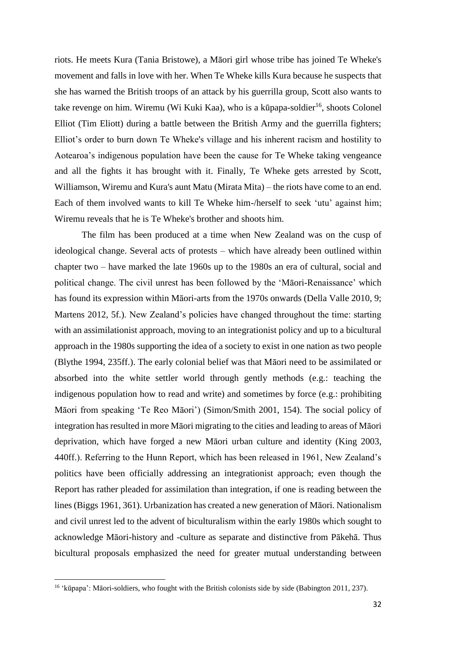riots. He meets Kura (Tania Bristowe), a Māori girl whose tribe has joined Te Wheke's movement and falls in love with her. When Te Wheke kills Kura because he suspects that she has warned the British troops of an attack by his guerrilla group, Scott also wants to take revenge on him. Wiremu (Wi Kuki Kaa), who is a kūpapa-soldier<sup>16</sup>, shoots Colonel Elliot (Tim Eliott) during a battle between the British Army and the guerrilla fighters; Elliot's order to burn down Te Wheke's village and his inherent racism and hostility to Aotearoa's indigenous population have been the cause for Te Wheke taking vengeance and all the fights it has brought with it. Finally, Te Wheke gets arrested by Scott, Williamson, Wiremu and Kura's aunt Matu (Mirata Mita) – the riots have come to an end. Each of them involved wants to kill Te Wheke him-/herself to seek 'utu' against him; Wiremu reveals that he is Te Wheke's brother and shoots him.

The film has been produced at a time when New Zealand was on the cusp of ideological change. Several acts of protests – which have already been outlined within chapter two – have marked the late 1960s up to the 1980s an era of cultural, social and political change. The civil unrest has been followed by the 'Māori-Renaissance' which has found its expression within Māori-arts from the 1970s onwards (Della Valle 2010, 9; Martens 2012, 5f.). New Zealand's policies have changed throughout the time: starting with an assimilationist approach, moving to an integrationist policy and up to a bicultural approach in the 1980s supporting the idea of a society to exist in one nation as two people (Blythe 1994, 235ff.). The early colonial belief was that Māori need to be assimilated or absorbed into the white settler world through gently methods (e.g.: teaching the indigenous population how to read and write) and sometimes by force (e.g.: prohibiting Māori from speaking 'Te Reo Māori') (Simon/Smith 2001, 154). The social policy of integration has resulted in more Māori migrating to the cities and leading to areas of Māori deprivation, which have forged a new Māori urban culture and identity (King 2003, 440ff.). Referring to the Hunn Report, which has been released in 1961, New Zealand's politics have been officially addressing an integrationist approach; even though the Report has rather pleaded for assimilation than integration, if one is reading between the lines (Biggs 1961, 361). Urbanization has created a new generation of Māori. Nationalism and civil unrest led to the advent of biculturalism within the early 1980s which sought to acknowledge Māori-history and -culture as separate and distinctive from Pākehā. Thus bicultural proposals emphasized the need for greater mutual understanding between

<sup>16</sup> 'kūpapa': Māori-soldiers, who fought with the British colonists side by side (Babington 2011, 237).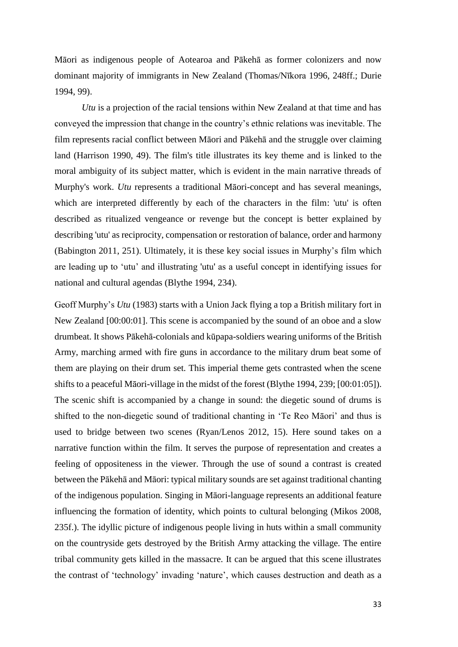Māori as indigenous people of Aotearoa and Pākehā as former colonizers and now dominant majority of immigrants in New Zealand (Thomas/Nīkora 1996, 248ff.; Durie 1994, 99).

*Utu* is a projection of the racial tensions within New Zealand at that time and has conveyed the impression that change in the country's ethnic relations was inevitable. The film represents racial conflict between Māori and Pākehā and the struggle over claiming land (Harrison 1990, 49). The film's title illustrates its key theme and is linked to the moral ambiguity of its subject matter, which is evident in the main narrative threads of Murphy's work. *Utu* represents a traditional Māori-concept and has several meanings, which are interpreted differently by each of the characters in the film: 'utu' is often described as ritualized vengeance or revenge but the concept is better explained by describing 'utu' as reciprocity, compensation or restoration of balance, order and harmony (Babington 2011, 251). Ultimately, it is these key social issues in Murphy's film which are leading up to 'utu' and illustrating 'utu' as a useful concept in identifying issues for national and cultural agendas (Blythe 1994, 234).

Geoff Murphy's *Utu* (1983) starts with a Union Jack flying a top a British military fort in New Zealand [00:00:01]. This scene is accompanied by the sound of an oboe and a slow drumbeat. It shows Pākehā-colonials and kūpapa-soldiers wearing uniforms of the British Army, marching armed with fire guns in accordance to the military drum beat some of them are playing on their drum set. This imperial theme gets contrasted when the scene shifts to a peaceful Māori-village in the midst of the forest (Blythe 1994, 239; [00:01:05]). The scenic shift is accompanied by a change in sound: the diegetic sound of drums is shifted to the non-diegetic sound of traditional chanting in 'Te Reo Māori' and thus is used to bridge between two scenes (Ryan/Lenos 2012, 15). Here sound takes on a narrative function within the film. It serves the purpose of representation and creates a feeling of oppositeness in the viewer. Through the use of sound a contrast is created between the Pākehā and Māori: typical military sounds are set against traditional chanting of the indigenous population. Singing in Māori-language represents an additional feature influencing the formation of identity, which points to cultural belonging (Mikos 2008, 235f.). The idyllic picture of indigenous people living in huts within a small community on the countryside gets destroyed by the British Army attacking the village. The entire tribal community gets killed in the massacre. It can be argued that this scene illustrates the contrast of 'technology' invading 'nature', which causes destruction and death as a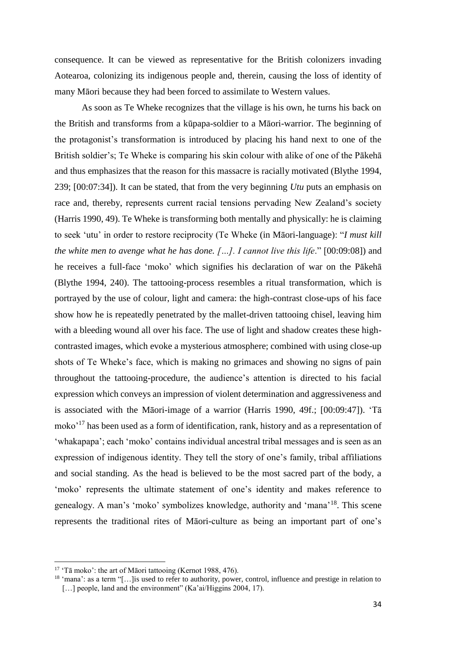consequence. It can be viewed as representative for the British colonizers invading Aotearoa, colonizing its indigenous people and, therein, causing the loss of identity of many Māori because they had been forced to assimilate to Western values.

As soon as Te Wheke recognizes that the village is his own, he turns his back on the British and transforms from a kūpapa-soldier to a Māori-warrior. The beginning of the protagonist's transformation is introduced by placing his hand next to one of the British soldier's; Te Wheke is comparing his skin colour with alike of one of the Pākehā and thus emphasizes that the reason for this massacre is racially motivated (Blythe 1994, 239; [00:07:34]). It can be stated, that from the very beginning *Utu* puts an emphasis on race and, thereby, represents current racial tensions pervading New Zealand's society (Harris 1990, 49). Te Wheke is transforming both mentally and physically: he is claiming to seek 'utu' in order to restore reciprocity (Te Wheke (in Māori-language): "*I must kill the white men to avenge what he has done.* [...]. *I cannot live this life*." [00:09:08]) and he receives a full-face 'moko' which signifies his declaration of war on the Pākehā (Blythe 1994, 240). The tattooing-process resembles a ritual transformation, which is portrayed by the use of colour, light and camera: the high-contrast close-ups of his face show how he is repeatedly penetrated by the mallet-driven tattooing chisel, leaving him with a bleeding wound all over his face. The use of light and shadow creates these highcontrasted images, which evoke a mysterious atmosphere; combined with using close-up shots of Te Wheke's face, which is making no grimaces and showing no signs of pain throughout the tattooing-procedure, the audience's attention is directed to his facial expression which conveys an impression of violent determination and aggressiveness and is associated with the Māori-image of a warrior (Harris 1990, 49f.; [00:09:47]). 'Tā moko'<sup>17</sup> has been used as a form of identification, rank, history and as a representation of 'whakapapa'; each 'moko' contains individual ancestral tribal messages and is seen as an expression of indigenous identity. They tell the story of one's family, tribal affiliations and social standing. As the head is believed to be the most sacred part of the body, a 'moko' represents the ultimate statement of one's identity and makes reference to genealogy. A man's 'moko' symbolizes knowledge, authority and 'mana'<sup>18</sup>. This scene represents the traditional rites of Māori-culture as being an important part of one's

l

<sup>&</sup>lt;sup>17</sup> 'Tā moko': the art of Māori tattooing (Kernot 1988, 476).

<sup>18</sup> 'mana': as a term "[…]is used to refer to authority, power, control, influence and prestige in relation to [...] people, land and the environment" (Ka'ai/Higgins 2004, 17).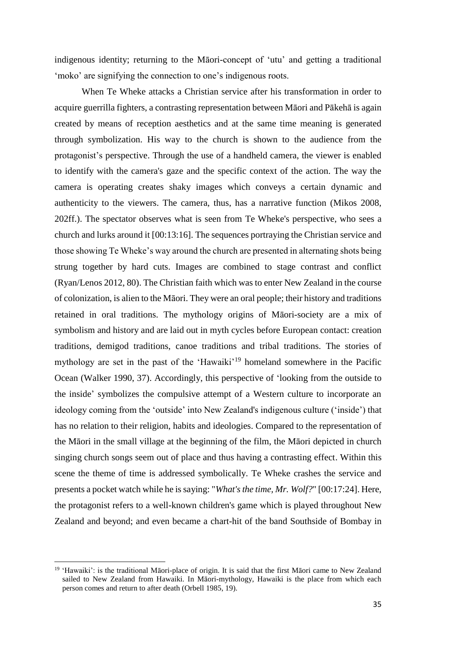indigenous identity; returning to the Māori-concept of 'utu' and getting a traditional 'moko' are signifying the connection to one's indigenous roots.

When Te Wheke attacks a Christian service after his transformation in order to acquire guerrilla fighters, a contrasting representation between Māori and Pākehā is again created by means of reception aesthetics and at the same time meaning is generated through symbolization. His way to the church is shown to the audience from the protagonist's perspective. Through the use of a handheld camera, the viewer is enabled to identify with the camera's gaze and the specific context of the action. The way the camera is operating creates shaky images which conveys a certain dynamic and authenticity to the viewers. The camera, thus, has a narrative function (Mikos 2008, 202ff.). The spectator observes what is seen from Te Wheke's perspective, who sees a church and lurks around it [00:13:16]. The sequences portraying the Christian service and those showing Te Wheke's way around the church are presented in alternating shots being strung together by hard cuts. Images are combined to stage contrast and conflict (Ryan/Lenos 2012, 80). The Christian faith which was to enter New Zealand in the course of colonization, is alien to the Māori. They were an oral people; their history and traditions retained in oral traditions. The mythology origins of Māori-society are a mix of symbolism and history and are laid out in myth cycles before European contact: creation traditions, demigod traditions, canoe traditions and tribal traditions. The stories of mythology are set in the past of the 'Hawaiki'<sup>19</sup> homeland somewhere in the Pacific Ocean (Walker 1990, 37). Accordingly, this perspective of 'looking from the outside to the inside' symbolizes the compulsive attempt of a Western culture to incorporate an ideology coming from the 'outside' into New Zealand's indigenous culture ('inside') that has no relation to their religion, habits and ideologies. Compared to the representation of the Māori in the small village at the beginning of the film, the Māori depicted in church singing church songs seem out of place and thus having a contrasting effect. Within this scene the theme of time is addressed symbolically. Te Wheke crashes the service and presents a pocket watch while he is saying: "*What's the time, Mr. Wolf?*" [00:17:24]. Here, the protagonist refers to a well-known children's game which is played throughout New Zealand and beyond; and even became a chart-hit of the band Southside of Bombay in

l

<sup>&</sup>lt;sup>19</sup> 'Hawaiki': is the traditional Māori-place of origin. It is said that the first Māori came to New Zealand sailed to New Zealand from Hawaiki. In Māori-mythology, Hawaiki is the place from which each person comes and return to after death (Orbell 1985, 19).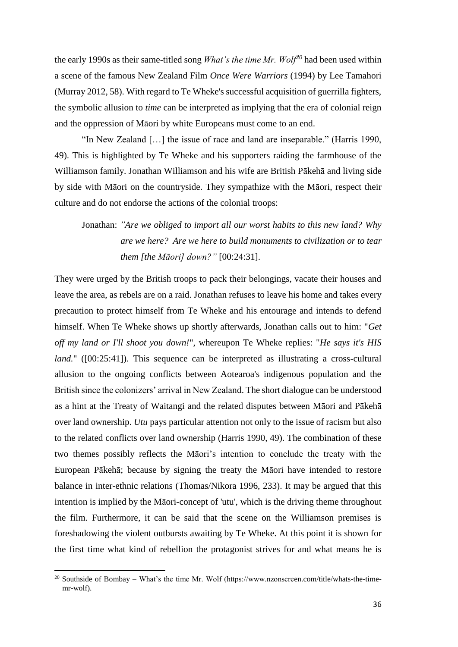the early 1990s as their same-titled song *What's the time Mr. Wolf<sup>20</sup>* had been used within a scene of the famous New Zealand Film *Once Were Warriors* (1994) by Lee Tamahori (Murray 2012, 58). With regard to Te Wheke's successful acquisition of guerrilla fighters, the symbolic allusion to *time* can be interpreted as implying that the era of colonial reign and the oppression of Māori by white Europeans must come to an end.

"In New Zealand […] the issue of race and land are inseparable." (Harris 1990, 49). This is highlighted by Te Wheke and his supporters raiding the farmhouse of the Williamson family. Jonathan Williamson and his wife are British Pākehā and living side by side with Māori on the countryside. They sympathize with the Māori, respect their culture and do not endorse the actions of the colonial troops:

Jonathan: *"Are we obliged to import all our worst habits to this new land? Why are we here? Are we here to build monuments to civilization or to tear them [the Māori] down?"* [00:24:31].

They were urged by the British troops to pack their belongings, vacate their houses and leave the area, as rebels are on a raid. Jonathan refuses to leave his home and takes every precaution to protect himself from Te Wheke and his entourage and intends to defend himself. When Te Wheke shows up shortly afterwards, Jonathan calls out to him: "*Get off my land or I'll shoot you down!*", whereupon Te Wheke replies: "*He says it's HIS land.*" ([00:25:41]). This sequence can be interpreted as illustrating a cross-cultural allusion to the ongoing conflicts between Aotearoa's indigenous population and the British since the colonizers' arrival in New Zealand. The short dialogue can be understood as a hint at the Treaty of Waitangi and the related disputes between Māori and Pākehā over land ownership. *Utu* pays particular attention not only to the issue of racism but also to the related conflicts over land ownership (Harris 1990, 49). The combination of these two themes possibly reflects the Māori's intention to conclude the treaty with the European Pākehā; because by signing the treaty the Māori have intended to restore balance in inter-ethnic relations (Thomas/Nikora 1996, 233). It may be argued that this intention is implied by the Māori-concept of 'utu', which is the driving theme throughout the film. Furthermore, it can be said that the scene on the Williamson premises is foreshadowing the violent outbursts awaiting by Te Wheke. At this point it is shown for the first time what kind of rebellion the protagonist strives for and what means he is

<sup>&</sup>lt;sup>20</sup> Southside of Bombay – What's the time Mr. Wolf (https://www.nzonscreen.com/title/whats-the-timemr-wolf).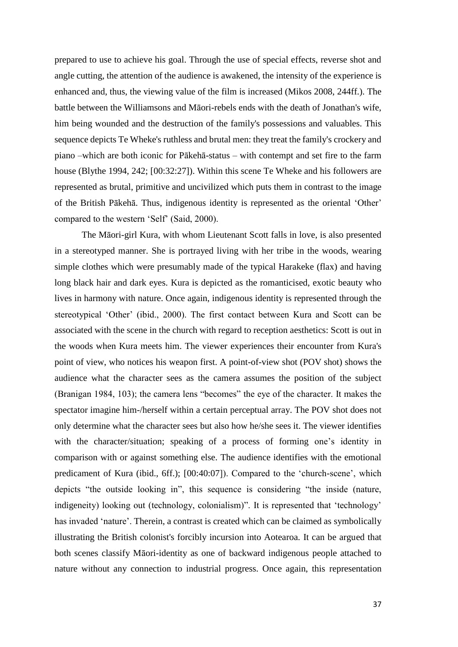prepared to use to achieve his goal. Through the use of special effects, reverse shot and angle cutting, the attention of the audience is awakened, the intensity of the experience is enhanced and, thus, the viewing value of the film is increased (Mikos 2008, 244ff.). The battle between the Williamsons and Māori-rebels ends with the death of Jonathan's wife, him being wounded and the destruction of the family's possessions and valuables. This sequence depicts Te Wheke's ruthless and brutal men: they treat the family's crockery and piano –which are both iconic for Pākehā-status – with contempt and set fire to the farm house (Blythe 1994, 242; [00:32:27]). Within this scene Te Wheke and his followers are represented as brutal, primitive and uncivilized which puts them in contrast to the image of the British Pākehā. Thus, indigenous identity is represented as the oriental 'Other' compared to the western 'Self' (Said, 2000).

The Māori-girl Kura, with whom Lieutenant Scott falls in love, is also presented in a stereotyped manner. She is portrayed living with her tribe in the woods, wearing simple clothes which were presumably made of the typical Harakeke (flax) and having long black hair and dark eyes. Kura is depicted as the romanticised, exotic beauty who lives in harmony with nature. Once again, indigenous identity is represented through the stereotypical 'Other' (ibid., 2000). The first contact between Kura and Scott can be associated with the scene in the church with regard to reception aesthetics: Scott is out in the woods when Kura meets him. The viewer experiences their encounter from Kura's point of view, who notices his weapon first. A point-of-view shot (POV shot) shows the audience what the character sees as the camera assumes the position of the subject (Branigan 1984, 103); the camera lens "becomes" the eye of the character. It makes the spectator imagine him-/herself within a certain perceptual array. The POV shot does not only determine what the character sees but also how he/she sees it. The viewer identifies with the character/situation; speaking of a process of forming one's identity in comparison with or against something else. The audience identifies with the emotional predicament of Kura (ibid., 6ff.); [00:40:07]). Compared to the 'church-scene', which depicts "the outside looking in", this sequence is considering "the inside (nature, indigeneity) looking out (technology, colonialism)". It is represented that 'technology' has invaded 'nature'. Therein, a contrast is created which can be claimed as symbolically illustrating the British colonist's forcibly incursion into Aotearoa. It can be argued that both scenes classify Māori-identity as one of backward indigenous people attached to nature without any connection to industrial progress. Once again, this representation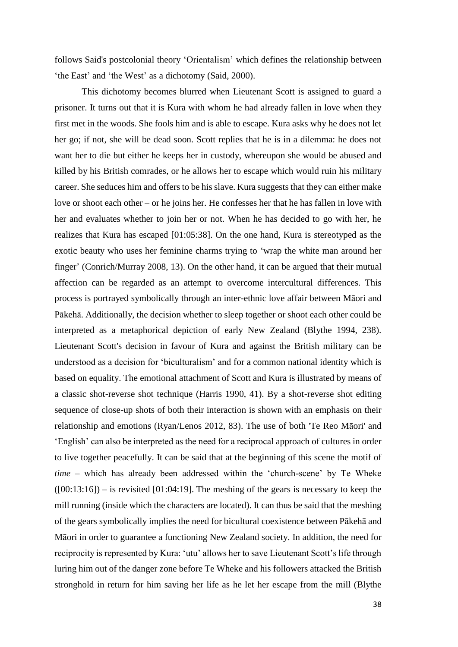follows Said's postcolonial theory 'Orientalism' which defines the relationship between 'the East' and 'the West' as a dichotomy (Said, 2000).

This dichotomy becomes blurred when Lieutenant Scott is assigned to guard a prisoner. It turns out that it is Kura with whom he had already fallen in love when they first met in the woods. She fools him and is able to escape. Kura asks why he does not let her go; if not, she will be dead soon. Scott replies that he is in a dilemma: he does not want her to die but either he keeps her in custody, whereupon she would be abused and killed by his British comrades, or he allows her to escape which would ruin his military career. She seduces him and offers to be his slave. Kura suggests that they can either make love or shoot each other – or he joins her. He confesses her that he has fallen in love with her and evaluates whether to join her or not. When he has decided to go with her, he realizes that Kura has escaped [01:05:38]. On the one hand, Kura is stereotyped as the exotic beauty who uses her feminine charms trying to 'wrap the white man around her finger' (Conrich/Murray 2008, 13). On the other hand, it can be argued that their mutual affection can be regarded as an attempt to overcome intercultural differences. This process is portrayed symbolically through an inter-ethnic love affair between Māori and Pākehā. Additionally, the decision whether to sleep together or shoot each other could be interpreted as a metaphorical depiction of early New Zealand (Blythe 1994, 238). Lieutenant Scott's decision in favour of Kura and against the British military can be understood as a decision for 'biculturalism' and for a common national identity which is based on equality. The emotional attachment of Scott and Kura is illustrated by means of a classic shot-reverse shot technique (Harris 1990, 41). By a shot-reverse shot editing sequence of close-up shots of both their interaction is shown with an emphasis on their relationship and emotions (Ryan/Lenos 2012, 83). The use of both 'Te Reo Māori' and 'English' can also be interpreted as the need for a reciprocal approach of cultures in order to live together peacefully. It can be said that at the beginning of this scene the motif of *time* – which has already been addressed within the 'church-scene' by Te Wheke  $([00:13:16])$  – is revisited [01:04:19]. The meshing of the gears is necessary to keep the mill running (inside which the characters are located). It can thus be said that the meshing of the gears symbolically implies the need for bicultural coexistence between Pākehā and Māori in order to guarantee a functioning New Zealand society. In addition, the need for reciprocity is represented by Kura: 'utu' allows her to save Lieutenant Scott's life through luring him out of the danger zone before Te Wheke and his followers attacked the British stronghold in return for him saving her life as he let her escape from the mill (Blythe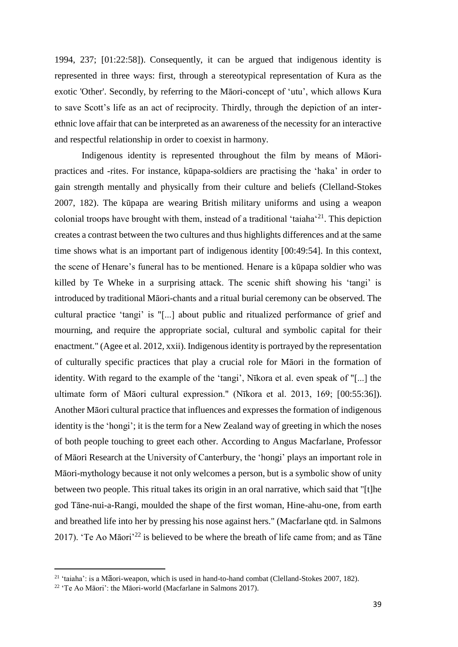1994, 237; [01:22:58]). Consequently, it can be argued that indigenous identity is represented in three ways: first, through a stereotypical representation of Kura as the exotic 'Other'. Secondly, by referring to the Māori-concept of 'utu', which allows Kura to save Scott's life as an act of reciprocity. Thirdly, through the depiction of an interethnic love affair that can be interpreted as an awareness of the necessity for an interactive and respectful relationship in order to coexist in harmony.

Indigenous identity is represented throughout the film by means of Māoripractices and -rites. For instance, kūpapa-soldiers are practising the 'haka' in order to gain strength mentally and physically from their culture and beliefs (Clelland-Stokes 2007, 182). The kūpapa are wearing British military uniforms and using a weapon colonial troops have brought with them, instead of a traditional 'taiaha'<sup>21</sup>. This depiction creates a contrast between the two cultures and thus highlights differences and at the same time shows what is an important part of indigenous identity [00:49:54]. In this context, the scene of Henare's funeral has to be mentioned. Henare is a kūpapa soldier who was killed by Te Wheke in a surprising attack. The scenic shift showing his 'tangi' is introduced by traditional Māori-chants and a ritual burial ceremony can be observed. The cultural practice 'tangi' is "[...] about public and ritualized performance of grief and mourning, and require the appropriate social, cultural and symbolic capital for their enactment." (Agee et al. 2012, xxii). Indigenous identity is portrayed by the representation of culturally specific practices that play a crucial role for Māori in the formation of identity. With regard to the example of the 'tangi', Nīkora et al. even speak of "[...] the ultimate form of Māori cultural expression." (Nīkora et al. 2013, 169; [00:55:36]). Another Māori cultural practice that influences and expresses the formation of indigenous identity is the 'hongi'; it is the term for a New Zealand way of greeting in which the noses of both people touching to greet each other. According to Angus Macfarlane, Professor of Māori Research at the University of Canterbury, the 'hongi' plays an important role in Māori-mythology because it not only welcomes a person, but is a symbolic show of unity between two people. This ritual takes its origin in an oral narrative, which said that "[t]he god Tāne-nui-a-Rangi, moulded the shape of the first woman, Hine-ahu-one, from earth and breathed life into her by pressing his nose against hers." (Macfarlane qtd. in Salmons 2017). 'Te Ao Māori'<sup>22</sup> is believed to be where the breath of life came from; and as Tāne

 $21$  'taiaha': is a Māori-weapon, which is used in hand-to-hand combat (Clelland-Stokes 2007, 182).

<sup>22</sup> 'Te Ao Māori': the Māori-world (Macfarlane in Salmons 2017).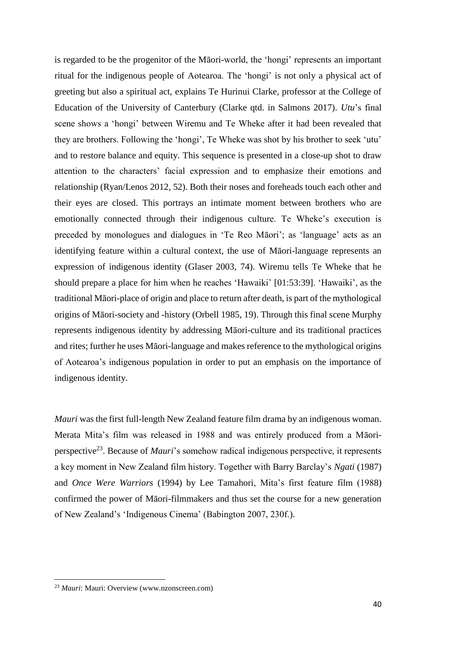is regarded to be the progenitor of the Māori-world, the 'hongi' represents an important ritual for the indigenous people of Aotearoa. The 'hongi' is not only a physical act of greeting but also a spiritual act, explains Te Hurinui Clarke, professor at the College of Education of the University of Canterbury (Clarke qtd. in Salmons 2017). *Utu*'s final scene shows a 'hongi' between Wiremu and Te Wheke after it had been revealed that they are brothers. Following the 'hongi', Te Wheke was shot by his brother to seek 'utu' and to restore balance and equity. This sequence is presented in a close-up shot to draw attention to the characters' facial expression and to emphasize their emotions and relationship (Ryan/Lenos 2012, 52). Both their noses and foreheads touch each other and their eyes are closed. This portrays an intimate moment between brothers who are emotionally connected through their indigenous culture. Te Wheke's execution is preceded by monologues and dialogues in 'Te Reo Māori'; as 'language' acts as an identifying feature within a cultural context, the use of Māori-language represents an expression of indigenous identity (Glaser 2003, 74). Wiremu tells Te Wheke that he should prepare a place for him when he reaches 'Hawaiki' [01:53:39]. 'Hawaiki', as the traditional Māori-place of origin and place to return after death, is part of the mythological origins of Māori-society and -history (Orbell 1985, 19). Through this final scene Murphy represents indigenous identity by addressing Māori-culture and its traditional practices and rites; further he uses Māori-language and makes reference to the mythological origins of Aotearoa's indigenous population in order to put an emphasis on the importance of indigenous identity.

*Mauri* was the first full-length New Zealand feature film drama by an indigenous woman. Merata Mita's film was released in 1988 and was entirely produced from a Māoriperspective<sup>23</sup>. Because of *Mauri*'s somehow radical indigenous perspective, it represents a key moment in New Zealand film history. Together with Barry Barclay's *Ngati* (1987) and *Once Were Warriors* (1994) by Lee Tamahori, Mita's first feature film (1988) confirmed the power of Māori-filmmakers and thus set the course for a new generation of New Zealand's 'Indigenous Cinema' (Babington 2007, 230f.).

<sup>23</sup> *Mauri*: Mauri: Overview (www.nzonscreen.com)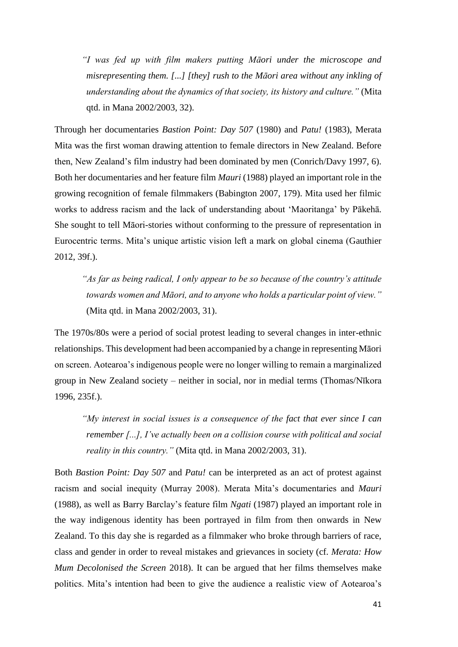*"I was fed up with film makers putting Māori under the microscope and misrepresenting them. [...] [they] rush to the Māori area without any inkling of understanding about the dynamics of that society, its history and culture."* (Mita qtd. in Mana 2002/2003, 32).

Through her documentaries *Bastion Point: Day 507* (1980) and *Patu!* (1983), Merata Mita was the first woman drawing attention to female directors in New Zealand. Before then, New Zealand's film industry had been dominated by men (Conrich/Davy 1997, 6). Both her documentaries and her feature film *Mauri* (1988) played an important role in the growing recognition of female filmmakers (Babington 2007, 179). Mita used her filmic works to address racism and the lack of understanding about 'Maoritanga' by Pākehā. She sought to tell Māori-stories without conforming to the pressure of representation in Eurocentric terms. Mita's unique artistic vision left a mark on global cinema (Gauthier 2012, 39f.).

*"As far as being radical, I only appear to be so because of the country's attitude towards women and Māori, and to anyone who holds a particular point of view."* (Mita qtd. in Mana 2002/2003, 31).

The 1970s/80s were a period of social protest leading to several changes in inter-ethnic relationships. This development had been accompanied by a change in representing Māori on screen. Aotearoa's indigenous people were no longer willing to remain a marginalized group in New Zealand society – neither in social, nor in medial terms (Thomas/Nīkora 1996, 235f.).

*"My interest in social issues is a consequence of the fact that ever since I can remember [...], I've actually been on a collision course with political and social reality in this country."* (Mita qtd. in Mana 2002/2003, 31).

Both *Bastion Point: Day 507* and *Patu!* can be interpreted as an act of protest against racism and social inequity (Murray 2008). Merata Mita's documentaries and *Mauri* (1988), as well as Barry Barclay's feature film *Ngati* (1987) played an important role in the way indigenous identity has been portrayed in film from then onwards in New Zealand. To this day she is regarded as a filmmaker who broke through barriers of race, class and gender in order to reveal mistakes and grievances in society (cf. *Merata: How Mum Decolonised the Screen* 2018). It can be argued that her films themselves make politics. Mita's intention had been to give the audience a realistic view of Aotearoa's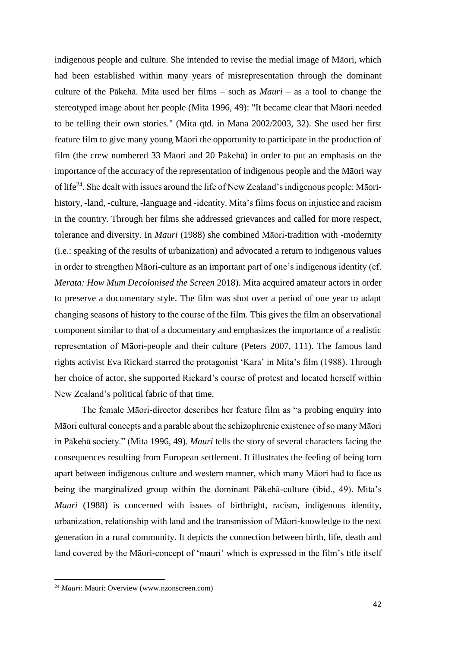indigenous people and culture. She intended to revise the medial image of Māori, which had been established within many years of misrepresentation through the dominant culture of the Pākehā. Mita used her films – such as *Mauri* – as a tool to change the stereotyped image about her people (Mita 1996, 49): "It became clear that Māori needed to be telling their own stories." (Mita qtd. in Mana 2002/2003, 32). She used her first feature film to give many young Māori the opportunity to participate in the production of film (the crew numbered 33 Māori and 20 Pākehā) in order to put an emphasis on the importance of the accuracy of the representation of indigenous people and the Māori way of life<sup>24</sup>. She dealt with issues around the life of New Zealand's indigenous people: Māorihistory, -land, -culture, -language and -identity. Mita's films focus on injustice and racism in the country. Through her films she addressed grievances and called for more respect, tolerance and diversity. In *Mauri* (1988) she combined Māori-tradition with -modernity (i.e.: speaking of the results of urbanization) and advocated a return to indigenous values in order to strengthen Māori-culture as an important part of one's indigenous identity (cf. *Merata: How Mum Decolonised the Screen* 2018). Mita acquired amateur actors in order to preserve a documentary style. The film was shot over a period of one year to adapt changing seasons of history to the course of the film. This gives the film an observational component similar to that of a documentary and emphasizes the importance of a realistic representation of Māori-people and their culture (Peters 2007, 111). The famous land rights activist Eva Rickard starred the protagonist 'Kara' in Mita's film (1988). Through her choice of actor, she supported Rickard's course of protest and located herself within New Zealand's political fabric of that time.

The female Māori-director describes her feature film as "a probing enquiry into Māori cultural concepts and a parable about the schizophrenic existence of so many Māori in Pākehā society." (Mita 1996, 49). *Mauri* tells the story of several characters facing the consequences resulting from European settlement. It illustrates the feeling of being torn apart between indigenous culture and western manner, which many Māori had to face as being the marginalized group within the dominant Pākehā-culture (ibid., 49). Mita's *Mauri* (1988) is concerned with issues of birthright, racism, indigenous identity, urbanization, relationship with land and the transmission of Māori-knowledge to the next generation in a rural community. It depicts the connection between birth, life, death and land covered by the Māori-concept of 'mauri' which is expressed in the film's title itself

<sup>24</sup> *Mauri*: Mauri: Overview (www.nzonscreen.com)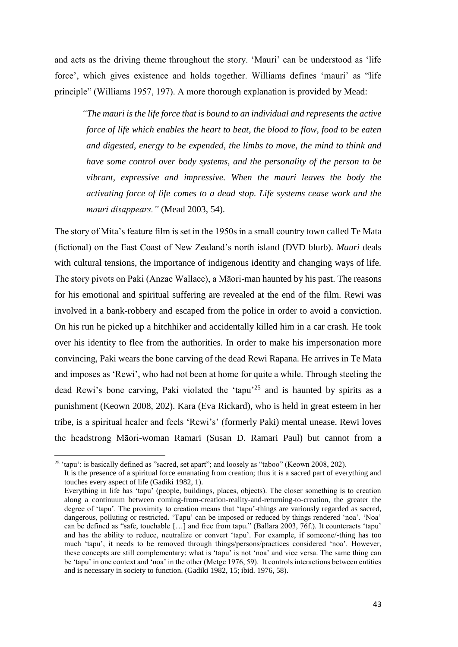and acts as the driving theme throughout the story. 'Mauri' can be understood as 'life force', which gives existence and holds together. Williams defines 'mauri' as "life principle" (Williams 1957, 197). A more thorough explanation is provided by Mead:

*"The mauri is the life force that is bound to an individual and represents the active force of life which enables the heart to beat, the blood to flow, food to be eaten and digested, energy to be expended, the limbs to move, the mind to think and have some control over body systems, and the personality of the person to be vibrant, expressive and impressive. When the mauri leaves the body the activating force of life comes to a dead stop. Life systems cease work and the mauri disappears."* (Mead 2003, 54).

The story of Mita's feature film is set in the 1950s in a small country town called Te Mata (fictional) on the East Coast of New Zealand's north island (DVD blurb). *Mauri* deals with cultural tensions, the importance of indigenous identity and changing ways of life. The story pivots on Paki (Anzac Wallace), a Māori-man haunted by his past. The reasons for his emotional and spiritual suffering are revealed at the end of the film. Rewi was involved in a bank-robbery and escaped from the police in order to avoid a conviction. On his run he picked up a hitchhiker and accidentally killed him in a car crash. He took over his identity to flee from the authorities. In order to make his impersonation more convincing, Paki wears the bone carving of the dead Rewi Rapana. He arrives in Te Mata and imposes as 'Rewi', who had not been at home for quite a while. Through steeling the dead Rewi's bone carving, Paki violated the 'tapu'<sup>25</sup> and is haunted by spirits as a punishment (Keown 2008, 202). Kara (Eva Rickard), who is held in great esteem in her tribe, is a spiritual healer and feels 'Rewi's' (formerly Paki) mental unease. Rewi loves the headstrong Māori-woman Ramari (Susan D. Ramari Paul) but cannot from a

 $\overline{a}$ 

<sup>&</sup>lt;sup>25</sup> 'tapu': is basically defined as "sacred, set apart"; and loosely as "taboo" (Keown 2008, 202).

It is the presence of a spiritual force emanating from creation; thus it is a sacred part of everything and touches every aspect of life (Gadiki 1982, 1).

Everything in life has 'tapu' (people, buildings, places, objects). The closer something is to creation along a continuum between coming-from-creation-reality-and-returning-to-creation, the greater the degree of 'tapu'. The proximity to creation means that 'tapu'-things are variously regarded as sacred, dangerous, polluting or restricted. 'Tapu' can be imposed or reduced by things rendered 'noa'. 'Noa' can be defined as "safe, touchable […] and free from tapu." (Ballara 2003, 76f.). It counteracts 'tapu' and has the ability to reduce, neutralize or convert 'tapu'. For example, if someone/-thing has too much 'tapu', it needs to be removed through things/persons/practices considered 'noa'. However, these concepts are still complementary: what is 'tapu' is not 'noa' and vice versa. The same thing can be 'tapu' in one context and 'noa' in the other (Metge 1976, 59). It controls interactions between entities and is necessary in society to function. (Gadiki 1982, 15; ibid. 1976, 58).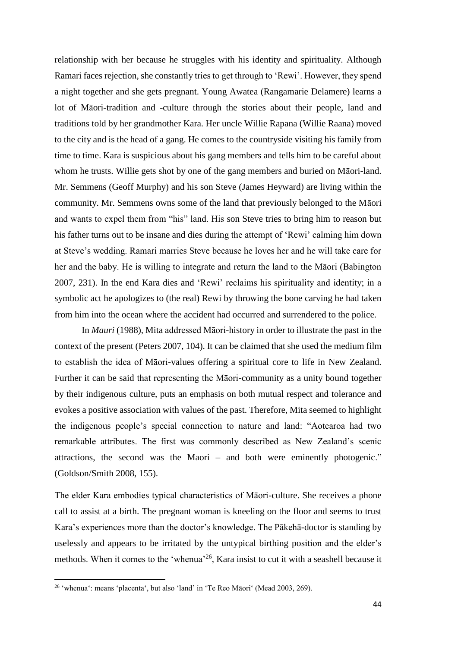relationship with her because he struggles with his identity and spirituality. Although Ramari faces rejection, she constantly tries to get through to 'Rewi'. However, they spend a night together and she gets pregnant. Young Awatea (Rangamarie Delamere) learns a lot of Māori-tradition and -culture through the stories about their people, land and traditions told by her grandmother Kara. Her uncle Willie Rapana (Willie Raana) moved to the city and is the head of a gang. He comes to the countryside visiting his family from time to time. Kara is suspicious about his gang members and tells him to be careful about whom he trusts. Willie gets shot by one of the gang members and buried on Māori-land. Mr. Semmens (Geoff Murphy) and his son Steve (James Heyward) are living within the community. Mr. Semmens owns some of the land that previously belonged to the Māori and wants to expel them from "his" land. His son Steve tries to bring him to reason but his father turns out to be insane and dies during the attempt of 'Rewi' calming him down at Steve's wedding. Ramari marries Steve because he loves her and he will take care for her and the baby. He is willing to integrate and return the land to the Māori (Babington 2007, 231). In the end Kara dies and 'Rewi' reclaims his spirituality and identity; in a symbolic act he apologizes to (the real) Rewi by throwing the bone carving he had taken from him into the ocean where the accident had occurred and surrendered to the police.

In *Mauri* (1988), Mita addressed Māori-history in order to illustrate the past in the context of the present (Peters 2007, 104). It can be claimed that she used the medium film to establish the idea of Māori-values offering a spiritual core to life in New Zealand. Further it can be said that representing the Māori-community as a unity bound together by their indigenous culture, puts an emphasis on both mutual respect and tolerance and evokes a positive association with values of the past. Therefore, Mita seemed to highlight the indigenous people's special connection to nature and land: "Aotearoa had two remarkable attributes. The first was commonly described as New Zealand's scenic attractions, the second was the Maori – and both were eminently photogenic." (Goldson/Smith 2008, 155).

The elder Kara embodies typical characteristics of Māori-culture. She receives a phone call to assist at a birth. The pregnant woman is kneeling on the floor and seems to trust Kara's experiences more than the doctor's knowledge. The Pākehā-doctor is standing by uselessly and appears to be irritated by the untypical birthing position and the elder's methods. When it comes to the 'whenua'<sup>26</sup>, Kara insist to cut it with a seashell because it

<sup>26</sup> 'whenua': means 'placenta', but also 'land' in 'Te Reo Māori' (Mead 2003, 269).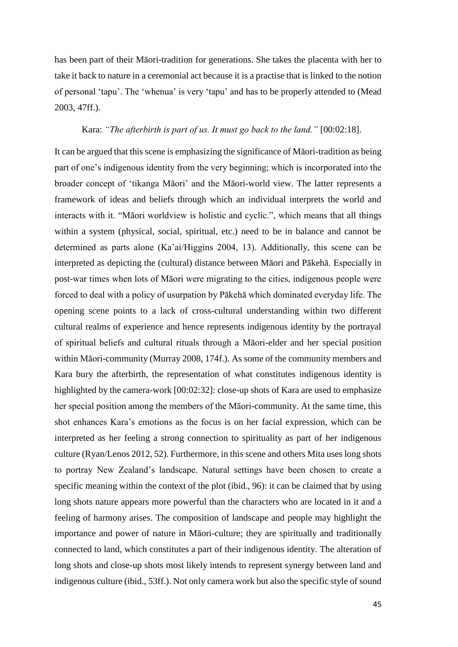has been part of their Māori-tradition for generations. She takes the placenta with her to take it back to nature in a ceremonial act because it is a practise that is linked to the notion of personal 'tapu'. The 'whenua' is very 'tapu' and has to be properly attended to (Mead 2003, 47ff.).

#### Kara: *"The afterbirth is part of us. It must go back to the land."* [00:02:18].

It can be argued that this scene is emphasizing the significance of Māori-tradition as being part of one's indigenous identity from the very beginning; which is incorporated into the broader concept of 'tikanga Māori' and the Māori-world view. The latter represents a framework of ideas and beliefs through which an individual interprets the world and interacts with it. "Māori worldview is holistic and cyclic.", which means that all things within a system (physical, social, spiritual, etc.) need to be in balance and cannot be determined as parts alone (Ka'ai/Higgins 2004, 13). Additionally, this scene can be interpreted as depicting the (cultural) distance between Māori and Pākehā. Especially in post-war times when lots of Māori were migrating to the cities, indigenous people were forced to deal with a policy of usurpation by Pākehā which dominated everyday life. The opening scene points to a lack of cross-cultural understanding within two different cultural realms of experience and hence represents indigenous identity by the portrayal of spiritual beliefs and cultural rituals through a Māori-elder and her special position within Māori-community (Murray 2008, 174f.). As some of the community members and Kara bury the afterbirth, the representation of what constitutes indigenous identity is highlighted by the camera-work [00:02:32]: close-up shots of Kara are used to emphasize her special position among the members of the Māori-community. At the same time, this shot enhances Kara's emotions as the focus is on her facial expression, which can be interpreted as her feeling a strong connection to spirituality as part of her indigenous culture (Ryan/Lenos 2012, 52). Furthermore, in this scene and others Mita uses long shots to portray New Zealand's landscape. Natural settings have been chosen to create a specific meaning within the context of the plot (ibid., 96): it can be claimed that by using long shots nature appears more powerful than the characters who are located in it and a feeling of harmony arises. The composition of landscape and people may highlight the importance and power of nature in Māori-culture; they are spiritually and traditionally connected to land, which constitutes a part of their indigenous identity. The alteration of long shots and close-up shots most likely intends to represent synergy between land and indigenous culture (ibid., 53ff.). Not only camera work but also the specific style of sound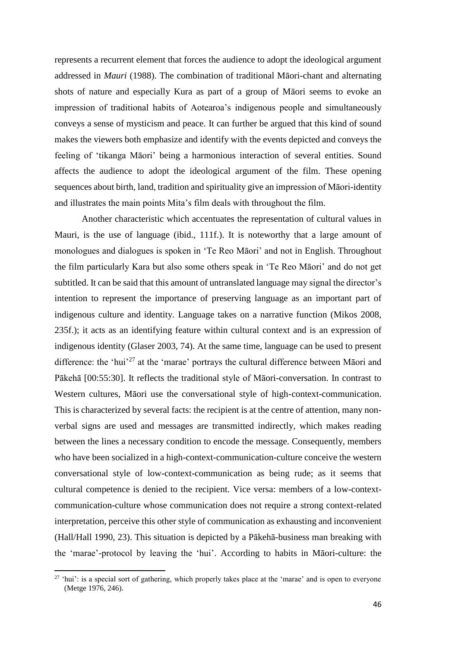represents a recurrent element that forces the audience to adopt the ideological argument addressed in *Mauri* (1988). The combination of traditional Māori-chant and alternating shots of nature and especially Kura as part of a group of Māori seems to evoke an impression of traditional habits of Aotearoa's indigenous people and simultaneously conveys a sense of mysticism and peace. It can further be argued that this kind of sound makes the viewers both emphasize and identify with the events depicted and conveys the feeling of 'tikanga Māori' being a harmonious interaction of several entities. Sound affects the audience to adopt the ideological argument of the film. These opening sequences about birth, land, tradition and spirituality give an impression of Māori-identity and illustrates the main points Mita's film deals with throughout the film.

Another characteristic which accentuates the representation of cultural values in Mauri, is the use of language (ibid., 111f.). It is noteworthy that a large amount of monologues and dialogues is spoken in 'Te Reo Māori' and not in English. Throughout the film particularly Kara but also some others speak in 'Te Reo Māori' and do not get subtitled. It can be said that this amount of untranslated language may signal the director's intention to represent the importance of preserving language as an important part of indigenous culture and identity. Language takes on a narrative function (Mikos 2008, 235f.); it acts as an identifying feature within cultural context and is an expression of indigenous identity (Glaser 2003, 74). At the same time, language can be used to present difference: the 'hui'<sup>27</sup> at the 'marae' portrays the cultural difference between Māori and Pākehā [00:55:30]. It reflects the traditional style of Māori-conversation. In contrast to Western cultures, Māori use the conversational style of high-context-communication. This is characterized by several facts: the recipient is at the centre of attention, many nonverbal signs are used and messages are transmitted indirectly, which makes reading between the lines a necessary condition to encode the message. Consequently, members who have been socialized in a high-context-communication-culture conceive the western conversational style of low-context-communication as being rude; as it seems that cultural competence is denied to the recipient. Vice versa: members of a low-contextcommunication-culture whose communication does not require a strong context-related interpretation, perceive this other style of communication as exhausting and inconvenient (Hall/Hall 1990, 23). This situation is depicted by a Pākehā-business man breaking with the 'marae'-protocol by leaving the 'hui'. According to habits in Māori-culture: the

<sup>&</sup>lt;sup>27</sup> 'hui': is a special sort of gathering, which properly takes place at the 'marae' and is open to everyone (Metge 1976, 246).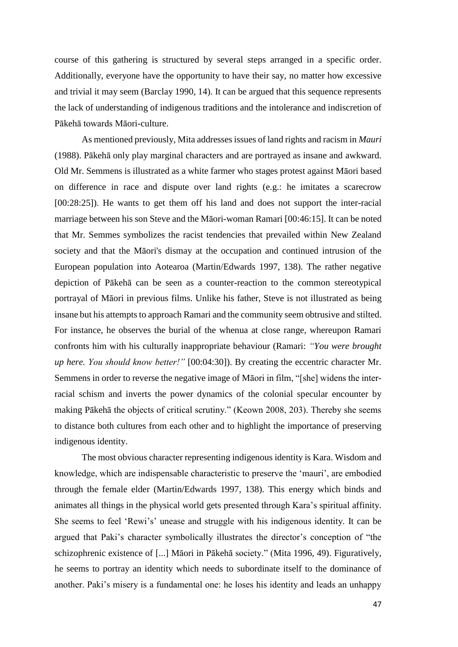course of this gathering is structured by several steps arranged in a specific order. Additionally, everyone have the opportunity to have their say, no matter how excessive and trivial it may seem (Barclay 1990, 14). It can be argued that this sequence represents the lack of understanding of indigenous traditions and the intolerance and indiscretion of Pākehā towards Māori-culture.

As mentioned previously, Mita addresses issues of land rights and racism in *Mauri* (1988). Pākehā only play marginal characters and are portrayed as insane and awkward. Old Mr. Semmens is illustrated as a white farmer who stages protest against Māori based on difference in race and dispute over land rights (e.g.: he imitates a scarecrow [00:28:25]). He wants to get them off his land and does not support the inter-racial marriage between his son Steve and the Māori-woman Ramari [00:46:15]. It can be noted that Mr. Semmes symbolizes the racist tendencies that prevailed within New Zealand society and that the Māori's dismay at the occupation and continued intrusion of the European population into Aotearoa (Martin/Edwards 1997, 138). The rather negative depiction of Pākehā can be seen as a counter-reaction to the common stereotypical portrayal of Māori in previous films. Unlike his father, Steve is not illustrated as being insane but his attempts to approach Ramari and the community seem obtrusive and stilted. For instance, he observes the burial of the whenua at close range, whereupon Ramari confronts him with his culturally inappropriate behaviour (Ramari: *"You were brought up here. You should know better!"* [00:04:30]). By creating the eccentric character Mr. Semmens in order to reverse the negative image of Māori in film, "[she] widens the interracial schism and inverts the power dynamics of the colonial specular encounter by making Pākehā the objects of critical scrutiny." (Keown 2008, 203). Thereby she seems to distance both cultures from each other and to highlight the importance of preserving indigenous identity.

The most obvious character representing indigenous identity is Kara. Wisdom and knowledge, which are indispensable characteristic to preserve the 'mauri', are embodied through the female elder (Martin/Edwards 1997, 138). This energy which binds and animates all things in the physical world gets presented through Kara's spiritual affinity. She seems to feel 'Rewi's' unease and struggle with his indigenous identity. It can be argued that Paki's character symbolically illustrates the director's conception of "the schizophrenic existence of [...] Māori in Pākehā society." (Mita 1996, 49). Figuratively, he seems to portray an identity which needs to subordinate itself to the dominance of another. Paki's misery is a fundamental one: he loses his identity and leads an unhappy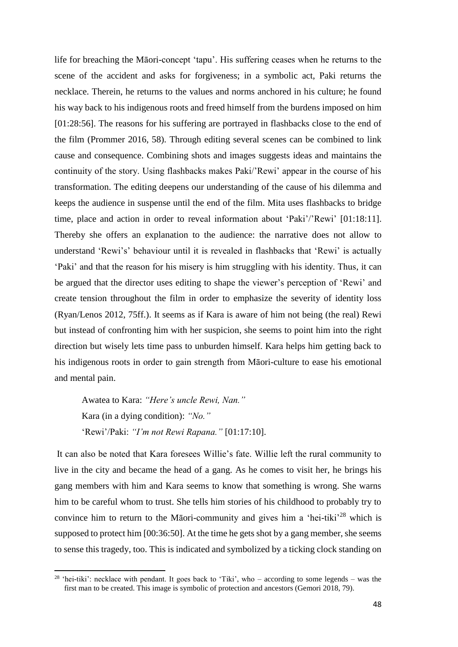life for breaching the Māori-concept 'tapu'. His suffering ceases when he returns to the scene of the accident and asks for forgiveness; in a symbolic act, Paki returns the necklace. Therein, he returns to the values and norms anchored in his culture; he found his way back to his indigenous roots and freed himself from the burdens imposed on him [01:28:56]. The reasons for his suffering are portrayed in flashbacks close to the end of the film (Prommer 2016, 58). Through editing several scenes can be combined to link cause and consequence. Combining shots and images suggests ideas and maintains the continuity of the story. Using flashbacks makes Paki/'Rewi' appear in the course of his transformation. The editing deepens our understanding of the cause of his dilemma and keeps the audience in suspense until the end of the film. Mita uses flashbacks to bridge time, place and action in order to reveal information about 'Paki'/'Rewi' [01:18:11]. Thereby she offers an explanation to the audience: the narrative does not allow to understand 'Rewi's' behaviour until it is revealed in flashbacks that 'Rewi' is actually 'Paki' and that the reason for his misery is him struggling with his identity. Thus, it can be argued that the director uses editing to shape the viewer's perception of 'Rewi' and create tension throughout the film in order to emphasize the severity of identity loss (Ryan/Lenos 2012, 75ff.). It seems as if Kara is aware of him not being (the real) Rewi but instead of confronting him with her suspicion, she seems to point him into the right direction but wisely lets time pass to unburden himself. Kara helps him getting back to his indigenous roots in order to gain strength from Māori-culture to ease his emotional and mental pain.

Awatea to Kara: *"Here's uncle Rewi, Nan."* Kara (in a dying condition): *"No."* 'Rewi'/Paki: *"I'm not Rewi Rapana."* [01:17:10].

 $\overline{\phantom{a}}$ 

It can also be noted that Kara foresees Willie's fate. Willie left the rural community to live in the city and became the head of a gang. As he comes to visit her, he brings his gang members with him and Kara seems to know that something is wrong. She warns him to be careful whom to trust. She tells him stories of his childhood to probably try to convince him to return to the Māori-community and gives him a 'hei-tiki'<sup>28</sup> which is supposed to protect him [00:36:50]. At the time he gets shot by a gang member, she seems to sense this tragedy, too. This is indicated and symbolized by a ticking clock standing on

<sup>&</sup>lt;sup>28</sup> 'hei-tiki': necklace with pendant. It goes back to 'Tiki', who – according to some legends – was the first man to be created. This image is symbolic of protection and ancestors (Gemori 2018, 79).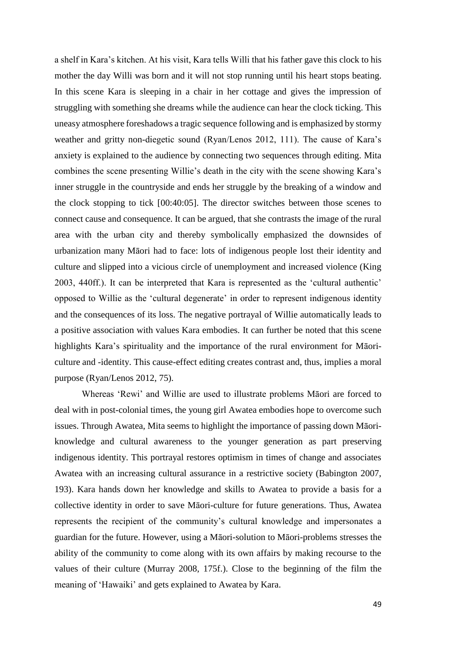a shelf in Kara's kitchen. At his visit, Kara tells Willi that his father gave this clock to his mother the day Willi was born and it will not stop running until his heart stops beating. In this scene Kara is sleeping in a chair in her cottage and gives the impression of struggling with something she dreams while the audience can hear the clock ticking. This uneasy atmosphere foreshadows a tragic sequence following and is emphasized by stormy weather and gritty non-diegetic sound (Ryan/Lenos 2012, 111). The cause of Kara's anxiety is explained to the audience by connecting two sequences through editing. Mita combines the scene presenting Willie's death in the city with the scene showing Kara's inner struggle in the countryside and ends her struggle by the breaking of a window and the clock stopping to tick [00:40:05]. The director switches between those scenes to connect cause and consequence. It can be argued, that she contrasts the image of the rural area with the urban city and thereby symbolically emphasized the downsides of urbanization many Māori had to face: lots of indigenous people lost their identity and culture and slipped into a vicious circle of unemployment and increased violence (King 2003, 440ff.). It can be interpreted that Kara is represented as the 'cultural authentic' opposed to Willie as the 'cultural degenerate' in order to represent indigenous identity and the consequences of its loss. The negative portrayal of Willie automatically leads to a positive association with values Kara embodies. It can further be noted that this scene highlights Kara's spirituality and the importance of the rural environment for Māoriculture and -identity. This cause-effect editing creates contrast and, thus, implies a moral purpose (Ryan/Lenos 2012, 75).

Whereas 'Rewi' and Willie are used to illustrate problems Māori are forced to deal with in post-colonial times, the young girl Awatea embodies hope to overcome such issues. Through Awatea, Mita seems to highlight the importance of passing down Māoriknowledge and cultural awareness to the younger generation as part preserving indigenous identity. This portrayal restores optimism in times of change and associates Awatea with an increasing cultural assurance in a restrictive society (Babington 2007, 193). Kara hands down her knowledge and skills to Awatea to provide a basis for a collective identity in order to save Māori-culture for future generations. Thus, Awatea represents the recipient of the community's cultural knowledge and impersonates a guardian for the future. However, using a Māori-solution to Māori-problems stresses the ability of the community to come along with its own affairs by making recourse to the values of their culture (Murray 2008, 175f.). Close to the beginning of the film the meaning of 'Hawaiki' and gets explained to Awatea by Kara.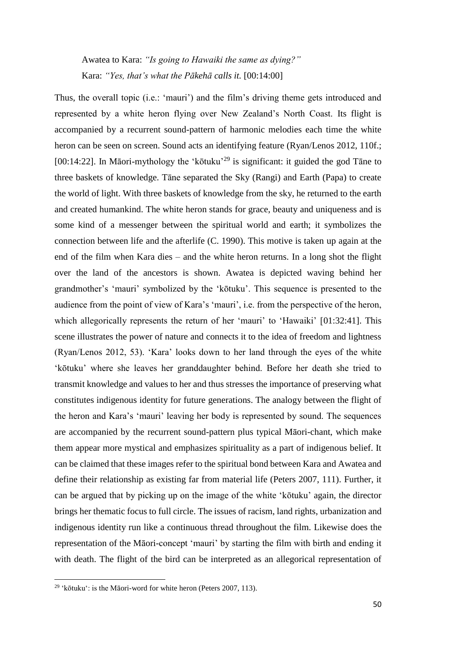Awatea to Kara: *"Is going to Hawaiki the same as dying?"* Kara: *"Yes, that's what the Pākehā calls it.* [00:14:00]

Thus, the overall topic (i.e.: 'mauri') and the film's driving theme gets introduced and represented by a white heron flying over New Zealand's North Coast. Its flight is accompanied by a recurrent sound-pattern of harmonic melodies each time the white heron can be seen on screen. Sound acts an identifying feature (Ryan/Lenos 2012, 110f.; [00:14:22]. In Māori-mythology the 'kōtuku'<sup>29</sup> is significant: it guided the god Tāne to three baskets of knowledge. Tāne separated the Sky (Rangi) and Earth (Papa) to create the world of light. With three baskets of knowledge from the sky, he returned to the earth and created humankind. The white heron stands for grace, beauty and uniqueness and is some kind of a messenger between the spiritual world and earth; it symbolizes the connection between life and the afterlife (C. 1990). This motive is taken up again at the end of the film when Kara dies – and the white heron returns. In a long shot the flight over the land of the ancestors is shown. Awatea is depicted waving behind her grandmother's 'mauri' symbolized by the 'kōtuku'. This sequence is presented to the audience from the point of view of Kara's 'mauri', i.e. from the perspective of the heron, which allegorically represents the return of her 'mauri' to 'Hawaiki' [01:32:41]. This scene illustrates the power of nature and connects it to the idea of freedom and lightness (Ryan/Lenos 2012, 53). 'Kara' looks down to her land through the eyes of the white 'kōtuku' where she leaves her granddaughter behind. Before her death she tried to transmit knowledge and values to her and thus stresses the importance of preserving what constitutes indigenous identity for future generations. The analogy between the flight of the heron and Kara's 'mauri' leaving her body is represented by sound. The sequences are accompanied by the recurrent sound-pattern plus typical Māori-chant, which make them appear more mystical and emphasizes spirituality as a part of indigenous belief. It can be claimed that these images refer to the spiritual bond between Kara and Awatea and define their relationship as existing far from material life (Peters 2007, 111). Further, it can be argued that by picking up on the image of the white 'kōtuku' again, the director brings her thematic focus to full circle. The issues of racism, land rights, urbanization and indigenous identity run like a continuous thread throughout the film. Likewise does the representation of the Māori-concept 'mauri' by starting the film with birth and ending it with death. The flight of the bird can be interpreted as an allegorical representation of

<sup>&</sup>lt;sup>29</sup> 'kōtuku': is the Māori-word for white heron (Peters 2007, 113).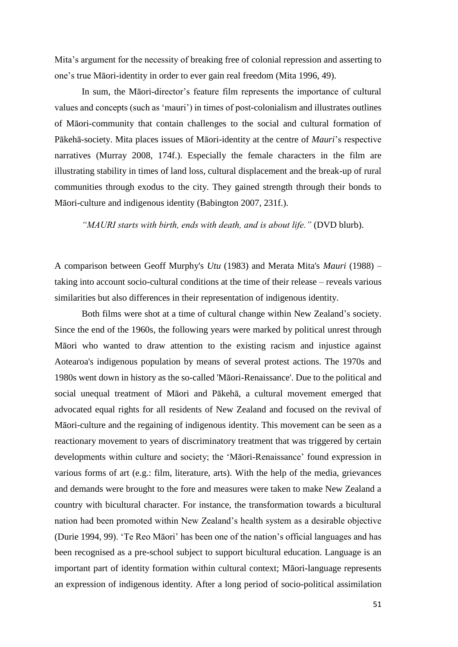Mita's argument for the necessity of breaking free of colonial repression and asserting to one's true Māori-identity in order to ever gain real freedom (Mita 1996, 49).

In sum, the Māori-director's feature film represents the importance of cultural values and concepts (such as 'mauri') in times of post-colonialism and illustrates outlines of Māori-community that contain challenges to the social and cultural formation of Pākehā-society. Mita places issues of Māori-identity at the centre of *Mauri*'s respective narratives (Murray 2008, 174f.). Especially the female characters in the film are illustrating stability in times of land loss, cultural displacement and the break-up of rural communities through exodus to the city. They gained strength through their bonds to Māori-culture and indigenous identity (Babington 2007, 231f.).

*"MAURI starts with birth, ends with death, and is about life."* (DVD blurb).

A comparison between Geoff Murphy's *Utu* (1983) and Merata Mita's *Mauri* (1988) – taking into account socio-cultural conditions at the time of their release – reveals various similarities but also differences in their representation of indigenous identity.

Both films were shot at a time of cultural change within New Zealand's society. Since the end of the 1960s, the following years were marked by political unrest through Māori who wanted to draw attention to the existing racism and injustice against Aotearoa's indigenous population by means of several protest actions. The 1970s and 1980s went down in history as the so-called 'Māori-Renaissance'. Due to the political and social unequal treatment of Māori and Pākehā, a cultural movement emerged that advocated equal rights for all residents of New Zealand and focused on the revival of Māori-culture and the regaining of indigenous identity. This movement can be seen as a reactionary movement to years of discriminatory treatment that was triggered by certain developments within culture and society; the 'Māori-Renaissance' found expression in various forms of art (e.g.: film, literature, arts). With the help of the media, grievances and demands were brought to the fore and measures were taken to make New Zealand a country with bicultural character. For instance, the transformation towards a bicultural nation had been promoted within New Zealand's health system as a desirable objective (Durie 1994, 99). 'Te Reo Māori' has been one of the nation's official languages and has been recognised as a pre-school subject to support bicultural education. Language is an important part of identity formation within cultural context; Māori-language represents an expression of indigenous identity. After a long period of socio-political assimilation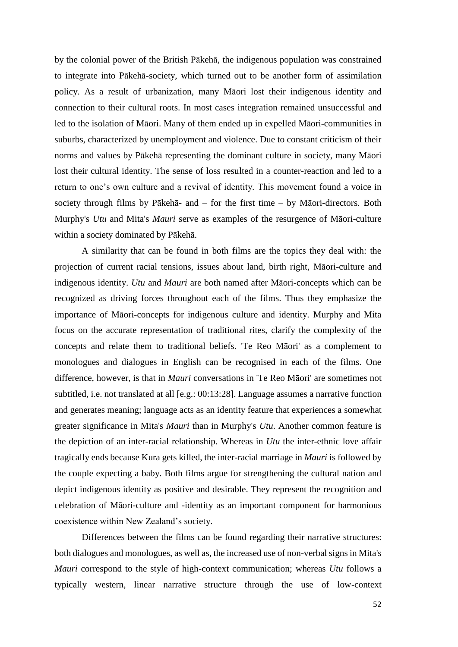by the colonial power of the British Pākehā, the indigenous population was constrained to integrate into Pākehā-society, which turned out to be another form of assimilation policy. As a result of urbanization, many Māori lost their indigenous identity and connection to their cultural roots. In most cases integration remained unsuccessful and led to the isolation of Māori. Many of them ended up in expelled Māori-communities in suburbs, characterized by unemployment and violence. Due to constant criticism of their norms and values by Pākehā representing the dominant culture in society, many Māori lost their cultural identity. The sense of loss resulted in a counter-reaction and led to a return to one's own culture and a revival of identity. This movement found a voice in society through films by Pākehā- and – for the first time – by Māori-directors. Both Murphy's *Utu* and Mita's *Mauri* serve as examples of the resurgence of Māori-culture within a society dominated by Pākehā.

A similarity that can be found in both films are the topics they deal with: the projection of current racial tensions, issues about land, birth right, Māori-culture and indigenous identity. *Utu* and *Mauri* are both named after Māori-concepts which can be recognized as driving forces throughout each of the films. Thus they emphasize the importance of Māori-concepts for indigenous culture and identity. Murphy and Mita focus on the accurate representation of traditional rites, clarify the complexity of the concepts and relate them to traditional beliefs. 'Te Reo Māori' as a complement to monologues and dialogues in English can be recognised in each of the films. One difference, however, is that in *Mauri* conversations in 'Te Reo Māori' are sometimes not subtitled, i.e. not translated at all [e.g.: 00:13:28]. Language assumes a narrative function and generates meaning; language acts as an identity feature that experiences a somewhat greater significance in Mita's *Mauri* than in Murphy's *Utu*. Another common feature is the depiction of an inter-racial relationship. Whereas in *Utu* the inter-ethnic love affair tragically ends because Kura gets killed, the inter-racial marriage in *Mauri* is followed by the couple expecting a baby. Both films argue for strengthening the cultural nation and depict indigenous identity as positive and desirable. They represent the recognition and celebration of Māori-culture and -identity as an important component for harmonious coexistence within New Zealand's society.

Differences between the films can be found regarding their narrative structures: both dialogues and monologues, as well as, the increased use of non-verbal signs in Mita's *Mauri* correspond to the style of high-context communication; whereas *Utu* follows a typically western, linear narrative structure through the use of low-context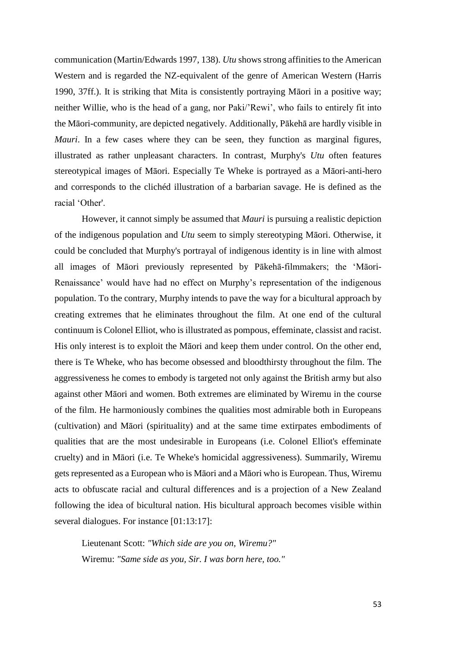communication (Martin/Edwards 1997, 138). *Utu* shows strong affinities to the American Western and is regarded the NZ-equivalent of the genre of American Western (Harris 1990, 37ff.). It is striking that Mita is consistently portraying Māori in a positive way; neither Willie, who is the head of a gang, nor Paki/'Rewi', who fails to entirely fit into the Māori-community, are depicted negatively. Additionally, Pākehā are hardly visible in *Mauri*. In a few cases where they can be seen, they function as marginal figures, illustrated as rather unpleasant characters. In contrast, Murphy's *Utu* often features stereotypical images of Māori. Especially Te Wheke is portrayed as a Māori-anti-hero and corresponds to the clichéd illustration of a barbarian savage. He is defined as the racial 'Other'.

However, it cannot simply be assumed that *Mauri* is pursuing a realistic depiction of the indigenous population and *Utu* seem to simply stereotyping Māori. Otherwise, it could be concluded that Murphy's portrayal of indigenous identity is in line with almost all images of Māori previously represented by Pākehā-filmmakers; the 'Māori-Renaissance' would have had no effect on Murphy's representation of the indigenous population. To the contrary, Murphy intends to pave the way for a bicultural approach by creating extremes that he eliminates throughout the film. At one end of the cultural continuum is Colonel Elliot, who is illustrated as pompous, effeminate, classist and racist. His only interest is to exploit the Māori and keep them under control. On the other end, there is Te Wheke, who has become obsessed and bloodthirsty throughout the film. The aggressiveness he comes to embody is targeted not only against the British army but also against other Māori and women. Both extremes are eliminated by Wiremu in the course of the film. He harmoniously combines the qualities most admirable both in Europeans (cultivation) and Māori (spirituality) and at the same time extirpates embodiments of qualities that are the most undesirable in Europeans (i.e. Colonel Elliot's effeminate cruelty) and in Māori (i.e. Te Wheke's homicidal aggressiveness). Summarily, Wiremu gets represented as a European who is Māori and a Māori who is European. Thus, Wiremu acts to obfuscate racial and cultural differences and is a projection of a New Zealand following the idea of bicultural nation. His bicultural approach becomes visible within several dialogues. For instance [01:13:17]:

Lieutenant Scott: *"Which side are you on, Wiremu?"* Wiremu: *"Same side as you, Sir. I was born here, too."*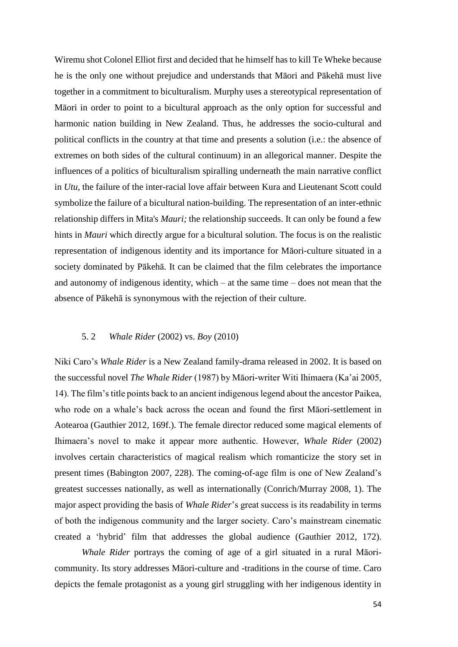Wiremu shot Colonel Elliot first and decided that he himself has to kill Te Wheke because he is the only one without prejudice and understands that Māori and Pākehā must live together in a commitment to biculturalism. Murphy uses a stereotypical representation of Māori in order to point to a bicultural approach as the only option for successful and harmonic nation building in New Zealand. Thus, he addresses the socio-cultural and political conflicts in the country at that time and presents a solution (i.e.: the absence of extremes on both sides of the cultural continuum) in an allegorical manner. Despite the influences of a politics of biculturalism spiralling underneath the main narrative conflict in *Utu*, the failure of the inter-racial love affair between Kura and Lieutenant Scott could symbolize the failure of a bicultural nation-building. The representation of an inter-ethnic relationship differs in Mita's *Mauri;* the relationship succeeds. It can only be found a few hints in *Mauri* which directly argue for a bicultural solution. The focus is on the realistic representation of indigenous identity and its importance for Māori-culture situated in a society dominated by Pākehā. It can be claimed that the film celebrates the importance and autonomy of indigenous identity, which – at the same time – does not mean that the absence of Pākehā is synonymous with the rejection of their culture.

#### 5. 2 *Whale Rider* (2002) vs. *Boy* (2010)

Niki Caro's *Whale Rider* is a New Zealand family-drama released in 2002. It is based on the successful novel *The Whale Rider* (1987) by Māori-writer Witi Ihimaera (Ka'ai 2005, 14). The film's title points back to an ancient indigenous legend about the ancestor Paikea, who rode on a whale's back across the ocean and found the first Māori-settlement in Aotearoa (Gauthier 2012, 169f.). The female director reduced some magical elements of Ihimaera's novel to make it appear more authentic. However, *Whale Rider* (2002) involves certain characteristics of magical realism which romanticize the story set in present times (Babington 2007, 228). The coming-of-age film is one of New Zealand's greatest successes nationally, as well as internationally (Conrich/Murray 2008, 1). The major aspect providing the basis of *Whale Rider*'s great success is its readability in terms of both the indigenous community and the larger society. Caro's mainstream cinematic created a 'hybrid' film that addresses the global audience (Gauthier 2012, 172).

*Whale Rider* portrays the coming of age of a girl situated in a rural Māoricommunity. Its story addresses Māori-culture and -traditions in the course of time. Caro depicts the female protagonist as a young girl struggling with her indigenous identity in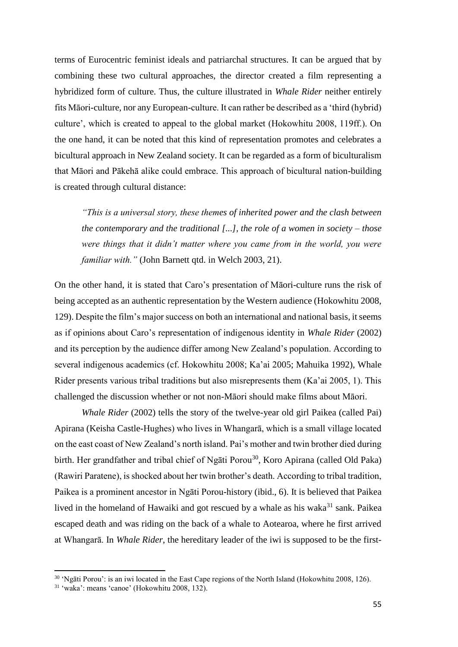terms of Eurocentric feminist ideals and patriarchal structures. It can be argued that by combining these two cultural approaches, the director created a film representing a hybridized form of culture. Thus, the culture illustrated in *Whale Rider* neither entirely fits Māori-culture, nor any European-culture. It can rather be described as a 'third (hybrid) culture', which is created to appeal to the global market (Hokowhitu 2008, 119ff.). On the one hand, it can be noted that this kind of representation promotes and celebrates a bicultural approach in New Zealand society. It can be regarded as a form of biculturalism that Māori and Pākehā alike could embrace. This approach of bicultural nation-building is created through cultural distance:

*"This is a universal story, these themes of inherited power and the clash between the contemporary and the traditional [...], the role of a women in society – those were things that it didn't matter where you came from in the world, you were familiar with."* (John Barnett qtd. in Welch 2003, 21).

On the other hand, it is stated that Caro's presentation of Māori-culture runs the risk of being accepted as an authentic representation by the Western audience (Hokowhitu 2008, 129). Despite the film's major success on both an international and national basis, it seems as if opinions about Caro's representation of indigenous identity in *Whale Rider* (2002) and its perception by the audience differ among New Zealand's population. According to several indigenous academics (cf. Hokowhitu 2008; Ka'ai 2005; Mahuika 1992), Whale Rider presents various tribal traditions but also misrepresents them (Ka'ai 2005, 1). This challenged the discussion whether or not non-Māori should make films about Māori.

*Whale Rider* (2002) tells the story of the twelve-year old girl Paikea (called Pai) Apirana (Keisha Castle-Hughes) who lives in Whangarā, which is a small village located on the east coast of New Zealand's north island. Pai's mother and twin brother died during birth. Her grandfather and tribal chief of Ngāti Porou<sup>30</sup>, Koro Apirana (called Old Paka) (Rawiri Paratene), is shocked about her twin brother's death. According to tribal tradition, Paikea is a prominent ancestor in Ngāti Porou-history (ibid., 6). It is believed that Paikea lived in the homeland of Hawaiki and got rescued by a whale as his waka $31$  sank. Paikea escaped death and was riding on the back of a whale to Aotearoa, where he first arrived at Whangarā. In *Whale Rider*, the hereditary leader of the iwi is supposed to be the first-

<sup>30</sup> 'Ngāti Porou': is an iwi located in the East Cape regions of the North Island (Hokowhitu 2008, 126).

 $31$  'waka': means 'canoe' (Hokowhitu 2008, 132).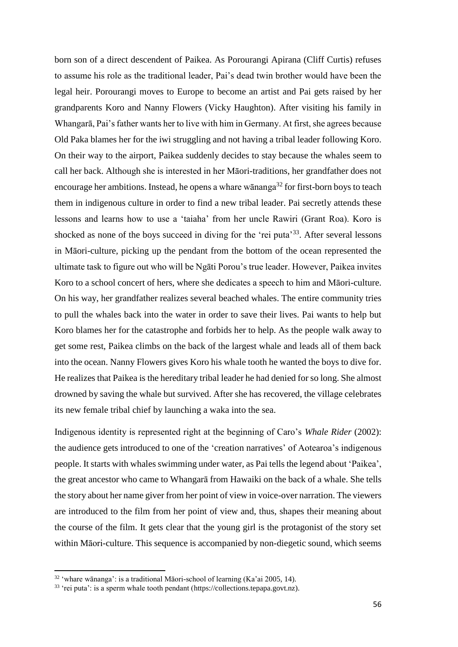born son of a direct descendent of Paikea. As Porourangi Apirana (Cliff Curtis) refuses to assume his role as the traditional leader, Pai's dead twin brother would have been the legal heir. Porourangi moves to Europe to become an artist and Pai gets raised by her grandparents Koro and Nanny Flowers (Vicky Haughton). After visiting his family in Whangarā, Pai's father wants her to live with him in Germany. At first, she agrees because Old Paka blames her for the iwi struggling and not having a tribal leader following Koro. On their way to the airport, Paikea suddenly decides to stay because the whales seem to call her back. Although she is interested in her Māori-traditions, her grandfather does not encourage her ambitions. Instead, he opens a whare wānanga<sup>32</sup> for first-born boys to teach them in indigenous culture in order to find a new tribal leader. Pai secretly attends these lessons and learns how to use a 'taiaha' from her uncle Rawiri (Grant Roa). Koro is shocked as none of the boys succeed in diving for the 'rei puta'<sup>33</sup>. After several lessons in Māori-culture, picking up the pendant from the bottom of the ocean represented the ultimate task to figure out who will be Ngāti Porou's true leader. However, Paikea invites Koro to a school concert of hers, where she dedicates a speech to him and Māori-culture. On his way, her grandfather realizes several beached whales. The entire community tries to pull the whales back into the water in order to save their lives. Pai wants to help but Koro blames her for the catastrophe and forbids her to help. As the people walk away to get some rest, Paikea climbs on the back of the largest whale and leads all of them back into the ocean. Nanny Flowers gives Koro his whale tooth he wanted the boys to dive for. He realizes that Paikea is the hereditary tribal leader he had denied for so long. She almost drowned by saving the whale but survived. After she has recovered, the village celebrates its new female tribal chief by launching a waka into the sea.

Indigenous identity is represented right at the beginning of Caro's *Whale Rider* (2002): the audience gets introduced to one of the 'creation narratives' of Aotearoa's indigenous people. It starts with whales swimming under water, as Pai tells the legend about 'Paikea', the great ancestor who came to Whangarā from Hawaiki on the back of a whale. She tells the story about her name giver from her point of view in voice-over narration. The viewers are introduced to the film from her point of view and, thus, shapes their meaning about the course of the film. It gets clear that the young girl is the protagonist of the story set within Māori-culture. This sequence is accompanied by non-diegetic sound, which seems

<sup>32</sup> 'whare wānanga': is a traditional Māori-school of learning (Ka'ai 2005, 14).

<sup>33</sup> 'rei puta': is a sperm whale tooth pendant (https://collections.tepapa.govt.nz).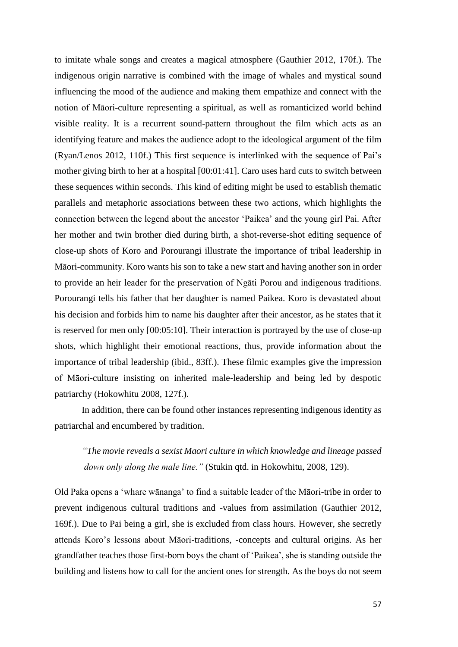to imitate whale songs and creates a magical atmosphere (Gauthier 2012, 170f.). The indigenous origin narrative is combined with the image of whales and mystical sound influencing the mood of the audience and making them empathize and connect with the notion of Māori-culture representing a spiritual, as well as romanticized world behind visible reality. It is a recurrent sound-pattern throughout the film which acts as an identifying feature and makes the audience adopt to the ideological argument of the film (Ryan/Lenos 2012, 110f.) This first sequence is interlinked with the sequence of Pai's mother giving birth to her at a hospital [00:01:41]. Caro uses hard cuts to switch between these sequences within seconds. This kind of editing might be used to establish thematic parallels and metaphoric associations between these two actions, which highlights the connection between the legend about the ancestor 'Paikea' and the young girl Pai. After her mother and twin brother died during birth, a shot-reverse-shot editing sequence of close-up shots of Koro and Porourangi illustrate the importance of tribal leadership in Māori-community. Koro wants his son to take a new start and having another son in order to provide an heir leader for the preservation of Ngāti Porou and indigenous traditions. Porourangi tells his father that her daughter is named Paikea. Koro is devastated about his decision and forbids him to name his daughter after their ancestor, as he states that it is reserved for men only [00:05:10]. Their interaction is portrayed by the use of close-up shots, which highlight their emotional reactions, thus, provide information about the importance of tribal leadership (ibid., 83ff.). These filmic examples give the impression of Māori-culture insisting on inherited male-leadership and being led by despotic patriarchy (Hokowhitu 2008, 127f.).

In addition, there can be found other instances representing indigenous identity as patriarchal and encumbered by tradition.

*"The movie reveals a sexist Maori culture in which knowledge and lineage passed down only along the male line."* (Stukin qtd. in Hokowhitu, 2008, 129).

Old Paka opens a 'whare wānanga' to find a suitable leader of the Māori-tribe in order to prevent indigenous cultural traditions and -values from assimilation (Gauthier 2012, 169f.). Due to Pai being a girl, she is excluded from class hours. However, she secretly attends Koro's lessons about Māori-traditions, -concepts and cultural origins. As her grandfather teaches those first-born boys the chant of 'Paikea', she is standing outside the building and listens how to call for the ancient ones for strength. As the boys do not seem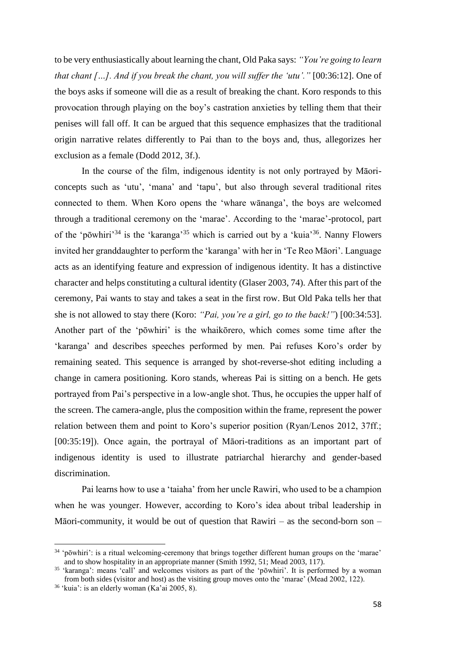to be very enthusiastically about learning the chant, Old Paka says: *"You're going to learn that chant […]. And if you break the chant, you will suffer the 'utu'."* [00:36:12]. One of the boys asks if someone will die as a result of breaking the chant. Koro responds to this provocation through playing on the boy's castration anxieties by telling them that their penises will fall off. It can be argued that this sequence emphasizes that the traditional origin narrative relates differently to Pai than to the boys and, thus, allegorizes her exclusion as a female (Dodd 2012, 3f.).

In the course of the film, indigenous identity is not only portrayed by Māoriconcepts such as 'utu', 'mana' and 'tapu', but also through several traditional rites connected to them. When Koro opens the 'whare wānanga', the boys are welcomed through a traditional ceremony on the 'marae'. According to the 'marae'-protocol, part of the 'pōwhiri'<sup>34</sup> is the 'karanga'<sup>35</sup> which is carried out by a 'kuia'<sup>36</sup>. Nanny Flowers invited her granddaughter to perform the 'karanga' with her in 'Te Reo Māori'. Language acts as an identifying feature and expression of indigenous identity. It has a distinctive character and helps constituting a cultural identity (Glaser 2003, 74). After this part of the ceremony, Pai wants to stay and takes a seat in the first row. But Old Paka tells her that she is not allowed to stay there (Koro: *"Pai, you're a girl, go to the back!"*) [00:34:53]. Another part of the 'pōwhiri' is the whaikōrero, which comes some time after the 'karanga' and describes speeches performed by men. Pai refuses Koro's order by remaining seated. This sequence is arranged by shot-reverse-shot editing including a change in camera positioning. Koro stands, whereas Pai is sitting on a bench. He gets portrayed from Pai's perspective in a low-angle shot. Thus, he occupies the upper half of the screen. The camera-angle, plus the composition within the frame, represent the power relation between them and point to Koro's superior position (Ryan/Lenos 2012, 37ff.; [00:35:19]). Once again, the portrayal of Māori-traditions as an important part of indigenous identity is used to illustrate patriarchal hierarchy and gender-based discrimination.

Pai learns how to use a 'taiaha' from her uncle Rawiri, who used to be a champion when he was younger. However, according to Koro's idea about tribal leadership in Māori-community, it would be out of question that Rawiri – as the second-born son –

<sup>34</sup> 'pōwhiri': is a ritual welcoming-ceremony that brings together different human groups on the 'marae' and to show hospitality in an appropriate manner (Smith 1992, 51; Mead 2003, 117).

<sup>35</sup> 'karanga': means 'call' and welcomes visitors as part of the 'pōwhiri'. It is performed by a woman from both sides (visitor and host) as the visiting group moves onto the 'marae' (Mead 2002, 122).

 $36$  'kuia': is an elderly woman (Ka'ai 2005, 8).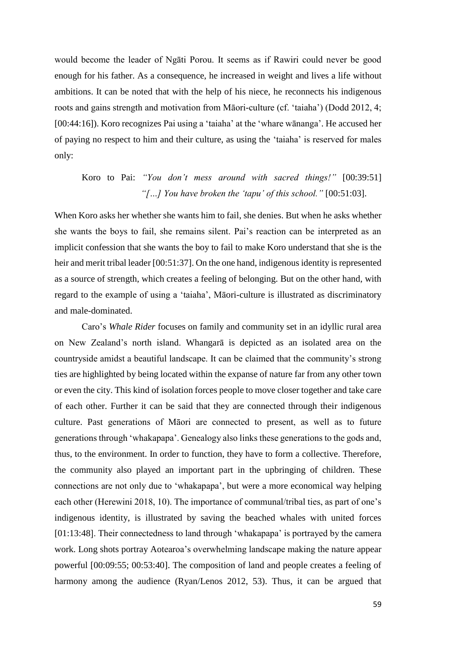would become the leader of Ngāti Porou. It seems as if Rawiri could never be good enough for his father. As a consequence, he increased in weight and lives a life without ambitions. It can be noted that with the help of his niece, he reconnects his indigenous roots and gains strength and motivation from Māori-culture (cf. 'taiaha') (Dodd 2012, 4; [00:44:16]). Koro recognizes Pai using a 'taiaha' at the 'whare wānanga'. He accused her of paying no respect to him and their culture, as using the 'taiaha' is reserved for males only:

## Koro to Pai: *"You don't mess around with sacred things!"* [00:39:51]  *"[…] You have broken the 'tapu' of this school."* [00:51:03].

When Koro asks her whether she wants him to fail, she denies. But when he asks whether she wants the boys to fail, she remains silent. Pai's reaction can be interpreted as an implicit confession that she wants the boy to fail to make Koro understand that she is the heir and merit tribal leader [00:51:37]. On the one hand, indigenous identity is represented as a source of strength, which creates a feeling of belonging. But on the other hand, with regard to the example of using a 'taiaha', Māori-culture is illustrated as discriminatory and male-dominated.

Caro's *Whale Rider* focuses on family and community set in an idyllic rural area on New Zealand's north island. Whangarā is depicted as an isolated area on the countryside amidst a beautiful landscape. It can be claimed that the community's strong ties are highlighted by being located within the expanse of nature far from any other town or even the city. This kind of isolation forces people to move closer together and take care of each other. Further it can be said that they are connected through their indigenous culture. Past generations of Māori are connected to present, as well as to future generations through 'whakapapa'. Genealogy also links these generations to the gods and, thus, to the environment. In order to function, they have to form a collective. Therefore, the community also played an important part in the upbringing of children. These connections are not only due to 'whakapapa', but were a more economical way helping each other (Herewini 2018, 10). The importance of communal/tribal ties, as part of one's indigenous identity, is illustrated by saving the beached whales with united forces [01:13:48]. Their connectedness to land through 'whakapapa' is portrayed by the camera work. Long shots portray Aotearoa's overwhelming landscape making the nature appear powerful [00:09:55; 00:53:40]. The composition of land and people creates a feeling of harmony among the audience (Ryan/Lenos 2012, 53). Thus, it can be argued that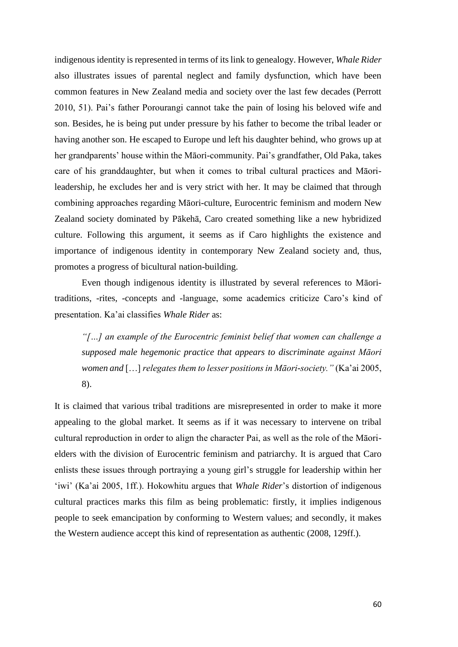indigenous identity is represented in terms of its link to genealogy. However, *Whale Rider* also illustrates issues of parental neglect and family dysfunction, which have been common features in New Zealand media and society over the last few decades (Perrott 2010, 51). Pai's father Porourangi cannot take the pain of losing his beloved wife and son. Besides, he is being put under pressure by his father to become the tribal leader or having another son. He escaped to Europe und left his daughter behind, who grows up at her grandparents' house within the Māori-community. Pai's grandfather, Old Paka, takes care of his granddaughter, but when it comes to tribal cultural practices and Māorileadership, he excludes her and is very strict with her. It may be claimed that through combining approaches regarding Māori-culture, Eurocentric feminism and modern New Zealand society dominated by Pākehā, Caro created something like a new hybridized culture. Following this argument, it seems as if Caro highlights the existence and importance of indigenous identity in contemporary New Zealand society and, thus, promotes a progress of bicultural nation-building.

Even though indigenous identity is illustrated by several references to Māoritraditions, -rites, -concepts and -language, some academics criticize Caro's kind of presentation. Ka'ai classifies *Whale Rider* as:

 *"[…] an example of the Eurocentric feminist belief that women can challenge a supposed male hegemonic practice that appears to discriminate against Māori women and* […] *relegates them to lesser positions in Māori-society."* (Ka'ai 2005, 8).

It is claimed that various tribal traditions are misrepresented in order to make it more appealing to the global market. It seems as if it was necessary to intervene on tribal cultural reproduction in order to align the character Pai, as well as the role of the Māorielders with the division of Eurocentric feminism and patriarchy. It is argued that Caro enlists these issues through portraying a young girl's struggle for leadership within her 'iwi' (Ka'ai 2005, 1ff.). Hokowhitu argues that *Whale Rider*'s distortion of indigenous cultural practices marks this film as being problematic: firstly, it implies indigenous people to seek emancipation by conforming to Western values; and secondly, it makes the Western audience accept this kind of representation as authentic (2008, 129ff.).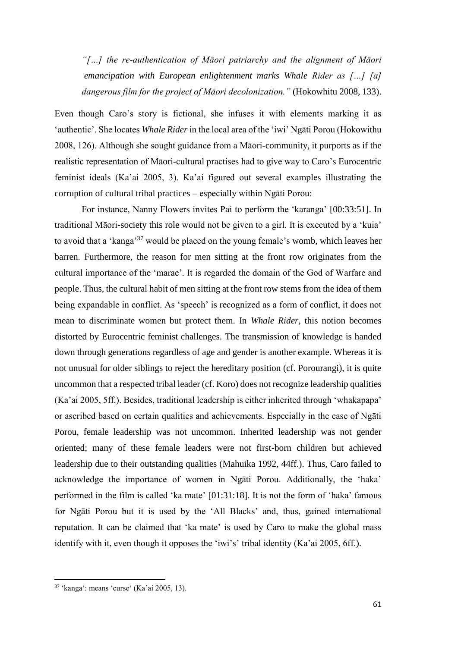*"[…] the re-authentication of Māori patriarchy and the alignment of Māori emancipation with European enlightenment marks Whale Rider as […] [a] dangerous film for the project of Māori decolonization."* (Hokowhitu 2008, 133).

Even though Caro's story is fictional, she infuses it with elements marking it as 'authentic'. She locates *Whale Rider* in the local area of the 'iwi' Ngāti Porou (Hokowithu 2008, 126). Although she sought guidance from a Māori-community, it purports as if the realistic representation of Māori-cultural practises had to give way to Caro's Eurocentric feminist ideals (Ka'ai 2005, 3). Ka'ai figured out several examples illustrating the corruption of cultural tribal practices – especially within Ngāti Porou:

For instance, Nanny Flowers invites Pai to perform the 'karanga' [00:33:51]. In traditional Māori-society this role would not be given to a girl. It is executed by a 'kuia' to avoid that a 'kanga'<sup>37</sup> would be placed on the young female's womb, which leaves her barren. Furthermore, the reason for men sitting at the front row originates from the cultural importance of the 'marae'. It is regarded the domain of the God of Warfare and people. Thus, the cultural habit of men sitting at the front row stems from the idea of them being expandable in conflict. As 'speech' is recognized as a form of conflict, it does not mean to discriminate women but protect them. In *Whale Rider*, this notion becomes distorted by Eurocentric feminist challenges. The transmission of knowledge is handed down through generations regardless of age and gender is another example. Whereas it is not unusual for older siblings to reject the hereditary position (cf. Porourangi), it is quite uncommon that a respected tribal leader (cf. Koro) does not recognize leadership qualities (Ka'ai 2005, 5ff.). Besides, traditional leadership is either inherited through 'whakapapa' or ascribed based on certain qualities and achievements. Especially in the case of Ngāti Porou, female leadership was not uncommon. Inherited leadership was not gender oriented; many of these female leaders were not first-born children but achieved leadership due to their outstanding qualities (Mahuika 1992, 44ff.). Thus, Caro failed to acknowledge the importance of women in Ngāti Porou. Additionally, the 'haka' performed in the film is called 'ka mate' [01:31:18]. It is not the form of 'haka' famous for Ngāti Porou but it is used by the 'All Blacks' and, thus, gained international reputation. It can be claimed that 'ka mate' is used by Caro to make the global mass identify with it, even though it opposes the 'iwi's' tribal identity (Ka'ai 2005, 6ff.).

<sup>37</sup> 'kanga': means 'curse' (Ka'ai 2005, 13).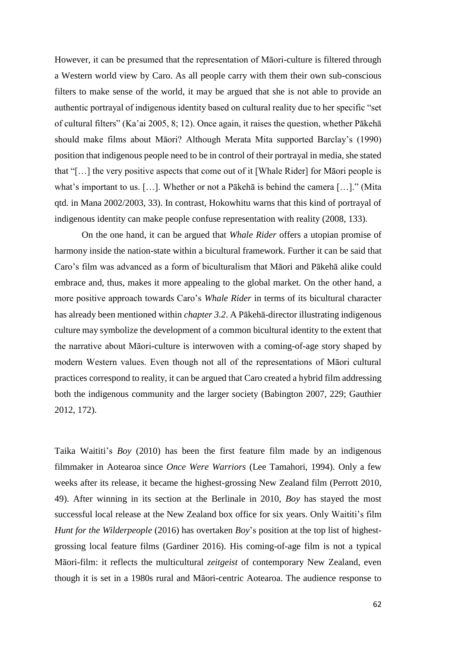However, it can be presumed that the representation of Māori-culture is filtered through a Western world view by Caro. As all people carry with them their own sub-conscious filters to make sense of the world, it may be argued that she is not able to provide an authentic portrayal of indigenous identity based on cultural reality due to her specific "set of cultural filters" (Ka'ai 2005, 8; 12). Once again, it raises the question, whether Pākehā should make films about Māori? Although Merata Mita supported Barclay's (1990) position that indigenous people need to be in control of their portrayal in media, she stated that "[…] the very positive aspects that come out of it [Whale Rider] for Māori people is what's important to us. […]. Whether or not a Pākehā is behind the camera […]." (Mita qtd. in Mana 2002/2003, 33). In contrast, Hokowhitu warns that this kind of portrayal of indigenous identity can make people confuse representation with reality (2008, 133).

On the one hand, it can be argued that *Whale Rider* offers a utopian promise of harmony inside the nation-state within a bicultural framework. Further it can be said that Caro's film was advanced as a form of biculturalism that Māori and Pākehā alike could embrace and, thus, makes it more appealing to the global market. On the other hand, a more positive approach towards Caro's *Whale Rider* in terms of its bicultural character has already been mentioned within *chapter 3.2*. A Pākehā-director illustrating indigenous culture may symbolize the development of a common bicultural identity to the extent that the narrative about Māori-culture is interwoven with a coming-of-age story shaped by modern Western values. Even though not all of the representations of Māori cultural practices correspond to reality, it can be argued that Caro created a hybrid film addressing both the indigenous community and the larger society (Babington 2007, 229; Gauthier 2012, 172).

Taika Waititi's *Boy* (2010) has been the first feature film made by an indigenous filmmaker in Aotearoa since *Once Were Warriors* (Lee Tamahori, 1994). Only a few weeks after its release, it became the highest-grossing New Zealand film (Perrott 2010, 49). After winning in its section at the Berlinale in 2010, *Boy* has stayed the most successful local release at the New Zealand box office for six years. Only Waititi's film *Hunt for the Wilderpeople* (2016) has overtaken *Boy*'s position at the top list of highestgrossing local feature films (Gardiner 2016). His coming-of-age film is not a typical Māori-film: it reflects the multicultural *zeitgeist* of contemporary New Zealand, even though it is set in a 1980s rural and Māori-centric Aotearoa. The audience response to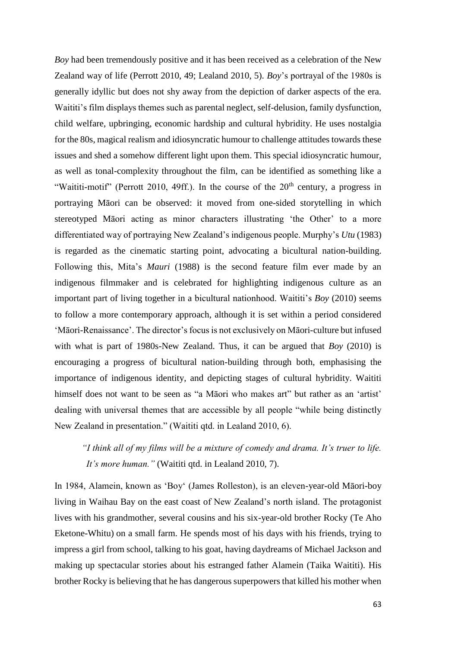*Boy* had been tremendously positive and it has been received as a celebration of the New Zealand way of life (Perrott 2010, 49; Lealand 2010, 5). *Boy*'s portrayal of the 1980s is generally idyllic but does not shy away from the depiction of darker aspects of the era. Waititi's film displays themes such as parental neglect, self-delusion, family dysfunction, child welfare, upbringing, economic hardship and cultural hybridity. He uses nostalgia for the 80s, magical realism and idiosyncratic humour to challenge attitudes towards these issues and shed a somehow different light upon them. This special idiosyncratic humour, as well as tonal-complexity throughout the film, can be identified as something like a "Waititi-motif" (Perrott 2010, 49ff.). In the course of the  $20<sup>th</sup>$  century, a progress in portraying Māori can be observed: it moved from one-sided storytelling in which stereotyped Māori acting as minor characters illustrating 'the Other' to a more differentiated way of portraying New Zealand's indigenous people. Murphy's *Utu* (1983) is regarded as the cinematic starting point, advocating a bicultural nation-building. Following this, Mita's *Mauri* (1988) is the second feature film ever made by an indigenous filmmaker and is celebrated for highlighting indigenous culture as an important part of living together in a bicultural nationhood. Waititi's *Boy* (2010) seems to follow a more contemporary approach, although it is set within a period considered 'Māori-Renaissance'. The director's focus is not exclusively on Māori-culture but infused with what is part of 1980s-New Zealand. Thus, it can be argued that *Boy* (2010) is encouraging a progress of bicultural nation-building through both, emphasising the importance of indigenous identity, and depicting stages of cultural hybridity. Waititi himself does not want to be seen as "a Māori who makes art" but rather as an 'artist' dealing with universal themes that are accessible by all people "while being distinctly New Zealand in presentation." (Waititi qtd. in Lealand 2010, 6).

## *"I think all of my films will be a mixture of comedy and drama. It's truer to life. It's more human."* (Waititi qtd. in Lealand 2010, 7).

In 1984, Alamein, known as 'Boy' (James Rolleston), is an eleven-year-old Māori-boy living in Waihau Bay on the east coast of New Zealand's north island. The protagonist lives with his grandmother, several cousins and his six-year-old brother Rocky (Te Aho Eketone-Whitu) on a small farm. He spends most of his days with his friends, trying to impress a girl from school, talking to his goat, having daydreams of Michael Jackson and making up spectacular stories about his estranged father Alamein (Taika Waititi). His brother Rocky is believing that he has dangerous superpowers that killed his mother when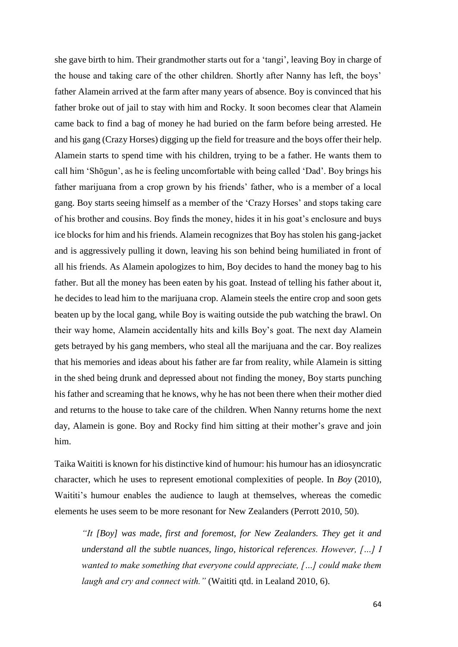she gave birth to him. Their grandmother starts out for a 'tangi', leaving Boy in charge of the house and taking care of the other children. Shortly after Nanny has left, the boys' father Alamein arrived at the farm after many years of absence. Boy is convinced that his father broke out of jail to stay with him and Rocky. It soon becomes clear that Alamein came back to find a bag of money he had buried on the farm before being arrested. He and his gang (Crazy Horses) digging up the field for treasure and the boys offer their help. Alamein starts to spend time with his children, trying to be a father. He wants them to call him 'Shōgun', as he is feeling uncomfortable with being called 'Dad'. Boy brings his father marijuana from a crop grown by his friends' father, who is a member of a local gang. Boy starts seeing himself as a member of the 'Crazy Horses' and stops taking care of his brother and cousins. Boy finds the money, hides it in his goat's enclosure and buys ice blocks for him and his friends. Alamein recognizes that Boy has stolen his gang-jacket and is aggressively pulling it down, leaving his son behind being humiliated in front of all his friends. As Alamein apologizes to him, Boy decides to hand the money bag to his father. But all the money has been eaten by his goat. Instead of telling his father about it, he decides to lead him to the marijuana crop. Alamein steels the entire crop and soon gets beaten up by the local gang, while Boy is waiting outside the pub watching the brawl. On their way home, Alamein accidentally hits and kills Boy's goat. The next day Alamein gets betrayed by his gang members, who steal all the marijuana and the car. Boy realizes that his memories and ideas about his father are far from reality, while Alamein is sitting in the shed being drunk and depressed about not finding the money, Boy starts punching his father and screaming that he knows, why he has not been there when their mother died and returns to the house to take care of the children. When Nanny returns home the next day, Alamein is gone. Boy and Rocky find him sitting at their mother's grave and join him.

Taika Waititi is known for his distinctive kind of humour: his humour has an idiosyncratic character, which he uses to represent emotional complexities of people. In *Boy* (2010), Waititi's humour enables the audience to laugh at themselves, whereas the comedic elements he uses seem to be more resonant for New Zealanders (Perrott 2010, 50).

*"It [Boy] was made, first and foremost, for New Zealanders. They get it and understand all the subtle nuances, lingo, historical references. However, […] I wanted to make something that everyone could appreciate, […] could make them laugh and cry and connect with."* (Waititi qtd. in Lealand 2010, 6).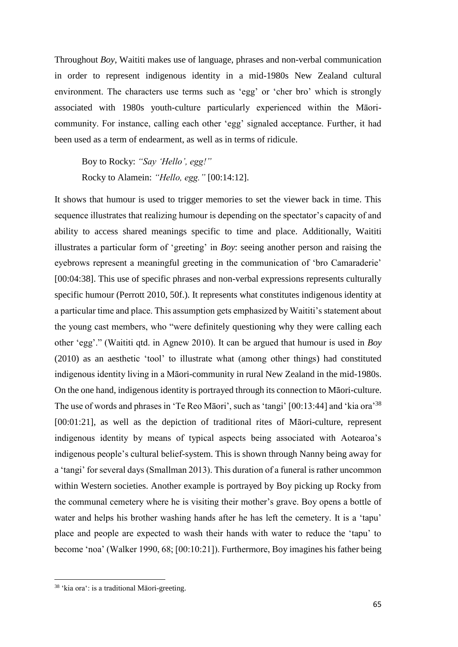Throughout *Boy*, Waititi makes use of language, phrases and non-verbal communication in order to represent indigenous identity in a mid-1980s New Zealand cultural environment. The characters use terms such as 'egg' or 'cher bro' which is strongly associated with 1980s youth-culture particularly experienced within the Māoricommunity. For instance, calling each other 'egg' signaled acceptance. Further, it had been used as a term of endearment, as well as in terms of ridicule.

Boy to Rocky: *"Say 'Hello', egg!"* Rocky to Alamein: *"Hello, egg."* [00:14:12].

It shows that humour is used to trigger memories to set the viewer back in time. This sequence illustrates that realizing humour is depending on the spectator's capacity of and ability to access shared meanings specific to time and place. Additionally, Waititi illustrates a particular form of 'greeting' in *Boy*: seeing another person and raising the eyebrows represent a meaningful greeting in the communication of 'bro Camaraderie' [00:04:38]. This use of specific phrases and non-verbal expressions represents culturally specific humour (Perrott 2010, 50f.). It represents what constitutes indigenous identity at a particular time and place. This assumption gets emphasized by Waititi's statement about the young cast members, who "were definitely questioning why they were calling each other 'egg'." (Waititi qtd. in Agnew 2010). It can be argued that humour is used in *Boy* (2010) as an aesthetic 'tool' to illustrate what (among other things) had constituted indigenous identity living in a Māori-community in rural New Zealand in the mid-1980s. On the one hand, indigenous identity is portrayed through its connection to Māori-culture. The use of words and phrases in 'Te Reo Māori', such as 'tangi' [00:13:44] and 'kia ora<sup>'38</sup> [00:01:21], as well as the depiction of traditional rites of Maori-culture, represent indigenous identity by means of typical aspects being associated with Aotearoa's indigenous people's cultural belief-system. This is shown through Nanny being away for a 'tangi' for several days (Smallman 2013). This duration of a funeral is rather uncommon within Western societies. Another example is portrayed by Boy picking up Rocky from the communal cemetery where he is visiting their mother's grave. Boy opens a bottle of water and helps his brother washing hands after he has left the cemetery. It is a 'tapu' place and people are expected to wash their hands with water to reduce the 'tapu' to become 'noa' (Walker 1990, 68; [00:10:21]). Furthermore, Boy imagines his father being

<sup>38</sup> 'kia ora': is a traditional Māori-greeting.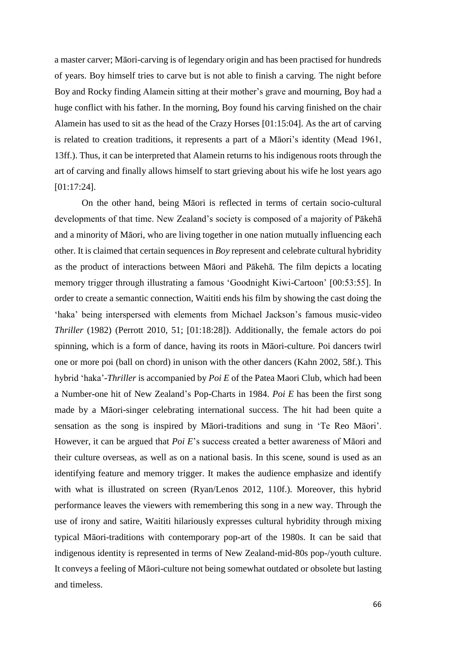a master carver; Māori-carving is of legendary origin and has been practised for hundreds of years. Boy himself tries to carve but is not able to finish a carving. The night before Boy and Rocky finding Alamein sitting at their mother's grave and mourning, Boy had a huge conflict with his father. In the morning, Boy found his carving finished on the chair Alamein has used to sit as the head of the Crazy Horses [01:15:04]. As the art of carving is related to creation traditions, it represents a part of a Māori's identity (Mead 1961, 13ff.). Thus, it can be interpreted that Alamein returns to his indigenous roots through the art of carving and finally allows himself to start grieving about his wife he lost years ago [01:17:24].

On the other hand, being Māori is reflected in terms of certain socio-cultural developments of that time. New Zealand's society is composed of a majority of Pākehā and a minority of Māori, who are living together in one nation mutually influencing each other. It is claimed that certain sequences in *Boy* represent and celebrate cultural hybridity as the product of interactions between Māori and Pākehā. The film depicts a locating memory trigger through illustrating a famous 'Goodnight Kiwi-Cartoon' [00:53:55]. In order to create a semantic connection, Waititi ends his film by showing the cast doing the 'haka' being interspersed with elements from Michael Jackson's famous music-video *Thriller* (1982) (Perrott 2010, 51; [01:18:28]). Additionally, the female actors do poi spinning, which is a form of dance, having its roots in Māori-culture. Poi dancers twirl one or more poi (ball on chord) in unison with the other dancers (Kahn 2002, 58f.). This hybrid 'haka'-*Thriller* is accompanied by *Poi E* of the Patea Maori Club, which had been a Number-one hit of New Zealand's Pop-Charts in 1984. *Poi E* has been the first song made by a Māori-singer celebrating international success. The hit had been quite a sensation as the song is inspired by Māori-traditions and sung in 'Te Reo Māori'. However, it can be argued that *Poi E*'s success created a better awareness of Māori and their culture overseas, as well as on a national basis. In this scene, sound is used as an identifying feature and memory trigger. It makes the audience emphasize and identify with what is illustrated on screen (Ryan/Lenos 2012, 110f.). Moreover, this hybrid performance leaves the viewers with remembering this song in a new way. Through the use of irony and satire, Waititi hilariously expresses cultural hybridity through mixing typical Māori-traditions with contemporary pop-art of the 1980s. It can be said that indigenous identity is represented in terms of New Zealand-mid-80s pop-/youth culture. It conveys a feeling of Māori-culture not being somewhat outdated or obsolete but lasting and timeless.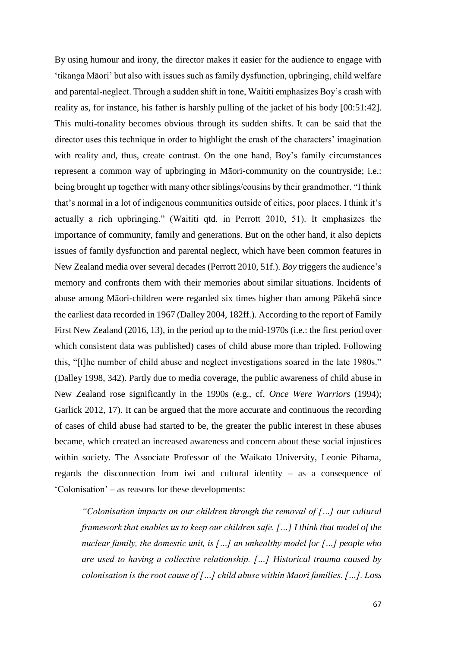By using humour and irony, the director makes it easier for the audience to engage with 'tikanga Māori' but also with issues such as family dysfunction, upbringing, child welfare and parental-neglect. Through a sudden shift in tone, Waititi emphasizes Boy's crash with reality as, for instance, his father is harshly pulling of the jacket of his body [00:51:42]. This multi-tonality becomes obvious through its sudden shifts. It can be said that the director uses this technique in order to highlight the crash of the characters' imagination with reality and, thus, create contrast. On the one hand, Boy's family circumstances represent a common way of upbringing in Māori-community on the countryside; i.e.: being brought up together with many other siblings/cousins by their grandmother. "I think that's normal in a lot of indigenous communities outside of cities, poor places. I think it's actually a rich upbringing." (Waititi qtd. in Perrott 2010, 51). It emphasizes the importance of community, family and generations. But on the other hand, it also depicts issues of family dysfunction and parental neglect, which have been common features in New Zealand media over several decades (Perrott 2010, 51f.). *Boy* triggers the audience's memory and confronts them with their memories about similar situations. Incidents of abuse among Māori-children were regarded six times higher than among Pākehā since the earliest data recorded in 1967 (Dalley 2004, 182ff.). According to the report of Family First New Zealand (2016, 13), in the period up to the mid-1970s (i.e.: the first period over which consistent data was published) cases of child abuse more than tripled. Following this, "[t]he number of child abuse and neglect investigations soared in the late 1980s." (Dalley 1998, 342). Partly due to media coverage, the public awareness of child abuse in New Zealand rose significantly in the 1990s (e.g., cf. *Once Were Warriors* (1994); Garlick 2012, 17). It can be argued that the more accurate and continuous the recording of cases of child abuse had started to be, the greater the public interest in these abuses became, which created an increased awareness and concern about these social injustices within society. The Associate Professor of the Waikato University, Leonie Pihama, regards the disconnection from iwi and cultural identity – as a consequence of 'Colonisation' – as reasons for these developments:

*"Colonisation impacts on our children through the removal of […] our cultural framework that enables us to keep our children safe. […] I think that model of the nuclear family, the domestic unit, is […] an unhealthy model for […] people who are used to having a collective relationship. […] Historical trauma caused by colonisation is the root cause of […] child abuse within Maori families. […]. Loss*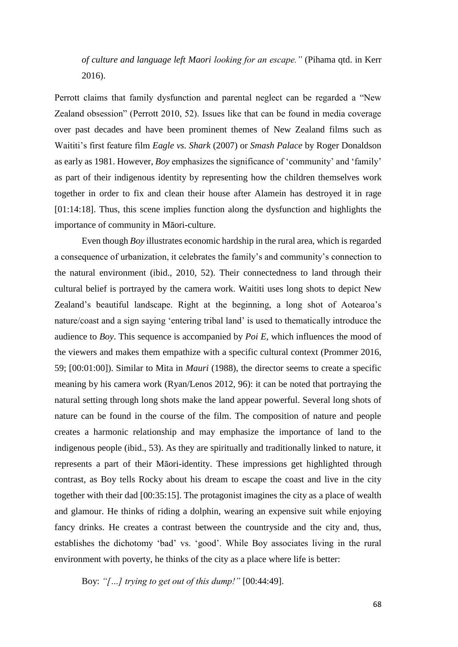*of culture and language left Maori looking for an escape."* (Pihama qtd. in Kerr 2016).

Perrott claims that family dysfunction and parental neglect can be regarded a "New Zealand obsession" (Perrott 2010, 52). Issues like that can be found in media coverage over past decades and have been prominent themes of New Zealand films such as Waititi's first feature film *Eagle vs. Shark* (2007) or *Smash Palace* by Roger Donaldson as early as 1981. However, *Boy* emphasizes the significance of 'community' and 'family' as part of their indigenous identity by representing how the children themselves work together in order to fix and clean their house after Alamein has destroyed it in rage [01:14:18]. Thus, this scene implies function along the dysfunction and highlights the importance of community in Māori-culture.

Even though *Boy* illustrates economic hardship in the rural area, which is regarded a consequence of urbanization, it celebrates the family's and community's connection to the natural environment (ibid., 2010, 52). Their connectedness to land through their cultural belief is portrayed by the camera work. Waititi uses long shots to depict New Zealand's beautiful landscape. Right at the beginning, a long shot of Aotearoa's nature/coast and a sign saying 'entering tribal land' is used to thematically introduce the audience to *Boy*. This sequence is accompanied by *Poi E*, which influences the mood of the viewers and makes them empathize with a specific cultural context (Prommer 2016, 59; [00:01:00]). Similar to Mita in *Mauri* (1988), the director seems to create a specific meaning by his camera work (Ryan/Lenos 2012, 96): it can be noted that portraying the natural setting through long shots make the land appear powerful. Several long shots of nature can be found in the course of the film. The composition of nature and people creates a harmonic relationship and may emphasize the importance of land to the indigenous people (ibid., 53). As they are spiritually and traditionally linked to nature, it represents a part of their Māori-identity. These impressions get highlighted through contrast, as Boy tells Rocky about his dream to escape the coast and live in the city together with their dad [00:35:15]. The protagonist imagines the city as a place of wealth and glamour. He thinks of riding a dolphin, wearing an expensive suit while enjoying fancy drinks. He creates a contrast between the countryside and the city and, thus, establishes the dichotomy 'bad' vs. 'good'. While Boy associates living in the rural environment with poverty, he thinks of the city as a place where life is better:

Boy: *"[…] trying to get out of this dump!"* [00:44:49].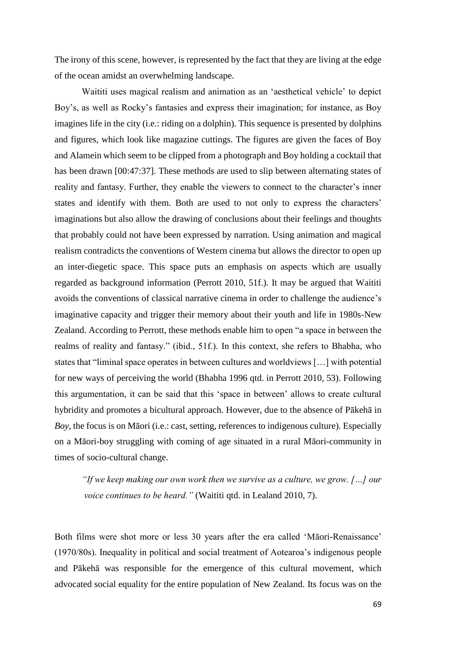The irony of this scene, however, is represented by the fact that they are living at the edge of the ocean amidst an overwhelming landscape.

Waititi uses magical realism and animation as an 'aesthetical vehicle' to depict Boy's, as well as Rocky's fantasies and express their imagination; for instance, as Boy imagines life in the city (i.e.: riding on a dolphin). This sequence is presented by dolphins and figures, which look like magazine cuttings. The figures are given the faces of Boy and Alamein which seem to be clipped from a photograph and Boy holding a cocktail that has been drawn [00:47:37]. These methods are used to slip between alternating states of reality and fantasy. Further, they enable the viewers to connect to the character's inner states and identify with them. Both are used to not only to express the characters' imaginations but also allow the drawing of conclusions about their feelings and thoughts that probably could not have been expressed by narration. Using animation and magical realism contradicts the conventions of Western cinema but allows the director to open up an inter-diegetic space. This space puts an emphasis on aspects which are usually regarded as background information (Perrott 2010, 51f.). It may be argued that Waititi avoids the conventions of classical narrative cinema in order to challenge the audience's imaginative capacity and trigger their memory about their youth and life in 1980s-New Zealand. According to Perrott, these methods enable him to open "a space in between the realms of reality and fantasy." (ibid., 51f.). In this context, she refers to Bhabha, who states that "liminal space operates in between cultures and worldviews […] with potential for new ways of perceiving the world (Bhabha 1996 qtd. in Perrott 2010, 53). Following this argumentation, it can be said that this 'space in between' allows to create cultural hybridity and promotes a bicultural approach. However, due to the absence of Pākehā in *Boy*, the focus is on Māori (i.e.: cast, setting, references to indigenous culture). Especially on a Māori-boy struggling with coming of age situated in a rural Māori-community in times of socio-cultural change.

*"If we keep making our own work then we survive as a culture, we grow. […] our voice continues to be heard."* (Waititi qtd. in Lealand 2010, 7).

Both films were shot more or less 30 years after the era called 'Māori-Renaissance' (1970/80s). Inequality in political and social treatment of Aotearoa's indigenous people and Pākehā was responsible for the emergence of this cultural movement, which advocated social equality for the entire population of New Zealand. Its focus was on the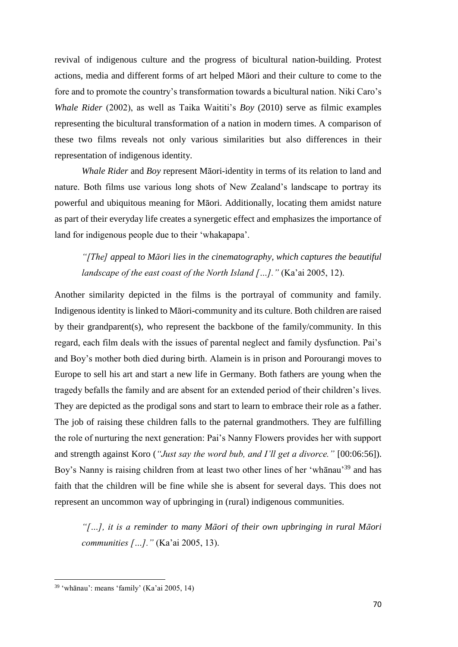revival of indigenous culture and the progress of bicultural nation-building. Protest actions, media and different forms of art helped Māori and their culture to come to the fore and to promote the country's transformation towards a bicultural nation. Niki Caro's *Whale Rider* (2002), as well as Taika Waititi's *Boy* (2010) serve as filmic examples representing the bicultural transformation of a nation in modern times. A comparison of these two films reveals not only various similarities but also differences in their representation of indigenous identity.

*Whale Rider* and *Boy* represent Māori-identity in terms of its relation to land and nature. Both films use various long shots of New Zealand's landscape to portray its powerful and ubiquitous meaning for Māori. Additionally, locating them amidst nature as part of their everyday life creates a synergetic effect and emphasizes the importance of land for indigenous people due to their 'whakapapa'.

# *"[The] appeal to Māori lies in the cinematography, which captures the beautiful landscape of the east coast of the North Island […]."* (Ka'ai 2005, 12).

Another similarity depicted in the films is the portrayal of community and family. Indigenous identity is linked to Māori-community and its culture. Both children are raised by their grandparent(s), who represent the backbone of the family/community. In this regard, each film deals with the issues of parental neglect and family dysfunction. Pai's and Boy's mother both died during birth. Alamein is in prison and Porourangi moves to Europe to sell his art and start a new life in Germany. Both fathers are young when the tragedy befalls the family and are absent for an extended period of their children's lives. They are depicted as the prodigal sons and start to learn to embrace their role as a father. The job of raising these children falls to the paternal grandmothers. They are fulfilling the role of nurturing the next generation: Pai's Nanny Flowers provides her with support and strength against Koro (*"Just say the word bub, and I'll get a divorce."* [00:06:56]). Boy's Nanny is raising children from at least two other lines of her 'whānau'<sup>39</sup> and has faith that the children will be fine while she is absent for several days. This does not represent an uncommon way of upbringing in (rural) indigenous communities.

*"[…], it is a reminder to many Māori of their own upbringing in rural Māori communities […]."* (Ka'ai 2005, 13).

<sup>39</sup> 'whānau': means 'family' (Ka'ai 2005, 14)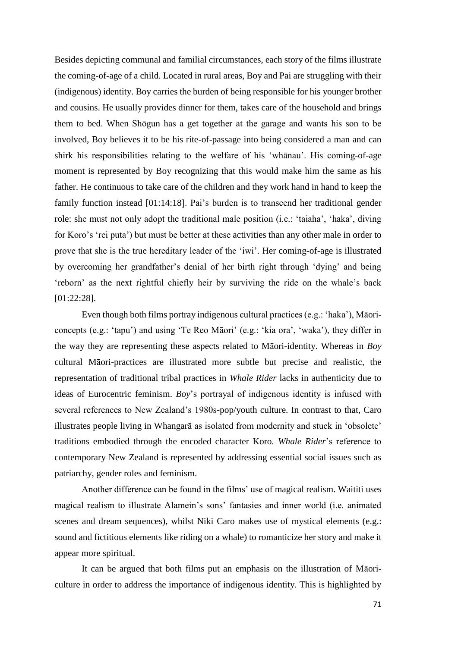Besides depicting communal and familial circumstances, each story of the films illustrate the coming-of-age of a child. Located in rural areas, Boy and Pai are struggling with their (indigenous) identity. Boy carries the burden of being responsible for his younger brother and cousins. He usually provides dinner for them, takes care of the household and brings them to bed. When Shōgun has a get together at the garage and wants his son to be involved, Boy believes it to be his rite-of-passage into being considered a man and can shirk his responsibilities relating to the welfare of his 'whānau'. His coming-of-age moment is represented by Boy recognizing that this would make him the same as his father. He continuous to take care of the children and they work hand in hand to keep the family function instead [01:14:18]. Pai's burden is to transcend her traditional gender role: she must not only adopt the traditional male position (i.e.: 'taiaha', 'haka', diving for Koro's 'rei puta') but must be better at these activities than any other male in order to prove that she is the true hereditary leader of the 'iwi'. Her coming-of-age is illustrated by overcoming her grandfather's denial of her birth right through 'dying' and being 'reborn' as the next rightful chiefly heir by surviving the ride on the whale's back [01:22:28].

Even though both films portray indigenous cultural practices (e.g.: 'haka'), Māoriconcepts (e.g.: 'tapu') and using 'Te Reo Māori' (e.g.: 'kia ora', 'waka'), they differ in the way they are representing these aspects related to Māori-identity. Whereas in *Boy* cultural Māori-practices are illustrated more subtle but precise and realistic, the representation of traditional tribal practices in *Whale Rider* lacks in authenticity due to ideas of Eurocentric feminism. *Boy*'s portrayal of indigenous identity is infused with several references to New Zealand's 1980s-pop/youth culture. In contrast to that, Caro illustrates people living in Whangarā as isolated from modernity and stuck in 'obsolete' traditions embodied through the encoded character Koro. *Whale Rider*'s reference to contemporary New Zealand is represented by addressing essential social issues such as patriarchy, gender roles and feminism.

Another difference can be found in the films' use of magical realism. Waititi uses magical realism to illustrate Alamein's sons' fantasies and inner world (i.e. animated scenes and dream sequences), whilst Niki Caro makes use of mystical elements (e.g.: sound and fictitious elements like riding on a whale) to romanticize her story and make it appear more spiritual.

It can be argued that both films put an emphasis on the illustration of Māoriculture in order to address the importance of indigenous identity. This is highlighted by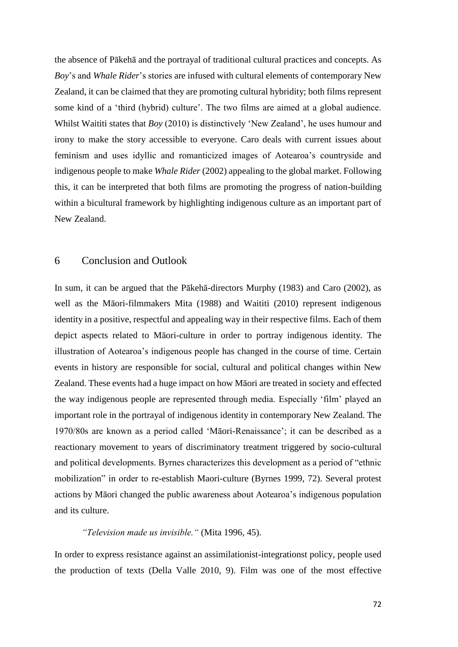the absence of Pākehā and the portrayal of traditional cultural practices and concepts. As *Boy*'s and *Whale Rider*'s stories are infused with cultural elements of contemporary New Zealand, it can be claimed that they are promoting cultural hybridity; both films represent some kind of a 'third (hybrid) culture'. The two films are aimed at a global audience. Whilst Waititi states that *Boy* (2010) is distinctively 'New Zealand', he uses humour and irony to make the story accessible to everyone. Caro deals with current issues about feminism and uses idyllic and romanticized images of Aotearoa's countryside and indigenous people to make *Whale Rider* (2002) appealing to the global market. Following this, it can be interpreted that both films are promoting the progress of nation-building within a bicultural framework by highlighting indigenous culture as an important part of New Zealand.

## 6 Conclusion and Outlook

In sum, it can be argued that the Pākehā-directors Murphy (1983) and Caro (2002), as well as the Māori-filmmakers Mita (1988) and Waititi (2010) represent indigenous identity in a positive, respectful and appealing way in their respective films. Each of them depict aspects related to Māori-culture in order to portray indigenous identity. The illustration of Aotearoa's indigenous people has changed in the course of time. Certain events in history are responsible for social, cultural and political changes within New Zealand. These events had a huge impact on how Māori are treated in society and effected the way indigenous people are represented through media. Especially 'film' played an important role in the portrayal of indigenous identity in contemporary New Zealand. The 1970/80s are known as a period called 'Māori-Renaissance'; it can be described as a reactionary movement to years of discriminatory treatment triggered by socio-cultural and political developments. Byrnes characterizes this development as a period of "ethnic mobilization" in order to re-establish Maori-culture (Byrnes 1999, 72). Several protest actions by Māori changed the public awareness about Aotearoa's indigenous population and its culture.

*"Television made us invisible."* (Mita 1996, 45).

In order to express resistance against an assimilationist-integrationst policy, people used the production of texts (Della Valle 2010, 9). Film was one of the most effective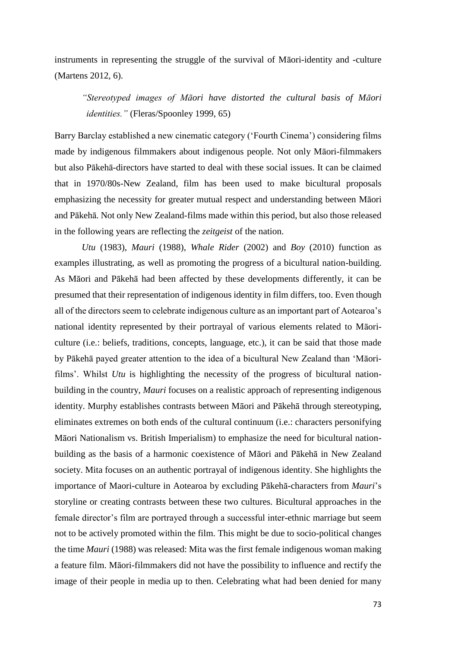instruments in representing the struggle of the survival of Māori-identity and -culture (Martens 2012, 6).

*"Stereotyped images of Māori have distorted the cultural basis of Māori identities."* (Fleras/Spoonley 1999, 65)

Barry Barclay established a new cinematic category ('Fourth Cinema') considering films made by indigenous filmmakers about indigenous people. Not only Māori-filmmakers but also Pākehā-directors have started to deal with these social issues. It can be claimed that in 1970/80s-New Zealand, film has been used to make bicultural proposals emphasizing the necessity for greater mutual respect and understanding between Māori and Pākehā. Not only New Zealand-films made within this period, but also those released in the following years are reflecting the *zeitgeist* of the nation.

*Utu* (1983), *Mauri* (1988), *Whale Rider* (2002) and *Boy* (2010) function as examples illustrating, as well as promoting the progress of a bicultural nation-building. As Māori and Pākehā had been affected by these developments differently, it can be presumed that their representation of indigenous identity in film differs, too. Even though all of the directors seem to celebrate indigenous culture as an important part of Aotearoa's national identity represented by their portrayal of various elements related to Māoriculture (i.e.: beliefs, traditions, concepts, language, etc.), it can be said that those made by Pākehā payed greater attention to the idea of a bicultural New Zealand than 'Māorifilms'. Whilst *Utu* is highlighting the necessity of the progress of bicultural nationbuilding in the country, *Mauri* focuses on a realistic approach of representing indigenous identity. Murphy establishes contrasts between Māori and Pākehā through stereotyping, eliminates extremes on both ends of the cultural continuum (i.e.: characters personifying Māori Nationalism vs. British Imperialism) to emphasize the need for bicultural nationbuilding as the basis of a harmonic coexistence of Māori and Pākehā in New Zealand society. Mita focuses on an authentic portrayal of indigenous identity. She highlights the importance of Maori-culture in Aotearoa by excluding Pākehā-characters from *Mauri*'s storyline or creating contrasts between these two cultures. Bicultural approaches in the female director's film are portrayed through a successful inter-ethnic marriage but seem not to be actively promoted within the film. This might be due to socio-political changes the time *Mauri* (1988) was released: Mita was the first female indigenous woman making a feature film. Māori-filmmakers did not have the possibility to influence and rectify the image of their people in media up to then. Celebrating what had been denied for many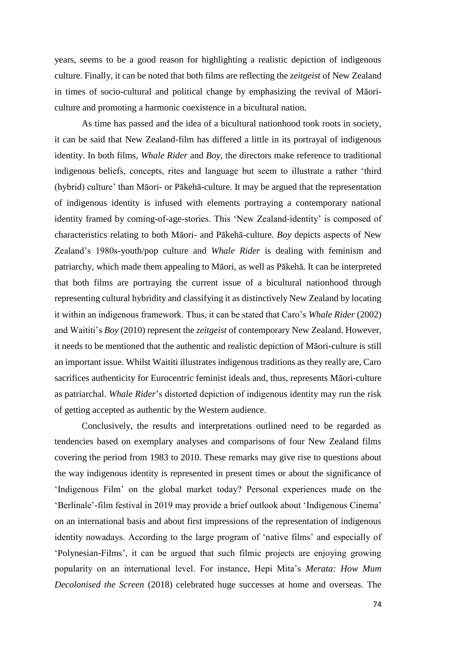years, seems to be a good reason for highlighting a realistic depiction of indigenous culture. Finally, it can be noted that both films are reflecting the *zeitgeist* of New Zealand in times of socio-cultural and political change by emphasizing the revival of Māoriculture and promoting a harmonic coexistence in a bicultural nation.

As time has passed and the idea of a bicultural nationhood took roots in society, it can be said that New Zealand-film has differed a little in its portrayal of indigenous identity. In both films, *Whale Rider* and *Boy*, the directors make reference to traditional indigenous beliefs, concepts, rites and language but seem to illustrate a rather 'third (hybrid) culture' than Māori- or Pākehā-culture. It may be argued that the representation of indigenous identity is infused with elements portraying a contemporary national identity framed by coming-of-age-stories. This 'New Zealand-identity' is composed of characteristics relating to both Māori- and Pākehā-culture. *Boy* depicts aspects of New Zealand's 1980s-youth/pop culture and *Whale Rider* is dealing with feminism and patriarchy, which made them appealing to Māori, as well as Pākehā. It can be interpreted that both films are portraying the current issue of a bicultural nationhood through representing cultural hybridity and classifying it as distinctively New Zealand by locating it within an indigenous framework. Thus, it can be stated that Caro's *Whale Rider* (2002) and Waititi's *Boy* (2010) represent the *zeitgeist* of contemporary New Zealand. However, it needs to be mentioned that the authentic and realistic depiction of Māori-culture is still an important issue. Whilst Waititi illustrates indigenous traditions as they really are, Caro sacrifices authenticity for Eurocentric feminist ideals and, thus, represents Māori-culture as patriarchal. *Whale Rider*'s distorted depiction of indigenous identity may run the risk of getting accepted as authentic by the Western audience.

Conclusively, the results and interpretations outlined need to be regarded as tendencies based on exemplary analyses and comparisons of four New Zealand films covering the period from 1983 to 2010. These remarks may give rise to questions about the way indigenous identity is represented in present times or about the significance of 'Indigenous Film' on the global market today? Personal experiences made on the 'Berlinale'-film festival in 2019 may provide a brief outlook about 'Indigenous Cinema' on an international basis and about first impressions of the representation of indigenous identity nowadays. According to the large program of 'native films' and especially of 'Polynesian-Films', it can be argued that such filmic projects are enjoying growing popularity on an international level. For instance, Hepi Mita's *Merata: How Mum Decolonised the Screen* (2018) celebrated huge successes at home and overseas. The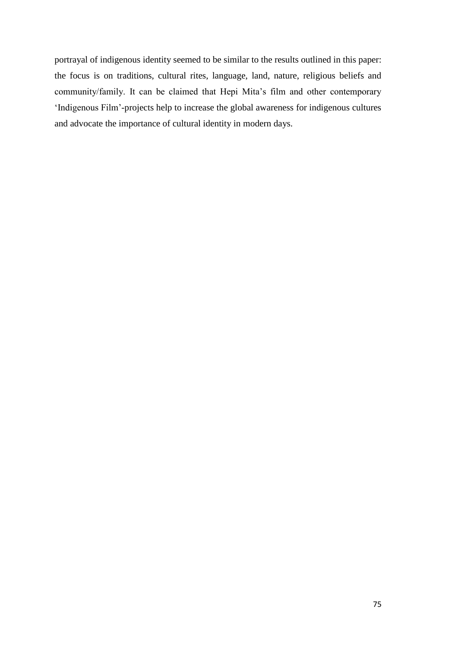portrayal of indigenous identity seemed to be similar to the results outlined in this paper: the focus is on traditions, cultural rites, language, land, nature, religious beliefs and community/family. It can be claimed that Hepi Mita's film and other contemporary 'Indigenous Film'-projects help to increase the global awareness for indigenous cultures and advocate the importance of cultural identity in modern days.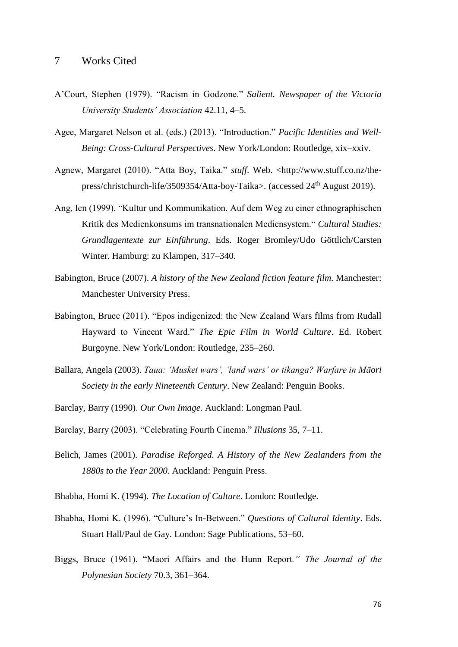- A'Court, Stephen (1979). "Racism in Godzone." *Salient. Newspaper of the Victoria University Students' Association* 42.11, 4–5.
- Agee, Margaret Nelson et al. (eds.) (2013). "Introduction." *Pacific Identities and Well-Being: Cross-Cultural Perspectives*. New York/London: Routledge, xix–xxiv.
- Agnew, Margaret (2010). "Atta Boy, Taika." *stuff*. Web. <http://www.stuff.co.nz/thepress/christchurch-life/3509354/Atta-boy-Taika>. (accessed 24<sup>th</sup> August 2019).
- Ang, Ien (1999). "Kultur und Kommunikation. Auf dem Weg zu einer ethnographischen Kritik des Medienkonsums im transnationalen Mediensystem." *Cultural Studies: Grundlagentexte zur Einführung*. Eds. Roger Bromley/Udo Göttlich/Carsten Winter. Hamburg: zu Klampen, 317–340.
- Babington, Bruce (2007). *A history of the New Zealand fiction feature film*. Manchester: Manchester University Press.
- Babington, Bruce (2011). "Epos indigenized: the New Zealand Wars films from Rudall Hayward to Vincent Ward." *The Epic Film in World Culture*. Ed. Robert Burgoyne. New York/London: Routledge, 235–260.
- Ballara, Angela (2003). *Taua: 'Musket wars', 'land wars' or tikanga? Warfare in Māori Society in the early Nineteenth Century*. New Zealand: Penguin Books.
- Barclay, Barry (1990). *Our Own Image*. Auckland: Longman Paul.
- Barclay, Barry (2003). "Celebrating Fourth Cinema." *Illusions* 35, 7–11.
- Belich, James (2001). *Paradise Reforged. A History of the New Zealanders from the 1880s to the Year 2000*. Auckland: Penguin Press.
- Bhabha, Homi K. (1994). *The Location of Culture*. London: Routledge.
- Bhabha, Homi K. (1996). "Culture's In-Between." *Questions of Cultural Identity*. Eds. Stuart Hall/Paul de Gay. London: Sage Publications, 53–60.
- Biggs, Bruce (1961). "Maori Affairs and the Hunn Report*." The Journal of the Polynesian Society* 70.3, 361–364.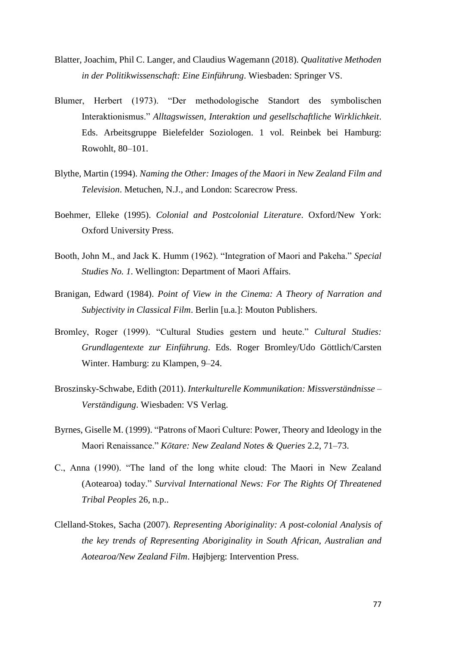- Blatter, Joachim, Phil C. Langer, and Claudius Wagemann (2018). *Qualitative Methoden in der Politikwissenschaft: Eine Einführung*. Wiesbaden: Springer VS.
- Blumer, Herbert (1973). "Der methodologische Standort des symbolischen Interaktionismus." *Alltagswissen, Interaktion und gesellschaftliche Wirklichkeit*. Eds. Arbeitsgruppe Bielefelder Soziologen. 1 vol. Reinbek bei Hamburg: Rowohlt, 80–101.
- Blythe, Martin (1994). *Naming the Other: Images of the Maori in New Zealand Film and Television*. Metuchen, N.J., and London: Scarecrow Press.
- Boehmer, Elleke (1995). *Colonial and Postcolonial Literature*. Oxford/New York: Oxford University Press.
- Booth, John M., and Jack K. Humm (1962). "Integration of Maori and Pakeha." *Special Studies No. 1*. Wellington: Department of Maori Affairs.
- Branigan, Edward (1984). *Point of View in the Cinema: A Theory of Narration and Subjectivity in Classical Film*. Berlin [u.a.]: Mouton Publishers.
- Bromley, Roger (1999). "Cultural Studies gestern und heute." *Cultural Studies: Grundlagentexte zur Einführung*. Eds. Roger Bromley/Udo Göttlich/Carsten Winter. Hamburg: zu Klampen, 9–24.
- Broszinsky-Schwabe, Edith (2011). *Interkulturelle Kommunikation: Missverständnisse – Verständigung*. Wiesbaden: VS Verlag.
- Byrnes, Giselle M. (1999). "Patrons of Maori Culture: Power, Theory and Ideology in the Maori Renaissance." *Kōtare: New Zealand Notes & Queries* 2.2, 71–73.
- C., Anna (1990). "The land of the long white cloud: The Maori in New Zealand (Aotearoa) today." *Survival International News: For The Rights Of Threatened Tribal Peoples* 26, n.p..
- Clelland-Stokes, Sacha (2007). *Representing Aboriginality: A post-colonial Analysis of the key trends of Representing Aboriginality in South African, Australian and Aotearoa/New Zealand Film*. Højbjerg: Intervention Press.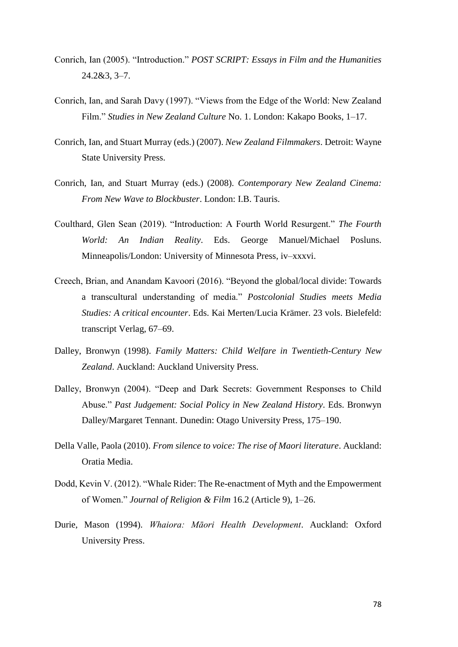- Conrich, Ian (2005). "Introduction." *POST SCRIPT: Essays in Film and the Humanities* 24.2&3, 3–7.
- Conrich, Ian, and Sarah Davy (1997). "Views from the Edge of the World: New Zealand Film." *Studies in New Zealand Culture* No. 1. London: Kakapo Books, 1–17.
- Conrich, Ian, and Stuart Murray (eds.) (2007). *New Zealand Filmmakers*. Detroit: Wayne State University Press.
- Conrich, Ian, and Stuart Murray (eds.) (2008). *Contemporary New Zealand Cinema: From New Wave to Blockbuster*. London: I.B. Tauris.
- Coulthard, Glen Sean (2019). "Introduction: A Fourth World Resurgent." *The Fourth World: An Indian Reality*. Eds. George Manuel/Michael Posluns. Minneapolis/London: University of Minnesota Press, iv–xxxvi.
- Creech, Brian, and Anandam Kavoori (2016). "Beyond the global/local divide: Towards a transcultural understanding of media." *Postcolonial Studies meets Media Studies: A critical encounter*. Eds. Kai Merten/Lucia Krämer. 23 vols. Bielefeld: transcript Verlag, 67–69.
- Dalley, Bronwyn (1998). *Family Matters: Child Welfare in Twentieth-Century New Zealand*. Auckland: Auckland University Press.
- Dalley, Bronwyn (2004). "Deep and Dark Secrets: Government Responses to Child Abuse." *Past Judgement: Social Policy in New Zealand History*. Eds. Bronwyn Dalley/Margaret Tennant. Dunedin: Otago University Press, 175–190.
- Della Valle, Paola (2010). *From silence to voice: The rise of Maori literature*. Auckland: Oratia Media.
- Dodd, Kevin V. (2012). "Whale Rider: The Re-enactment of Myth and the Empowerment of Women." *Journal of Religion & Film* 16.2 (Article 9), 1–26.
- Durie, Mason (1994). *Whaiora: Māori Health Development*. Auckland: Oxford University Press.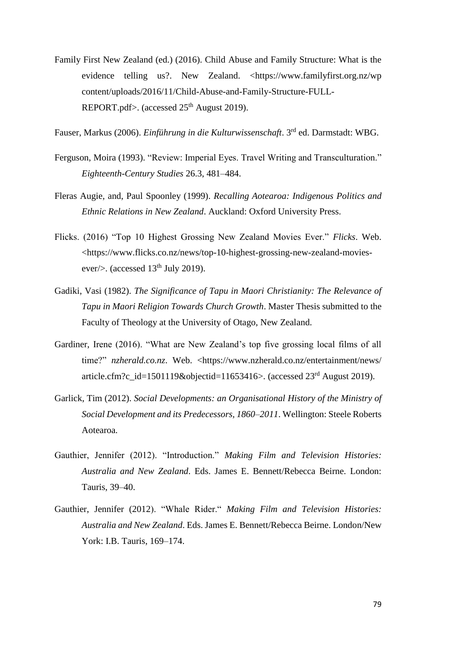Family First New Zealand (ed.) (2016). Child Abuse and Family Structure: What is the evidence telling us?. New Zealand. <https://www.familyfirst.org.nz/wp content/uploads/2016/11/Child-Abuse-and-Family-Structure-FULL-REPORT.pdf>. (accessed  $25<sup>th</sup>$  August 2019).

Fauser, Markus (2006). *Einführung in die Kulturwissenschaft*. 3rd ed. Darmstadt: WBG.

- Ferguson, Moira (1993). "Review: Imperial Eyes. Travel Writing and Transculturation." *Eighteenth-Century Studies* 26.3, 481–484.
- Fleras Augie, and, Paul Spoonley (1999). *Recalling Aotearoa: Indigenous Politics and Ethnic Relations in New Zealand*. Auckland: Oxford University Press.
- Flicks. (2016) "Top 10 Highest Grossing New Zealand Movies Ever." *Flicks*. Web. <https://www.flicks.co.nz/news/top-10-highest-grossing-new-zealand-moviesever/>. (accessed  $13<sup>th</sup>$  July 2019).
- Gadiki, Vasi (1982). *The Significance of Tapu in Maori Christianity: The Relevance of Tapu in Maori Religion Towards Church Growth*. Master Thesis submitted to the Faculty of Theology at the University of Otago, New Zealand.
- Gardiner, Irene (2016). "What are New Zealand's top five grossing local films of all time?" *nzherald.co.nz*. Web. <https://www.nzherald.co.nz/entertainment/news/ article.cfm?c\_id=1501119&objectid=11653416>. (accessed  $23<sup>rd</sup>$  August 2019).
- Garlick, Tim (2012). *Social Developments: an Organisational History of the Ministry of Social Development and its Predecessors, 1860–2011*. Wellington: Steele Roberts Aotearoa.
- Gauthier, Jennifer (2012). "Introduction." *Making Film and Television Histories: Australia and New Zealand*. Eds. James E. Bennett/Rebecca Beirne. London: Tauris, 39–40.
- Gauthier, Jennifer (2012). "Whale Rider." *Making Film and Television Histories: Australia and New Zealand*. Eds. James E. Bennett/Rebecca Beirne. London/New York: I.B. Tauris, 169–174.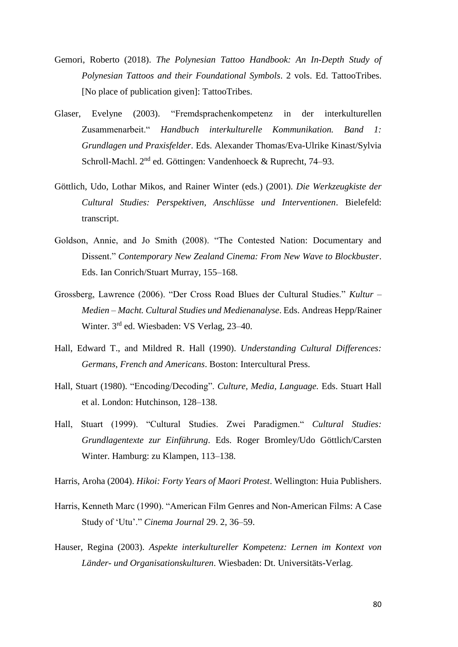- Gemori, Roberto (2018). *The Polynesian Tattoo Handbook: An In-Depth Study of Polynesian Tattoos and their Foundational Symbols*. 2 vols. Ed. TattooTribes. [No place of publication given]: TattooTribes.
- Glaser, Evelyne (2003). "Fremdsprachenkompetenz in der interkulturellen Zusammenarbeit." *Handbuch interkulturelle Kommunikation. Band 1: Grundlagen und Praxisfelder*. Eds. Alexander Thomas/Eva-Ulrike Kinast/Sylvia Schroll-Machl. 2nd ed. Göttingen: Vandenhoeck & Ruprecht, 74–93.
- Göttlich, Udo, Lothar Mikos, and Rainer Winter (eds.) (2001). *Die Werkzeugkiste der Cultural Studies: Perspektiven, Anschlüsse und Interventionen*. Bielefeld: transcript.
- Goldson, Annie, and Jo Smith (2008). "The Contested Nation: Documentary and Dissent." *Contemporary New Zealand Cinema: From New Wave to Blockbuster*. Eds. Ian Conrich/Stuart Murray, 155–168.
- Grossberg, Lawrence (2006). "Der Cross Road Blues der Cultural Studies." *Kultur – Medien – Macht. Cultural Studies und Medienanalyse*. Eds. Andreas Hepp/Rainer Winter. 3rd ed. Wiesbaden: VS Verlag, 23-40.
- Hall, Edward T., and Mildred R. Hall (1990). *Understanding Cultural Differences: Germans, French and Americans*. Boston: Intercultural Press.
- Hall, Stuart (1980). "Encoding/Decoding". *Culture, Media, Language.* Eds. Stuart Hall et al. London: Hutchinson, 128–138.
- Hall, Stuart (1999). "Cultural Studies. Zwei Paradigmen." *Cultural Studies: Grundlagentexte zur Einführung*. Eds. Roger Bromley/Udo Göttlich/Carsten Winter. Hamburg: zu Klampen, 113–138.

Harris, Aroha (2004). *Hikoi: Forty Years of Maori Protest*. Wellington: Huia Publishers.

- Harris, Kenneth Marc (1990). "American Film Genres and Non-American Films: A Case Study of 'Utu'." *Cinema Journal* 29. 2, 36–59.
- Hauser, Regina (2003). *Aspekte interkultureller Kompetenz: Lernen im Kontext von Länder- und Organisationskulturen*. Wiesbaden: Dt. Universitäts-Verlag.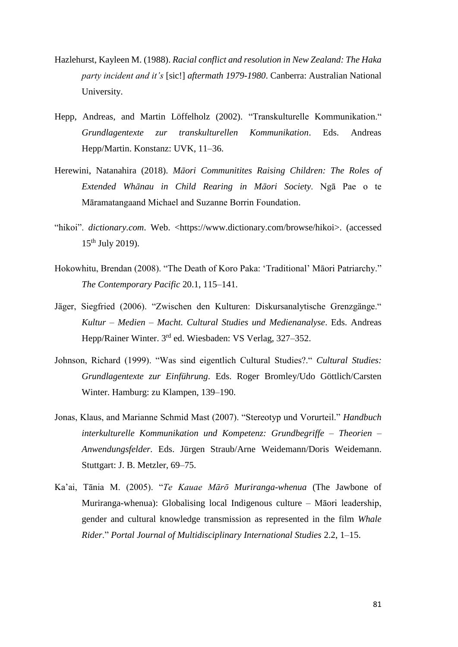- Hazlehurst, Kayleen M. (1988). *Racial conflict and resolution in New Zealand: The Haka party incident and it's* [sic!] *aftermath 1979-1980*. Canberra: Australian National University.
- Hepp, Andreas, and Martin Löffelholz (2002). "Transkulturelle Kommunikation." *Grundlagentexte zur transkulturellen Kommunikation*. Eds. Andreas Hepp/Martin. Konstanz: UVK, 11–36.
- Herewini, Natanahira (2018). *Māori Communitites Raising Children: The Roles of Extended Whānau in Child Rearing in Māori Society*. Ngā Pae o te Māramatangaand Michael and Suzanne Borrin Foundation.
- "hikoi". *dictionary.com.* Web. <https://www.dictionary.com/browse/hikoi>. (accessed  $15^{th}$  July 2019).
- Hokowhitu, Brendan (2008). "The Death of Koro Paka: 'Traditional' Māori Patriarchy." *The Contemporary Pacific* 20.1, 115–141.
- Jäger, Siegfried (2006). "Zwischen den Kulturen: Diskursanalytische Grenzgänge." *Kultur – Medien – Macht. Cultural Studies und Medienanalyse*. Eds. Andreas Hepp/Rainer Winter. 3rd ed. Wiesbaden: VS Verlag, 327-352.
- Johnson, Richard (1999). "Was sind eigentlich Cultural Studies?." *Cultural Studies: Grundlagentexte zur Einführung*. Eds. Roger Bromley/Udo Göttlich/Carsten Winter. Hamburg: zu Klampen, 139–190.
- Jonas, Klaus, and Marianne Schmid Mast (2007). "Stereotyp und Vorurteil." *Handbuch interkulturelle Kommunikation und Kompetenz: Grundbegriffe – Theorien – Anwendungsfelder.* Eds. Jürgen Straub/Arne Weidemann/Doris Weidemann. Stuttgart: J. B. Metzler, 69–75.
- Ka'ai, Tānia M. (2005). "*Te Kauae Mārō Muriranga-whenua* (The Jawbone of Muriranga-whenua): Globalising local Indigenous culture – Māori leadership, gender and cultural knowledge transmission as represented in the film *Whale Rider*." *Portal Journal of Multidisciplinary International Studies* 2.2, 1–15.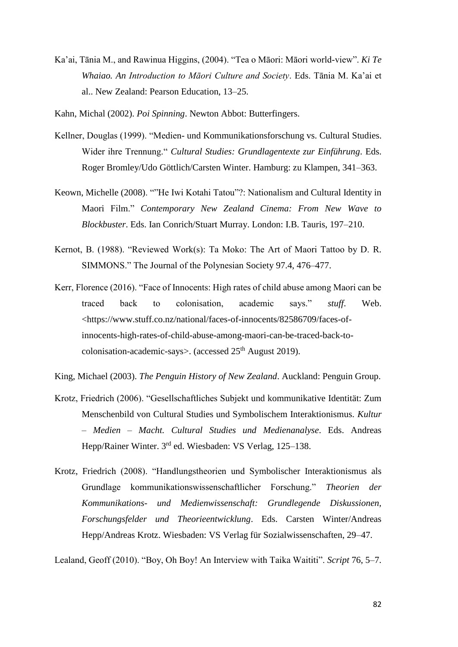Ka'ai, Tānia M., and Rawinua Higgins, (2004). "Tea o Māori: Māori world-view". *Ki Te Whaiao. An Introduction to Māori Culture and Society*. Eds. Tānia M. Ka'ai et al.. New Zealand: Pearson Education, 13–25.

Kahn, Michal (2002). *Poi Spinning*. Newton Abbot: Butterfingers.

- Kellner, Douglas (1999). "Medien- und Kommunikationsforschung vs. Cultural Studies. Wider ihre Trennung." *Cultural Studies: Grundlagentexte zur Einführung*. Eds. Roger Bromley/Udo Göttlich/Carsten Winter. Hamburg: zu Klampen, 341–363.
- Keown, Michelle (2008). ""He Iwi Kotahi Tatou"?: Nationalism and Cultural Identity in Maori Film." *Contemporary New Zealand Cinema: From New Wave to Blockbuster*. Eds. Ian Conrich/Stuart Murray. London: I.B. Tauris, 197–210.
- Kernot, B. (1988). "Reviewed Work(s): Ta Moko: The Art of Maori Tattoo by D. R. SIMMONS." The Journal of the Polynesian Society 97.4, 476–477.
- Kerr, Florence (2016). "Face of Innocents: High rates of child abuse among Maori can be traced back to colonisation, academic says." *stuff*. Web. <https://www.stuff.co.nz/national/faces-of-innocents/82586709/faces-ofinnocents-high-rates-of-child-abuse-among-maori-can-be-traced-back-tocolonisation-academic-says>. (accessed  $25<sup>th</sup>$  August 2019).

King, Michael (2003). *The Penguin History of New Zealand*. Auckland: Penguin Group.

- Krotz, Friedrich (2006). "Gesellschaftliches Subjekt und kommunikative Identität: Zum Menschenbild von Cultural Studies und Symbolischem Interaktionismus. *Kultur – Medien – Macht. Cultural Studies und Medienanalyse*. Eds. Andreas Hepp/Rainer Winter. 3<sup>rd</sup> ed. Wiesbaden: VS Verlag, 125–138.
- Krotz, Friedrich (2008). "Handlungstheorien und Symbolischer Interaktionismus als Grundlage kommunikationswissenschaftlicher Forschung." *Theorien der Kommunikations- und Medienwissenschaft: Grundlegende Diskussionen, Forschungsfelder und Theorieentwicklung*. Eds. Carsten Winter/Andreas Hepp/Andreas Krotz. Wiesbaden: VS Verlag für Sozialwissenschaften, 29–47.

Lealand, Geoff (2010). "Boy, Oh Boy! An Interview with Taika Waititi". *Script* 76, 5–7.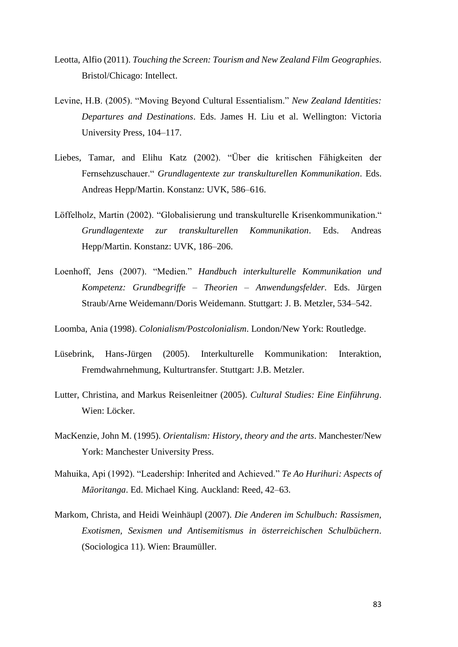- Leotta, Alfio (2011). *Touching the Screen: Tourism and New Zealand Film Geographies*. Bristol/Chicago: Intellect.
- Levine, H.B. (2005). "Moving Beyond Cultural Essentialism." *New Zealand Identities: Departures and Destinations*. Eds. James H. Liu et al. Wellington: Victoria University Press, 104–117.
- Liebes, Tamar, and Elihu Katz (2002). "Über die kritischen Fähigkeiten der Fernsehzuschauer." *Grundlagentexte zur transkulturellen Kommunikation*. Eds. Andreas Hepp/Martin. Konstanz: UVK, 586–616.
- Löffelholz, Martin (2002). "Globalisierung und transkulturelle Krisenkommunikation." *Grundlagentexte zur transkulturellen Kommunikation*. Eds. Andreas Hepp/Martin. Konstanz: UVK, 186–206.
- Loenhoff, Jens (2007). "Medien." *Handbuch interkulturelle Kommunikation und Kompetenz: Grundbegriffe – Theorien – Anwendungsfelder.* Eds. Jürgen Straub/Arne Weidemann/Doris Weidemann. Stuttgart: J. B. Metzler, 534–542.
- Loomba, Ania (1998). *Colonialism/Postcolonialism*. London/New York: Routledge.
- Lüsebrink, Hans-Jürgen (2005). Interkulturelle Kommunikation: Interaktion, Fremdwahrnehmung, Kulturtransfer. Stuttgart: J.B. Metzler.
- Lutter, Christina, and Markus Reisenleitner (2005). *Cultural Studies: Eine Einführung*. Wien: Löcker.
- MacKenzie, John M. (1995). *Orientalism: History, theory and the arts*. Manchester/New York: Manchester University Press.
- Mahuika, Api (1992). "Leadership: Inherited and Achieved." *Te Ao Hurihuri: Aspects of Māoritanga*. Ed. Michael King. Auckland: Reed, 42–63.
- Markom, Christa, and Heidi Weinhäupl (2007). *Die Anderen im Schulbuch: Rassismen, Exotismen, Sexismen und Antisemitismus in österreichischen Schulbüchern*. (Sociologica 11). Wien: Braumüller.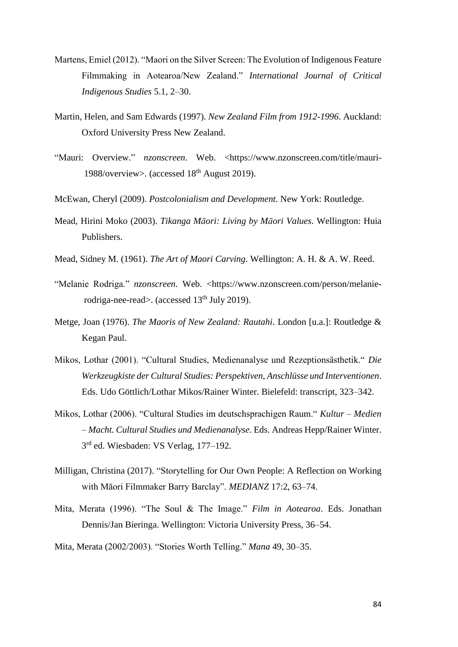- Martens, Emiel (2012). "Maori on the Silver Screen: The Evolution of Indigenous Feature Filmmaking in Aotearoa/New Zealand." *International Journal of Critical Indigenous Studies* 5.1, 2–30.
- Martin, Helen, and Sam Edwards (1997). *New Zealand Film from 1912-1996*. Auckland: Oxford University Press New Zealand.
- "Mauri: Overview." *nzonscreen*. Web. <https://www.nzonscreen.com/title/mauri-1988/overview>. (accessed  $18<sup>th</sup>$  August 2019).
- McEwan, Cheryl (2009). *Postcolonialism and Development*. New York: Routledge.
- Mead, Hirini Moko (2003). *Tikanga Māori: Living by Māori Values*. Wellington: Huia Publishers.
- Mead, Sidney M. (1961). *The Art of Maori Carving*. Wellington: A. H. & A. W. Reed.
- "Melanie Rodriga." *nzonscreen*. Web. <https://www.nzonscreen.com/person/melanierodriga-nee-read>. (accessed 13<sup>th</sup> July 2019).
- Metge, Joan (1976). *The Maoris of New Zealand: Rautahi*. London [u.a.]: Routledge & Kegan Paul.
- Mikos, Lothar (2001). "Cultural Studies, Medienanalyse und Rezeptionsästhetik." *Die Werkzeugkiste der Cultural Studies: Perspektiven, Anschlüsse und Interventionen*. Eds. Udo Göttlich/Lothar Mikos/Rainer Winter. Bielefeld: transcript, 323–342.
- Mikos, Lothar (2006). "Cultural Studies im deutschsprachigen Raum." *Kultur – Medien – Macht. Cultural Studies und Medienanalyse*. Eds. Andreas Hepp/Rainer Winter. 3<sup>rd</sup> ed. Wiesbaden: VS Verlag, 177-192.
- Milligan, Christina (2017). "Storytelling for Our Own People: A Reflection on Working with Māori Filmmaker Barry Barclay". *MEDIANZ* 17:2, 63–74.
- Mita, Merata (1996). "The Soul & The Image." *Film in Aotearoa*. Eds. Jonathan Dennis/Jan Bieringa. Wellington: Victoria University Press, 36–54.
- Mita, Merata (2002/2003). "Stories Worth Telling." *Mana* 49, 30–35.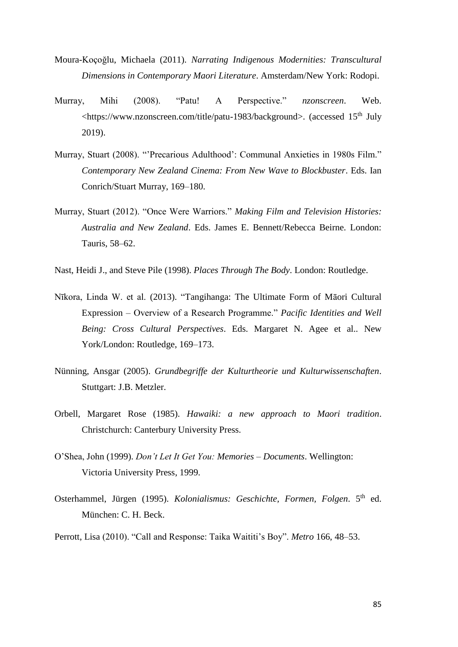- Moura-Koçoğlu, Michaela (2011). *Narrating Indigenous Modernities: Transcultural Dimensions in Contemporary Maori Literature*. Amsterdam/New York: Rodopi.
- Murray, Mihi (2008). "Patu! A Perspective." *nzonscreen*. Web.  $\lt$ https://www.nzonscreen.com/title/patu-1983/background>. (accessed 15<sup>th</sup> July 2019).
- Murray, Stuart (2008). "'Precarious Adulthood': Communal Anxieties in 1980s Film." *Contemporary New Zealand Cinema: From New Wave to Blockbuster*. Eds. Ian Conrich/Stuart Murray, 169–180.
- Murray, Stuart (2012). "Once Were Warriors." *Making Film and Television Histories: Australia and New Zealand*. Eds. James E. Bennett/Rebecca Beirne. London: Tauris, 58–62.
- Nast, Heidi J., and Steve Pile (1998). *Places Through The Body*. London: Routledge.
- Nīkora, Linda W. et al. (2013). "Tangihanga: The Ultimate Form of Māori Cultural Expression – Overview of a Research Programme." *Pacific Identities and Well Being: Cross Cultural Perspectives*. Eds. Margaret N. Agee et al.. New York/London: Routledge, 169–173.
- Nünning, Ansgar (2005). *Grundbegriffe der Kulturtheorie und Kulturwissenschaften*. Stuttgart: J.B. Metzler.
- Orbell, Margaret Rose (1985). *Hawaiki: a new approach to Maori tradition*. Christchurch: Canterbury University Press.
- O'Shea, John (1999). *Don't Let It Get You: Memories – Documents*. Wellington: Victoria University Press, 1999.
- Osterhammel, Jürgen (1995). *Kolonialismus: Geschichte, Formen, Folgen*. 5<sup>th</sup> ed. München: C. H. Beck.
- Perrott, Lisa (2010). "Call and Response: Taika Waititi's Boy". *Metro* 166, 48–53.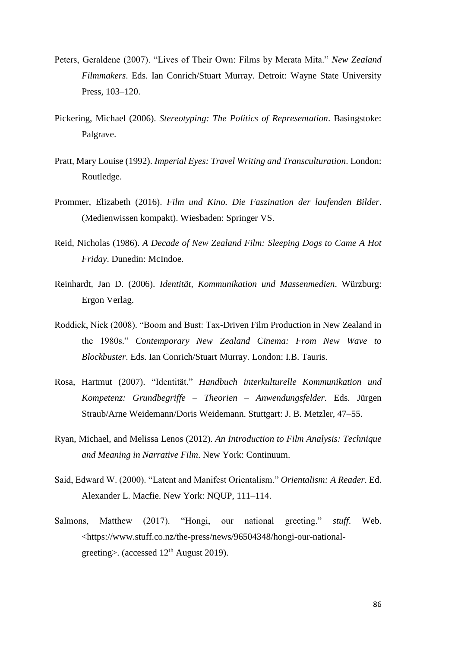- Peters, Geraldene (2007). "Lives of Their Own: Films by Merata Mita." *New Zealand Filmmakers*. Eds. Ian Conrich/Stuart Murray. Detroit: Wayne State University Press, 103–120.
- Pickering, Michael (2006). *Stereotyping: The Politics of Representation*. Basingstoke: Palgrave.
- Pratt, Mary Louise (1992). *Imperial Eyes: Travel Writing and Transculturation*. London: Routledge.
- Prommer, Elizabeth (2016). *Film und Kino. Die Faszination der laufenden Bilder*. (Medienwissen kompakt). Wiesbaden: Springer VS.
- Reid, Nicholas (1986). *A Decade of New Zealand Film: Sleeping Dogs to Came A Hot Friday*. Dunedin: McIndoe.
- Reinhardt, Jan D. (2006). *Identität, Kommunikation und Massenmedien*. Würzburg: Ergon Verlag.
- Roddick, Nick (2008). "Boom and Bust: Tax-Driven Film Production in New Zealand in the 1980s." *Contemporary New Zealand Cinema: From New Wave to Blockbuster*. Eds. Ian Conrich/Stuart Murray. London: I.B. Tauris.
- Rosa, Hartmut (2007). "Identität." *Handbuch interkulturelle Kommunikation und Kompetenz: Grundbegriffe – Theorien – Anwendungsfelder.* Eds. Jürgen Straub/Arne Weidemann/Doris Weidemann. Stuttgart: J. B. Metzler, 47–55.
- Ryan, Michael, and Melissa Lenos (2012). *An Introduction to Film Analysis: Technique and Meaning in Narrative Film*. New York: Continuum.
- Said, Edward W. (2000). "Latent and Manifest Orientalism." *Orientalism: A Reader*. Ed. Alexander L. Macfie. New York: NQUP, 111–114.
- Salmons, Matthew (2017). "Hongi, our national greeting." *stuff*. Web. <https://www.stuff.co.nz/the-press/news/96504348/hongi-our-nationalgreeting>. (accessed  $12<sup>th</sup>$  August 2019).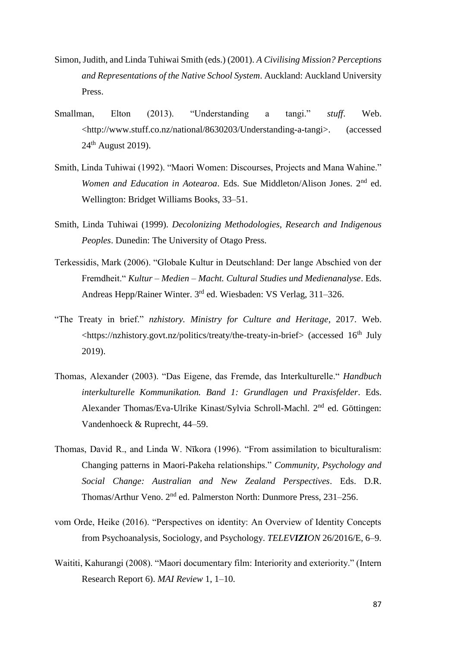- Simon, Judith, and Linda Tuhiwai Smith (eds.) (2001). *A Civilising Mission? Perceptions and Representations of the Native School System*. Auckland: Auckland University Press.
- Smallman, Elton (2013). "Understanding a tangi." *stuff*. Web. <http://www.stuff.co.nz/national/8630203/Understanding-a-tangi>. (accessed  $24<sup>th</sup>$  August 2019).
- Smith, Linda Tuhiwai (1992). "Maori Women: Discourses, Projects and Mana Wahine." *Women and Education in Aotearoa*. Eds. Sue Middleton/Alison Jones. 2nd ed. Wellington: Bridget Williams Books, 33–51.
- Smith, Linda Tuhiwai (1999). *Decolonizing Methodologies, Research and Indigenous Peoples*. Dunedin: The University of Otago Press.
- Terkessidis, Mark (2006). "Globale Kultur in Deutschland: Der lange Abschied von der Fremdheit." *Kultur – Medien – Macht. Cultural Studies und Medienanalyse*. Eds. Andreas Hepp/Rainer Winter. 3rd ed. Wiesbaden: VS Verlag, 311-326.
- "The Treaty in brief." *nzhistory. Ministry for Culture and Heritage*, 2017. Web.  $\langle$ https://nzhistory.govt.nz/politics/treaty/the-treaty-in-brief> (accessed 16<sup>th</sup> July 2019).
- Thomas, Alexander (2003). "Das Eigene, das Fremde, das Interkulturelle." *Handbuch interkulturelle Kommunikation. Band 1: Grundlagen und Praxisfelder*. Eds. Alexander Thomas/Eva-Ulrike Kinast/Sylvia Schroll-Machl. 2nd ed. Göttingen: Vandenhoeck & Ruprecht, 44–59.
- Thomas, David R., and Linda W. Nīkora (1996). "From assimilation to biculturalism: Changing patterns in Maori-Pakeha relationships." *Community, Psychology and Social Change: Australian and New Zealand Perspectives*. Eds. D.R. Thomas/Arthur Veno. 2nd ed. Palmerston North: Dunmore Press, 231–256.
- vom Orde, Heike (2016). "Perspectives on identity: An Overview of Identity Concepts from Psychoanalysis, Sociology, and Psychology. *TELEVIZION* 26/2016/E, 6–9.
- Waititi, Kahurangi (2008). "Maori documentary film: Interiority and exteriority." (Intern Research Report 6). *MAI Review* 1, 1–10.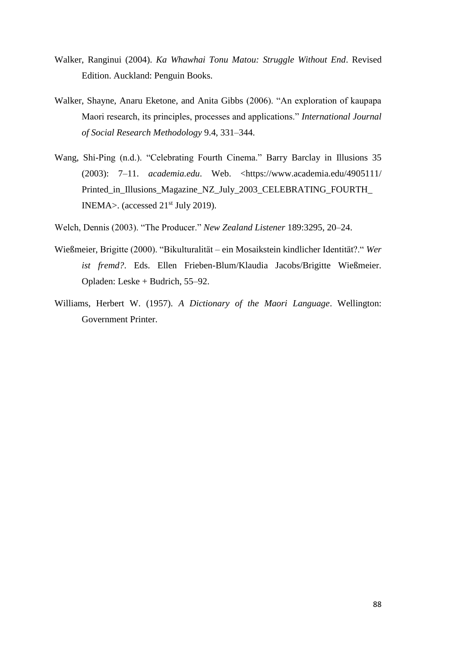- Walker, Ranginui (2004). *Ka Whawhai Tonu Matou: Struggle Without End*. Revised Edition. Auckland: Penguin Books.
- Walker, Shayne, Anaru Eketone, and Anita Gibbs (2006). "An exploration of kaupapa Maori research, its principles, processes and applications." *International Journal of Social Research Methodology* 9.4, 331–344.
- Wang, Shi-Ping (n.d.). "Celebrating Fourth Cinema." Barry Barclay in Illusions 35 (2003): 7–11. *academia.edu*. Web. <https://www.academia.edu/4905111/ Printed\_in\_Illusions\_Magazine\_NZ\_July\_2003\_CELEBRATING\_FOURTH\_ INEMA>. (accessed  $21<sup>st</sup>$  July 2019).
- Welch, Dennis (2003). "The Producer." *New Zealand Listener* 189:3295, 20–24.
- Wießmeier, Brigitte (2000). "Bikulturalität ein Mosaikstein kindlicher Identität?." *Wer ist fremd?*. Eds. Ellen Frieben-Blum/Klaudia Jacobs/Brigitte Wießmeier. Opladen: Leske + Budrich, 55–92.
- Williams, Herbert W. (1957). *A Dictionary of the Maori Language*. Wellington: Government Printer.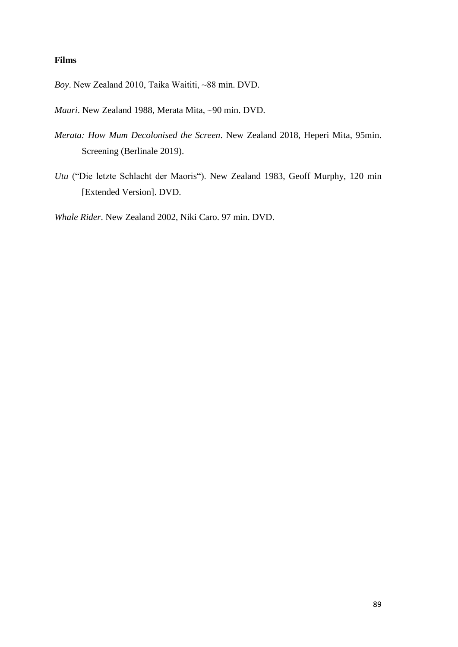## **Films**

Boy. New Zealand 2010, Taika Waititi, ~88 min. DVD.

*Mauri*. New Zealand 1988, Merata Mita, ~90 min. DVD.

- *Merata: How Mum Decolonised the Screen*. New Zealand 2018, Heperi Mita, 95min. Screening (Berlinale 2019).
- *Utu* ("Die letzte Schlacht der Maoris"). New Zealand 1983, Geoff Murphy, 120 min [Extended Version]. DVD.

*Whale Rider*. New Zealand 2002, Niki Caro. 97 min. DVD.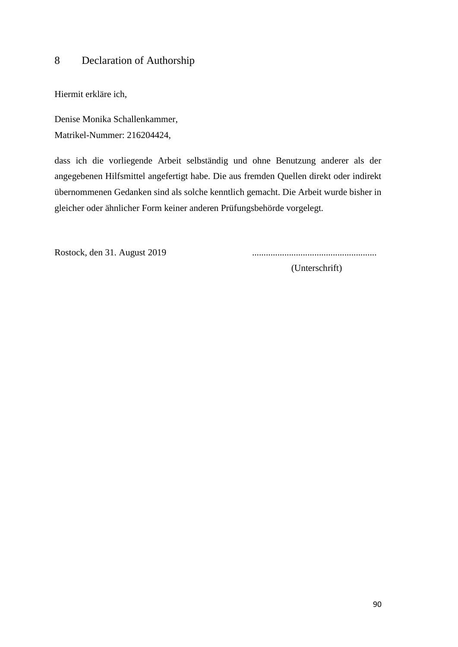## 8 Declaration of Authorship

Hiermit erkläre ich,

Denise Monika Schallenkammer, Matrikel-Nummer: 216204424,

dass ich die vorliegende Arbeit selbständig und ohne Benutzung anderer als der angegebenen Hilfsmittel angefertigt habe. Die aus fremden Quellen direkt oder indirekt übernommenen Gedanken sind als solche kenntlich gemacht. Die Arbeit wurde bisher in gleicher oder ähnlicher Form keiner anderen Prüfungsbehörde vorgelegt.

Rostock, den 31. August 2019 ......................................................

(Unterschrift)